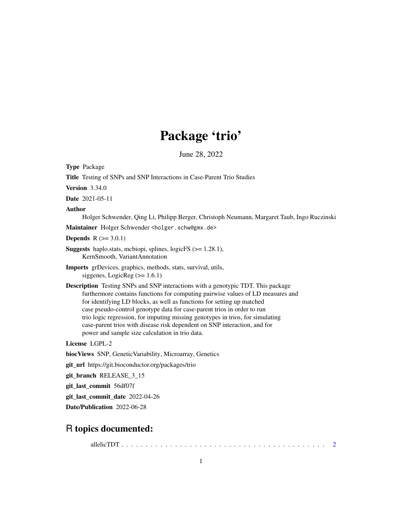# Package 'trio'

June 28, 2022

<span id="page-0-0"></span>Type Package

Title Testing of SNPs and SNP Interactions in Case-Parent Trio Studies

Version 3.34.0

Date 2021-05-11

Author

Holger Schwender, Qing Li, Philipp Berger, Christoph Neumann, Margaret Taub, Ingo Ruczinski

Maintainer Holger Schwender <holger.schw@gmx.de>

**Depends**  $R$  ( $>= 3.0.1$ )

Suggests haplo.stats, mcbiopi, splines, logicFS (>= 1.28.1), KernSmooth, VariantAnnotation

Imports grDevices, graphics, methods, stats, survival, utils, siggenes, LogicReg  $(>= 1.6.1)$ 

Description Testing SNPs and SNP interactions with a genotypic TDT. This package furthermore contains functions for computing pairwise values of LD measures and for identifying LD blocks, as well as functions for setting up matched case pseudo-control genotype data for case-parent trios in order to run trio logic regression, for imputing missing genotypes in trios, for simulating case-parent trios with disease risk dependent on SNP interaction, and for power and sample size calculation in trio data.

License LGPL-2

biocViews SNP, GeneticVariability, Microarray, Genetics

git\_url https://git.bioconductor.org/packages/trio

git\_branch RELEASE\_3\_15

git\_last\_commit 56df07f

git\_last\_commit\_date 2022-04-26

Date/Publication 2022-06-28

# R topics documented:

allelicTDT . . . . . . . . . . . . . . . . . . . . . . . . . . . . . . . . . . . . . . . . . . [2](#page-1-0)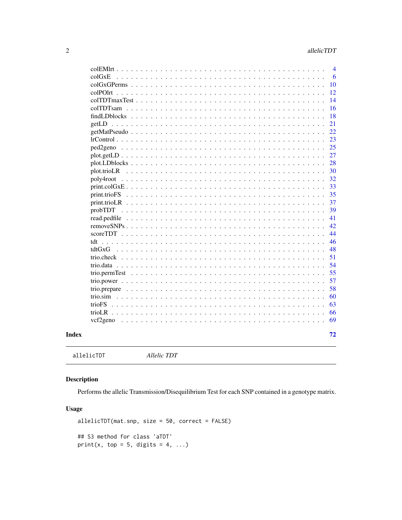<span id="page-1-0"></span>

|                                                                                                                                                                                                                                                                                                                           | $\overline{4}$ |
|---------------------------------------------------------------------------------------------------------------------------------------------------------------------------------------------------------------------------------------------------------------------------------------------------------------------------|----------------|
| coIGxE<br>$\sim$ $\sim$                                                                                                                                                                                                                                                                                                   | 6              |
| $colGxGPerms \dots \dots$<br>$\sim$                                                                                                                                                                                                                                                                                       | 10             |
| $colPOIrt$ , $\ldots$ , $\ldots$                                                                                                                                                                                                                                                                                          | 12             |
| colTDTmaxTest                                                                                                                                                                                                                                                                                                             | 14             |
| colTDTsam<br>$\ddot{\phantom{a}}$<br>.                                                                                                                                                                                                                                                                                    | 16             |
| findLDblocks<br>$\mathbf{r}$ . $\mathbf{r}$<br>$\overline{a}$<br>$\ddot{\phantom{a}}$                                                                                                                                                                                                                                     | 18             |
|                                                                                                                                                                                                                                                                                                                           | 21             |
| getMatPseudo                                                                                                                                                                                                                                                                                                              | 22             |
|                                                                                                                                                                                                                                                                                                                           | 23             |
| ped <sub>2</sub> geno                                                                                                                                                                                                                                                                                                     | 25             |
| $plot.getLD \ldots \ldots \ldots \ldots \ldots \ldots \ldots \ldots \ldots \ldots \ldots$                                                                                                                                                                                                                                 | 27             |
|                                                                                                                                                                                                                                                                                                                           | 28             |
| plot.trioLR                                                                                                                                                                                                                                                                                                               | 30             |
| poly4root                                                                                                                                                                                                                                                                                                                 | 32             |
| $print.coGxE$                                                                                                                                                                                                                                                                                                             | 33             |
| $\mathbf{r}$ and $\mathbf{r}$ and $\mathbf{r}$ and $\mathbf{r}$                                                                                                                                                                                                                                                           | 35             |
| $print.triolR$<br>.<br>$\sim$ $\sim$ $\sim$<br>$\mathbf{r}$<br>$\mathbf{1}$ and $\mathbf{1}$<br>$\mathbf{r}$<br>$\overline{a}$<br>$\mathbf{r}$                                                                                                                                                                            | 37             |
| probTDT<br>1.1.1.1                                                                                                                                                                                                                                                                                                        | 39             |
| read.pedfile $\ldots \ldots \ldots \ldots \ldots \ldots \ldots \ldots$<br>$\mathbf{r}$ , $\mathbf{r}$ , $\mathbf{r}$ , $\mathbf{r}$ , $\mathbf{r}$                                                                                                                                                                        | 41             |
| removeSNPs<br>$\frac{1}{2}$<br>$\sim$ $\sim$                                                                                                                                                                                                                                                                              | 42             |
| $scoreTDT$<br>$\ddot{\phantom{0}}$<br>$\mathbf{r}$ . The set of the set of the set of the set of the set of the set of the set of the set of the set of the set of the set of the set of the set of the set of the set of the set of the set of the set of the set of t<br>$\sim$ $\sim$<br>$\sim$ $\sim$<br>$\mathbf{r}$ | 44             |
| tdt<br>$\mathbf{r}$ , $\mathbf{r}$ , $\mathbf{r}$ , $\mathbf{r}$<br>$\ddot{\phantom{a}}$<br>$\mathbf{1}$ and $\mathbf{1}$ and $\mathbf{1}$<br>$\ddots$<br>$\ddot{\phantom{1}}$<br>$\ddot{\phantom{a}}$<br>$\overline{\phantom{a}}$                                                                                        | 46             |
| tdtGxG<br>$\mathbf{r}$ , $\mathbf{r}$ , $\mathbf{r}$ , $\mathbf{r}$<br>$\ddot{\phantom{a}}$<br>$\cdot$                                                                                                                                                                                                                    | 48             |
| trio.check<br>$\ddot{\phantom{a}}$<br>$\ddot{\phantom{a}}$<br>$\overline{a}$<br>$\ddot{\phantom{a}}$<br>$\mathbf{r}$ . $\mathbf{r}$<br>$\sim$ $\sim$                                                                                                                                                                      | 51             |
|                                                                                                                                                                                                                                                                                                                           | 54             |
| trio.permTest                                                                                                                                                                                                                                                                                                             | 55             |
|                                                                                                                                                                                                                                                                                                                           | 57             |
|                                                                                                                                                                                                                                                                                                                           | 58             |
| trio.sim                                                                                                                                                                                                                                                                                                                  | 60             |
| trioFS                                                                                                                                                                                                                                                                                                                    | 63             |
|                                                                                                                                                                                                                                                                                                                           | 66             |
| vcf2geno<br>$\overline{\phantom{a}}$                                                                                                                                                                                                                                                                                      | 69             |
|                                                                                                                                                                                                                                                                                                                           | 72             |
|                                                                                                                                                                                                                                                                                                                           |                |
|                                                                                                                                                                                                                                                                                                                           |                |

# **Index**

allelicTDT Allelic TDT

# **Description**

Performs the allelic Transmission/Disequilibrium Test for each SNP contained in a genotype matrix.

# **Usage**

```
allelicTDT(mat.snp, size = 50, correct = FALSE)## S3 method for class 'aTDT'
print(x, top = 5, digits = 4, ...)
```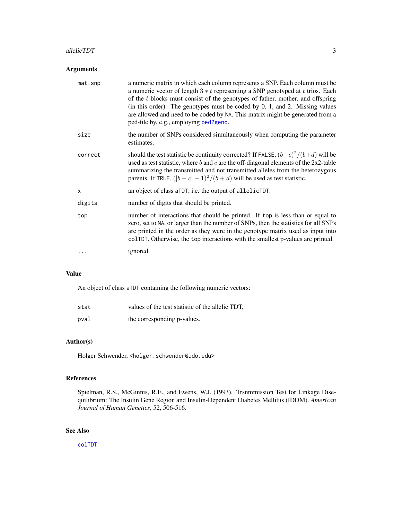#### allelicTDT 3

# Arguments

| mat.snp | a numeric matrix in which each column represents a SNP. Each column must be<br>a numeric vector of length $3 * t$ representing a SNP genotyped at t trios. Each<br>of the $t$ blocks must consist of the genotypes of father, mother, and offspring<br>(in this order). The genotypes must be coded by $0, 1$ , and $2$ . Missing values<br>are allowed and need to be coded by NA. This matrix might be generated from a<br>ped-file by, e.g., employing ped2geno. |
|---------|---------------------------------------------------------------------------------------------------------------------------------------------------------------------------------------------------------------------------------------------------------------------------------------------------------------------------------------------------------------------------------------------------------------------------------------------------------------------|
| size    | the number of SNPs considered simultaneously when computing the parameter<br>estimates.                                                                                                                                                                                                                                                                                                                                                                             |
| correct | should the test statistic be continuity corrected? If FALSE, $(b-c)^2/(b+d)$ will be<br>used as test statistic, where $b$ and $c$ are the off-diagonal elements of the 2x2-table<br>summarizing the transmitted and not transmitted alleles from the heterozygous<br>parents. If TRUE, $( b - c  - 1)^2/(b + d)$ will be used as test statistic.                                                                                                                    |
| X       | an object of class aTDT, i.e. the output of allelicTDT.                                                                                                                                                                                                                                                                                                                                                                                                             |
| digits  | number of digits that should be printed.                                                                                                                                                                                                                                                                                                                                                                                                                            |
| top     | number of interactions that should be printed. If top is less than or equal to<br>zero, set to NA, or larger than the number of SNPs, then the statistics for all SNPs<br>are printed in the order as they were in the genotype matrix used as input into<br>colTDT. Otherwise, the top interactions with the smallest p-values are printed.                                                                                                                        |
|         | ignored.                                                                                                                                                                                                                                                                                                                                                                                                                                                            |
|         |                                                                                                                                                                                                                                                                                                                                                                                                                                                                     |

# Value

An object of class aTDT containing the following numeric vectors:

| stat | values of the test statistic of the allelic TDT, |
|------|--------------------------------------------------|
| pval | the corresponding p-values.                      |

# Author(s)

Holger Schwender, <holger.schwender@udo.edu>

### References

Spielman, R.S., McGinnis, R.E., and Ewens, W.J. (1993). Trsnmmission Test for Linkage Disequilibrium: The Insulin Gene Region and Insulin-Dependent Diabetes Mellitus (IDDM). *American Journal of Human Genetics*, 52, 506-516.

# See Also

[colTDT](#page-45-1)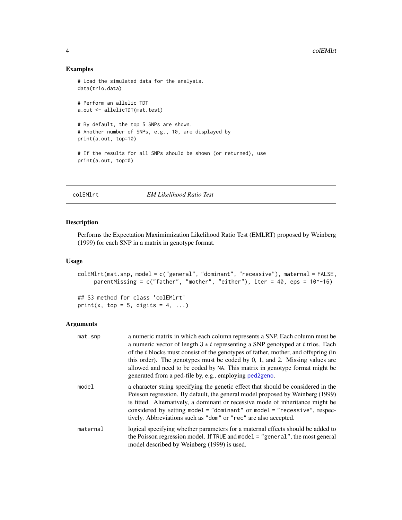### Examples

```
# Load the simulated data for the analysis.
data(trio.data)
# Perform an allelic TDT
a.out <- allelicTDT(mat.test)
# By default, the top 5 SNPs are shown.
# Another number of SNPs, e.g., 10, are displayed by
print(a.out, top=10)
# If the results for all SNPs should be shown (or returned), use
print(a.out, top=0)
```
colEMlrt *EM Likelihood Ratio Test*

# Description

Performs the Expectation Maximimization Likelihood Ratio Test (EMLRT) proposed by Weinberg (1999) for each SNP in a matrix in genotype format.

#### Usage

```
colEMlrt(mat.snp, model = c("general", "dominant", "recessive"), maternal = FALSE,
     parentMissing = c("father", "mother", "either"), iter = 40, eps = 10^-16)
```
## S3 method for class 'colEMlrt' print(x, top = 5, digits = 4, ...)

| mat.snp  | a numeric matrix in which each column represents a SNP. Each column must be<br>a numeric vector of length $3 * t$ representing a SNP genotyped at t trios. Each<br>of the t blocks must consist of the genotypes of father, mother, and offspring (in<br>this order). The genotypes must be coded by $0$ , $1$ , and $2$ . Missing values are<br>allowed and need to be coded by NA. This matrix in genotype format might be<br>generated from a ped-file by, e.g., employing ped2geno. |
|----------|-----------------------------------------------------------------------------------------------------------------------------------------------------------------------------------------------------------------------------------------------------------------------------------------------------------------------------------------------------------------------------------------------------------------------------------------------------------------------------------------|
| model    | a character string specifying the genetic effect that should be considered in the<br>Poisson regression. By default, the general model proposed by Weinberg (1999)<br>is fitted. Alternatively, a dominant or recessive mode of inheritance might be<br>considered by setting model = "dominant" or model = "recessive", respec-<br>tively. Abbreviations such as "dom" or "rec" are also accepted.                                                                                     |
| maternal | logical specifying whether parameters for a maternal effects should be added to<br>the Poisson regression model. If TRUE and model = "general", the most general<br>model described by Weinberg (1999) is used.                                                                                                                                                                                                                                                                         |

<span id="page-3-0"></span>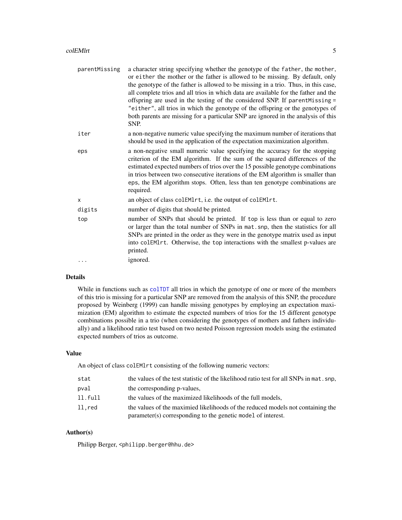#### colEMlrt 5

| parentMissing | a character string specifying whether the genotype of the father, the mother,<br>or either the mother or the father is allowed to be missing. By default, only<br>the genotype of the father is allowed to be missing in a trio. Thus, in this case,<br>all complete trios and all trios in which data are available for the father and the<br>offspring are used in the testing of the considered SNP. If parent Missing =<br>"either", all trios in which the genotype of the offspring or the genotypes of<br>both parents are missing for a particular SNP are ignored in the analysis of this<br>SNP. |
|---------------|------------------------------------------------------------------------------------------------------------------------------------------------------------------------------------------------------------------------------------------------------------------------------------------------------------------------------------------------------------------------------------------------------------------------------------------------------------------------------------------------------------------------------------------------------------------------------------------------------------|
| iter          | a non-negative numeric value specifying the maximum number of iterations that<br>should be used in the application of the expectation maximization algorithm.                                                                                                                                                                                                                                                                                                                                                                                                                                              |
| eps           | a non-negative small numeric value specifying the accuracy for the stopping<br>criterion of the EM algorithm. If the sum of the squared differences of the<br>estimated expected numbers of trios over the 15 possible genotype combinations<br>in trios between two consecutive iterations of the EM algorithm is smaller than<br>eps, the EM algorithm stops. Often, less than ten genotype combinations are<br>required.                                                                                                                                                                                |
| $\mathsf{x}$  | an object of class colEM1rt, i.e. the output of colEM1rt.                                                                                                                                                                                                                                                                                                                                                                                                                                                                                                                                                  |
| digits        | number of digits that should be printed.                                                                                                                                                                                                                                                                                                                                                                                                                                                                                                                                                                   |
| top           | number of SNPs that should be printed. If top is less than or equal to zero<br>or larger than the total number of SNPs in mat. snp, then the statistics for all<br>SNPs are printed in the order as they were in the genotype matrix used as input<br>into colEMlrt. Otherwise, the top interactions with the smallest p-values are<br>printed.                                                                                                                                                                                                                                                            |
|               | ignored.                                                                                                                                                                                                                                                                                                                                                                                                                                                                                                                                                                                                   |
|               |                                                                                                                                                                                                                                                                                                                                                                                                                                                                                                                                                                                                            |

### Details

While in functions such as [colTDT](#page-45-1) all trios in which the genotype of one or more of the members of this trio is missing for a particular SNP are removed from the analysis of this SNP, the procedure proposed by Weinberg (1999) can handle missing genotypes by employing an expectation maximization (EM) algorithm to estimate the expected numbers of trios for the 15 different genotype combinations possible in a trio (when considering the genotypes of mothers and fathers individually) and a likelihood ratio test based on two nested Poisson regression models using the estimated expected numbers of trios as outcome.

# Value

An object of class colEMlrt consisting of the following numeric vectors:

| stat    | the values of the test statistic of the likelihood ratio test for all SNPs in mat. snp.                                                         |
|---------|-------------------------------------------------------------------------------------------------------------------------------------------------|
| pval    | the corresponding p-values,                                                                                                                     |
| 11.full | the values of the maximized likelihoods of the full models,                                                                                     |
| ll.red  | the values of the maximied likelihoods of the reduced models not containing the<br>parameter(s) corresponding to the genetic model of interest. |

# Author(s)

Philipp Berger, <philipp.berger@hhu.de>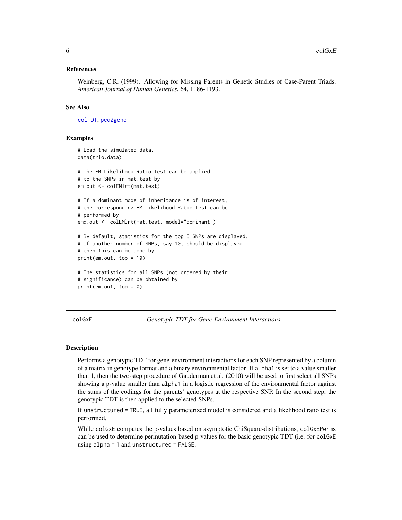### <span id="page-5-0"></span>References

Weinberg, C.R. (1999). Allowing for Missing Parents in Genetic Studies of Case-Parent Triads. *American Journal of Human Genetics*, 64, 1186-1193.

### See Also

[colTDT](#page-45-1), [ped2geno](#page-24-1)

### Examples

```
# Load the simulated data.
data(trio.data)
# The EM Likelihood Ratio Test can be applied
# to the SNPs in mat.test by
em.out <- colEMlrt(mat.test)
# If a dominant mode of inheritance is of interest,
# the corresponding EM Likelihood Ratio Test can be
# performed by
emd.out <- colEMlrt(mat.test, model="dominant")
# By default, statistics for the top 5 SNPs are displayed.
# If another number of SNPs, say 10, should be displayed,
# then this can be done by
print(em.out, top = 10)
# The statistics for all SNPs (not ordered by their
# significance) can be obtained by
print(em.out, top = 0)
```
<span id="page-5-1"></span>colGxE *Genotypic TDT for Gene-Environment Interactions*

#### Description

Performs a genotypic TDT for gene-environment interactions for each SNP represented by a column of a matrix in genotype format and a binary environmental factor. If alpha1 is set to a value smaller than 1, then the two-step procedure of Gauderman et al. (2010) will be used to first select all SNPs showing a p-value smaller than alpha1 in a logistic regression of the environmental factor against the sums of the codings for the parents' genotypes at the respective SNP. In the second step, the genotypic TDT is then applied to the selected SNPs.

If unstructured = TRUE, all fully parameterized model is considered and a likelihood ratio test is performed.

While colGxE computes the p-values based on asymptotic ChiSquare-distributions, colGxEPerms can be used to determine permutation-based p-values for the basic genotypic TDT (i.e. for colGxE using alpha = 1 and unstructured = FALSE.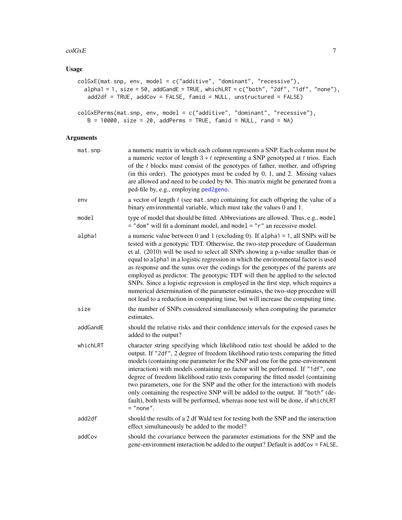#### $\text{colGxE}$  7

# Usage

```
colGxE(mat.snp, env, model = c("additive", "dominant", "recessive"),
  alpha1 = 1, size = 50, addGandE = TRUE, whichLRT = c("both", "2df", "1df", "none"),
   add2df = TRUE, addCov = FALSE, famid = NULL, unstructured = FALSE)
colGxEPerms(mat.snp, env, model = c("additive", "dominant", "recessive"),
   B = 10000, size = 20, addPerms = TRUE, famid = NULL, rand = NA)
```

| mat.snp  | a numeric matrix in which each column represents a SNP. Each column must be<br>a numeric vector of length $3 * t$ representing a SNP genotyped at t trios. Each<br>of the t blocks must consist of the genotypes of father, mother, and offspring<br>(in this order). The genotypes must be coded by $0$ , $1$ , and $2$ . Missing values<br>are allowed and need to be coded by NA. This matrix might be generated from a<br>ped-file by, e.g., employing ped2geno.                                                                                                                                                                                                                                                                                                  |
|----------|-----------------------------------------------------------------------------------------------------------------------------------------------------------------------------------------------------------------------------------------------------------------------------------------------------------------------------------------------------------------------------------------------------------------------------------------------------------------------------------------------------------------------------------------------------------------------------------------------------------------------------------------------------------------------------------------------------------------------------------------------------------------------|
| env      | a vector of length $t$ (see mat. snp) containing for each offspring the value of a<br>binary environmental variable, which must take the values 0 and 1.                                                                                                                                                                                                                                                                                                                                                                                                                                                                                                                                                                                                              |
| model    | type of model that should be fitted. Abbreviations are allowed. Thus, e.g., model<br>$=$ "dom" will fit a dominant model, and model $=$ " $r$ " an recessive model.                                                                                                                                                                                                                                                                                                                                                                                                                                                                                                                                                                                                   |
| alpha1   | a numeric value between 0 and 1 (excluding 0). If alpha1 = 1, all SNPs will be<br>tested with a genotypic TDT. Otherwise, the two-step procedure of Gauderman<br>et al. (2010) will be used to select all SNPs showing a p-value smaller than or<br>equal to alpha1 in a logistic regression in which the environmental factor is used<br>as response and the sums over the codings for the genotypes of the parents are<br>employed as predictor. The genotypic TDT will then be applied to the selected<br>SNPs. Since a logistic regression is employed in the first step, which requires a<br>numerical determination of the parameter estimates, the two-step procedure will<br>not lead to a reduction in computing time, but will increase the computing time. |
| size     | the number of SNPs considered simultaneously when computing the parameter<br>estimates.                                                                                                                                                                                                                                                                                                                                                                                                                                                                                                                                                                                                                                                                               |
| addGandE | should the relative risks and their confidence intervals for the exposed cases be<br>added to the output?                                                                                                                                                                                                                                                                                                                                                                                                                                                                                                                                                                                                                                                             |
| whichLRT | character string specifying which likelihood ratio test should be added to the<br>output. If "2df", 2 degree of freedom likelihood ratio tests comparing the fitted<br>models (containing one parameter for the SNP and one for the gene-environment<br>interaction) with models containing no factor will be performed. If "1df", one<br>degree of freedom likelihood ratio tests comparing the fitted model (containing<br>two parameters, one for the SNP and the other for the interaction) with models<br>only containing the respective SNP will be added to the output. If "both" (de-<br>fault), both tests will be performed, whereas none test will be done, if whichLRT<br>$=$ "none".                                                                     |
| add2df   | should the results of a 2 df Wald test for testing both the SNP and the interaction<br>effect simultaneously be added to the model?                                                                                                                                                                                                                                                                                                                                                                                                                                                                                                                                                                                                                                   |
| addCov   | should the covariance between the parameter estimations for the SNP and the<br>gene-environment interaction be added to the output? Default is addCov = FALSE,                                                                                                                                                                                                                                                                                                                                                                                                                                                                                                                                                                                                        |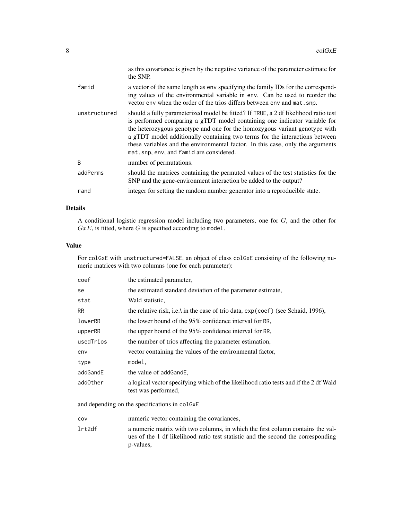|              | as this covariance is given by the negative variance of the parameter estimate for<br>the SNP.                                                                                                                                                                                                                                                                                                                                                             |
|--------------|------------------------------------------------------------------------------------------------------------------------------------------------------------------------------------------------------------------------------------------------------------------------------------------------------------------------------------------------------------------------------------------------------------------------------------------------------------|
| famid        | a vector of the same length as env specifying the family IDs for the correspond-<br>ing values of the environmental variable in env. Can be used to reorder the<br>vector env when the order of the trios differs between env and mat. snp.                                                                                                                                                                                                                |
| unstructured | should a fully parameterized model be fitted? If TRUE, a 2 df likelihood ratio test<br>is performed comparing a gTDT model containing one indicator variable for<br>the heterozygous genotype and one for the homozygous variant genotype with<br>a gTDT model additionally containing two terms for the interactions between<br>these variables and the environmental factor. In this case, only the arguments<br>mat.snp, env, and famid are considered. |
| B            | number of permutations.                                                                                                                                                                                                                                                                                                                                                                                                                                    |
| addPerms     | should the matrices containing the permuted values of the test statistics for the<br>SNP and the gene-environment interaction be added to the output?                                                                                                                                                                                                                                                                                                      |
| rand         | integer for setting the random number generator into a reproducible state.                                                                                                                                                                                                                                                                                                                                                                                 |

### Details

A conditional logistic regression model including two parameters, one for G, and the other for  $GxE$ , is fitted, where G is specified according to model.

# Value

For colGxE with unstructured=FALSE, an object of class colGxE consisting of the following numeric matrices with two columns (one for each parameter):

| the estimated parameter,                                                                                    |
|-------------------------------------------------------------------------------------------------------------|
| the estimated standard deviation of the parameter estimate,                                                 |
| Wald statistic.                                                                                             |
| the relative risk, i.e.) in the case of trio data, $\exp(\text{coef})$ (see Schaid, 1996),                  |
| the lower bound of the 95% confidence interval for RR,                                                      |
| the upper bound of the 95% confidence interval for RR,                                                      |
| the number of trios affecting the parameter estimation,                                                     |
| vector containing the values of the environmental factor,                                                   |
| model.                                                                                                      |
| the value of add Gand E,                                                                                    |
| a logical vector specifying which of the likelihood ratio tests and if the 2 df Wald<br>test was performed, |
|                                                                                                             |

and depending on the specifications in colGxE

cov numeric vector containing the covariances,

lrt2df a numeric matrix with two columns, in which the first column contains the values of the 1 df likelihood ratio test statistic and the second the corresponding p-values,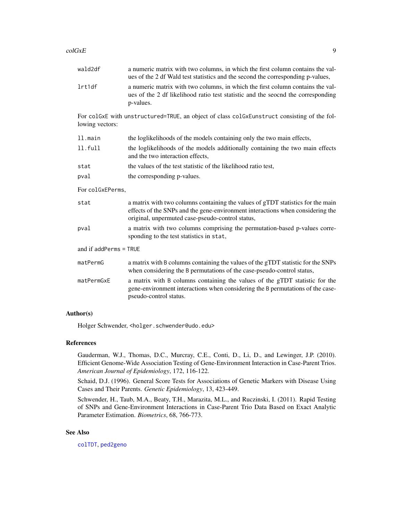#### $\text{colGxE}$  9

| wald2df                  | a numeric matrix with two columns, in which the first column contains the val-<br>ues of the 2 df Wald test statistics and the second the corresponding p-values,                                                     |  |
|--------------------------|-----------------------------------------------------------------------------------------------------------------------------------------------------------------------------------------------------------------------|--|
| lrt1df                   | a numeric matrix with two columns, in which the first column contains the val-<br>ues of the 2 df likelihood ratio test statistic and the seocnd the corresponding<br>p-values.                                       |  |
| lowing vectors:          | For colGxE with unstructured=TRUE, an object of class colGxEunstruct consisting of the fol-                                                                                                                           |  |
| ll.main                  | the loglikelihoods of the models containing only the two main effects,                                                                                                                                                |  |
| 11.full                  | the loglikelihoods of the models additionally containing the two main effects<br>and the two interaction effects,                                                                                                     |  |
| stat                     | the values of the test statistic of the likelihood ratio test,                                                                                                                                                        |  |
| pval                     | the corresponding p-values.                                                                                                                                                                                           |  |
| For colGxEPerms,         |                                                                                                                                                                                                                       |  |
| stat                     | a matrix with two columns containing the values of gTDT statistics for the main<br>effects of the SNPs and the gene-environment interactions when considering the<br>original, unpermuted case-pseudo-control status, |  |
| pval                     | a matrix with two columns comprising the permutation-based p-values corre-<br>sponding to the test statistics in stat,                                                                                                |  |
| and if $addPerms = TRUE$ |                                                                                                                                                                                                                       |  |
| matPermG                 | a matrix with B columns containing the values of the gTDT statistic for the SNPs<br>when considering the B permutations of the case-pseudo-control status,                                                            |  |
| matPermGxE               | a matrix with B columns containing the values of the gTDT statistic for the<br>gene-environment interactions when considering the B permutations of the case-<br>pseudo-control status.                               |  |
|                          |                                                                                                                                                                                                                       |  |

# Author(s)

Holger Schwender, <holger.schwender@udo.edu>

#### References

Gauderman, W.J., Thomas, D.C., Murcray, C.E., Conti, D., Li, D., and Lewinger, J.P. (2010). Efficient Genome-Wide Association Testing of Gene-Environment Interaction in Case-Parent Trios. *American Journal of Epidemiology*, 172, 116-122.

Schaid, D.J. (1996). General Score Tests for Associations of Genetic Markers with Disease Using Cases and Their Parents. *Genetic Epidemiology*, 13, 423-449.

Schwender, H., Taub, M.A., Beaty, T.H., Marazita, M.L., and Ruczinski, I. (2011). Rapid Testing of SNPs and Gene-Environment Interactions in Case-Parent Trio Data Based on Exact Analytic Parameter Estimation. *Biometrics*, 68, 766-773.

# See Also

[colTDT](#page-45-1), [ped2geno](#page-24-1)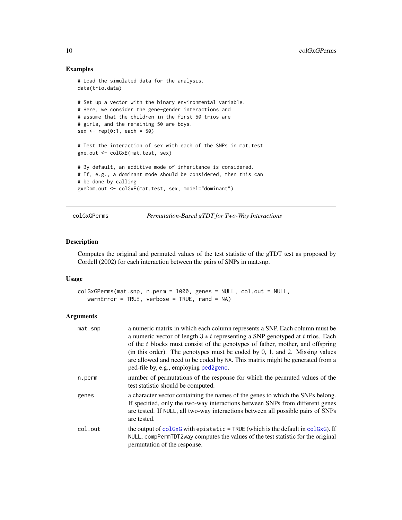### Examples

```
# Load the simulated data for the analysis.
data(trio.data)
# Set up a vector with the binary environmental variable.
# Here, we consider the gene-gender interactions and
# assume that the children in the first 50 trios are
# girls, and the remaining 50 are boys.
sex <- rep(0:1, each = 50)
# Test the interaction of sex with each of the SNPs in mat.test
gxe.out <- colGxE(mat.test, sex)
# By default, an additive mode of inheritance is considered.
# If, e.g., a dominant mode should be considered, then this can
# be done by calling
gxeDom.out <- colGxE(mat.test, sex, model="dominant")
```
colGxGPerms *Permutation-Based gTDT for Two-Way Interactions*

# Description

Computes the original and permuted values of the test statistic of the gTDT test as proposed by Cordell (2002) for each interaction between the pairs of SNPs in mat.snp.

#### Usage

```
colGxGPerms(mat.snp, n.perm = 1000, genes = NULL, col.out = NULL,
   warnError = TRUE, verbose = TRUE, rand = NA)
```

| mat.snp | a numeric matrix in which each column represents a SNP. Each column must be<br>a numeric vector of length $3 * t$ representing a SNP genotyped at t trios. Each                                                                                                                                |
|---------|------------------------------------------------------------------------------------------------------------------------------------------------------------------------------------------------------------------------------------------------------------------------------------------------|
|         | of the t blocks must consist of the genotypes of father, mother, and offspring<br>(in this order). The genotypes must be coded by $0, 1$ , and $2$ . Missing values<br>are allowed and need to be coded by NA. This matrix might be generated from a<br>ped-file by, e.g., employing ped2geno. |
| n.perm  | number of permutations of the response for which the permuted values of the<br>test statistic should be computed.                                                                                                                                                                              |
| genes   | a character vector containing the names of the genes to which the SNPs belong.<br>If specified, only the two-way interactions between SNPs from different genes<br>are tested. If NULL, all two-way interactions between all possible pairs of SNPs<br>are tested.                             |
| col.out | the output of coloxg with epistatic $=$ TRUE (which is the default in coloxg). If<br>NULL, compPermTDT2way computes the values of the test statistic for the original<br>permutation of the response.                                                                                          |

<span id="page-9-0"></span>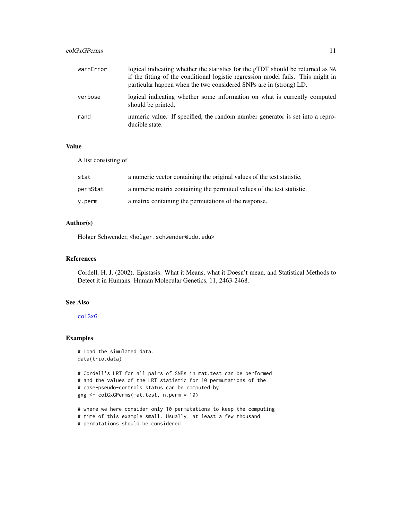# colGxGPerms 11

| warnError | logical indicating whether the statistics for the gTDT should be returned as NA<br>if the fitting of the conditional logistic regression model fails. This might in<br>particular happen when the two considered SNPs are in (strong) LD. |
|-----------|-------------------------------------------------------------------------------------------------------------------------------------------------------------------------------------------------------------------------------------------|
| verbose   | logical indicating whether some information on what is currently computed<br>should be printed.                                                                                                                                           |
| rand      | numeric value. If specified, the random number generator is set into a repro-<br>ducible state.                                                                                                                                           |

# Value

A list consisting of

| stat     | a numeric vector containing the original values of the test statistic, |
|----------|------------------------------------------------------------------------|
| permStat | a numeric matrix containing the permuted values of the test statistic, |
| y.perm   | a matrix containing the permutations of the response.                  |

# Author(s)

Holger Schwender, <holger.schwender@udo.edu>

# References

Cordell, H. J. (2002). Epistasis: What it Means, what it Doesn't mean, and Statistical Methods to Detect it in Humans. Human Molecular Genetics, 11, 2463-2468.

# See Also

# [colGxG](#page-47-1)

### Examples

```
# Load the simulated data.
data(trio.data)
# Cordell's LRT for all pairs of SNPs in mat.test can be performed
# and the values of the LRT statistic for 10 permutations of the
# case-pseudo-controls status can be computed by
gxg <- colGxGPerms(mat.test, n.perm = 10)
# where we here consider only 10 permutations to keep the computing
```
# time of this example small. Usually, at least a few thousand

# permutations should be considered.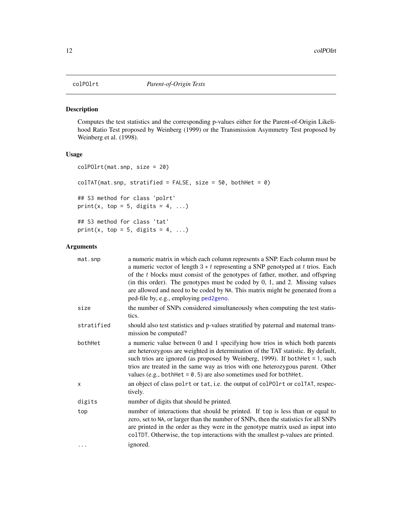<span id="page-11-0"></span>

# Description

Computes the test statistics and the corresponding p-values either for the Parent-of-Origin Likelihood Ratio Test proposed by Weinberg (1999) or the Transmission Asymmetry Test proposed by Weinberg et al. (1998).

### Usage

```
colPOlrt(mat.snp, size = 20)
colTAT(mat.snp, stratified = FALSE, size = 50, bothHet = 0)## S3 method for class 'polrt'
print(x, top = 5, digits = 4, ...)
## S3 method for class 'tat'
print(x, top = 5, digits = 4, ...)
```

| mat.snp    | a numeric matrix in which each column represents a SNP. Each column must be<br>a numeric vector of length $3 * t$ representing a SNP genotyped at t trios. Each<br>of the t blocks must consist of the genotypes of father, mother, and offspring<br>(in this order). The genotypes must be coded by $0$ , $1$ , and $2$ . Missing values<br>are allowed and need to be coded by NA. This matrix might be generated from a<br>ped-file by, e.g., employing ped2geno. |
|------------|----------------------------------------------------------------------------------------------------------------------------------------------------------------------------------------------------------------------------------------------------------------------------------------------------------------------------------------------------------------------------------------------------------------------------------------------------------------------|
| size       | the number of SNPs considered simultaneously when computing the test statis-<br>tics.                                                                                                                                                                                                                                                                                                                                                                                |
| stratified | should also test statistics and p-values stratified by paternal and maternal trans-<br>mission be computed?                                                                                                                                                                                                                                                                                                                                                          |
| bothHet    | a numeric value between 0 and 1 specifying how trios in which both parents<br>are heterozygous are weighted in determination of the TAT statistic. By default,<br>such trios are ignored (as proposed by Weinberg, 1999). If both Het $= 1$ , such<br>trios are treated in the same way as trios with one heterozygous parent. Other<br>values (e.g., both Het = $0.5$ ) are also sometimes used for both Het.                                                       |
| x          | an object of class polrt or tat, i.e. the output of colPOlrt or colTAT, respec-<br>tively.                                                                                                                                                                                                                                                                                                                                                                           |
| digits     | number of digits that should be printed.                                                                                                                                                                                                                                                                                                                                                                                                                             |
| top        | number of interactions that should be printed. If top is less than or equal to<br>zero, set to NA, or larger than the number of SNPs, then the statistics for all SNPs<br>are printed in the order as they were in the genotype matrix used as input into<br>colTDT. Otherwise, the top interactions with the smallest p-values are printed.                                                                                                                         |
| $\ddots$   | ignored.                                                                                                                                                                                                                                                                                                                                                                                                                                                             |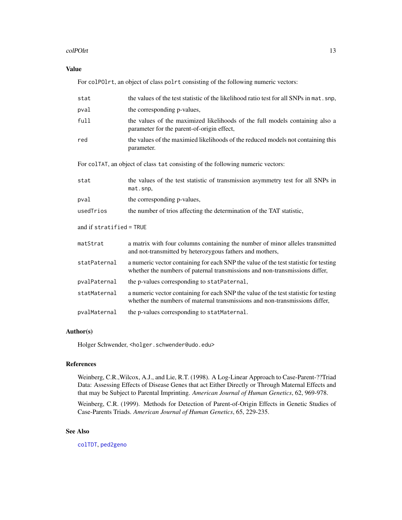### colPOlrt 13

# Value

For colPOlrt, an object of class polrt consisting of the following numeric vectors:

| stat                     | the values of the test statistic of the likelihood ratio test for all SNPs in mat. snp.                                                                             |  |
|--------------------------|---------------------------------------------------------------------------------------------------------------------------------------------------------------------|--|
| pval                     | the corresponding p-values,                                                                                                                                         |  |
| full                     | the values of the maximized likelihoods of the full models containing also a<br>parameter for the parent-of-origin effect,                                          |  |
| red                      | the values of the maximied likelihoods of the reduced models not containing this<br>parameter.                                                                      |  |
|                          | For colTAT, an object of class tat consisting of the following numeric vectors:                                                                                     |  |
| stat                     | the values of the test statistic of transmission asymmetry test for all SNPs in<br>mat.snp,                                                                         |  |
| pval                     | the corresponding p-values,                                                                                                                                         |  |
| usedTrios                | the number of trios affecting the determination of the TAT statistic,                                                                                               |  |
| and if stratified = TRUE |                                                                                                                                                                     |  |
| matStrat                 | a matrix with four columns containing the number of minor alleles transmitted<br>and not-transmitted by heterozygous fathers and mothers,                           |  |
| statPaternal             | a numeric vector containing for each SNP the value of the test statistic for testing<br>whether the numbers of paternal transmissions and non-transmissions differ, |  |
| pvalPaternal             | the p-values corresponding to statPaternal,                                                                                                                         |  |
| statMaternal             | a numeric vector containing for each SNP the value of the test statistic for testing<br>whether the numbers of maternal transmissions and non-transmissions differ, |  |
| pvalMaternal             | the p-values corresponding to statMaternal.                                                                                                                         |  |

# Author(s)

Holger Schwender, <holger.schwender@udo.edu>

# References

Weinberg, C.R.,Wilcox, A.J., and Lie, R.T. (1998). A Log-Linear Approach to Case-Parent-??Triad Data: Assessing Effects of Disease Genes that act Either Directly or Through Maternal Effects and that may be Subject to Parental Imprinting. *American Journal of Human Genetics*, 62, 969-978.

Weinberg, C.R. (1999). Methods for Detection of Parent-of-Origin Effects in Genetic Studies of Case-Parents Triads. *American Journal of Human Genetics*, 65, 229-235.

# See Also

[colTDT](#page-45-1), [ped2geno](#page-24-1)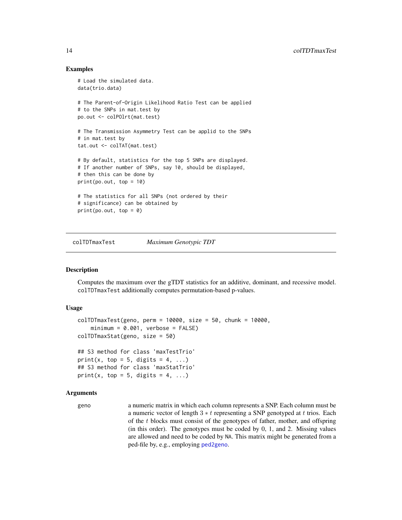# Examples

```
# Load the simulated data.
data(trio.data)
# The Parent-of-Origin Likelihood Ratio Test can be applied
# to the SNPs in mat.test by
po.out <- colPOlrt(mat.test)
# The Transmission Asymmetry Test can be applid to the SNPs
# in mat.test by
tat.out <- colTAT(mat.test)
# By default, statistics for the top 5 SNPs are displayed.
# If another number of SNPs, say 10, should be displayed,
# then this can be done by
print(po.out, top = 10)# The statistics for all SNPs (not ordered by their
# significance) can be obtained by
print(po.out, top = 0)
```
colTDTmaxTest *Maximum Genotypic TDT*

# <span id="page-13-1"></span>Description

Computes the maximum over the gTDT statistics for an additive, dominant, and recessive model. colTDTmaxTest additionally computes permutation-based p-values.

# Usage

```
colIDTransTest(geno, perm = 10000, size = 50, chunk = 10000,minimum = 0.001, verbose = FALSE)
colTDTmaxStat(geno, size = 50)
## S3 method for class 'maxTestTrio'
print(x, top = 5, digits = 4, ...)
## S3 method for class 'maxStatTrio'
print(x, top = 5, digits = 4, ...)
```
### Arguments

geno a numeric matrix in which each column represents a SNP. Each column must be a numeric vector of length  $3 * t$  representing a SNP genotyped at t trios. Each of the t blocks must consist of the genotypes of father, mother, and offspring (in this order). The genotypes must be coded by 0, 1, and 2. Missing values are allowed and need to be coded by NA. This matrix might be generated from a ped-file by, e.g., employing [ped2geno](#page-24-1).

<span id="page-13-0"></span>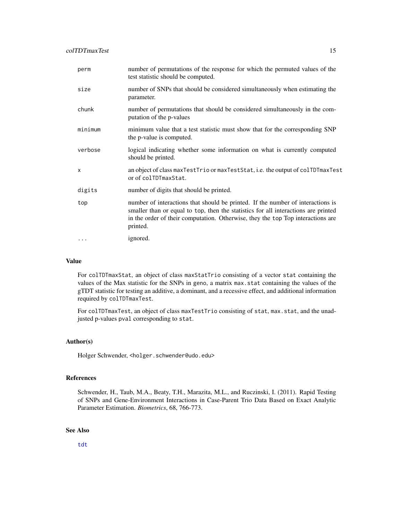| perm    | number of permutations of the response for which the permuted values of the<br>test statistic should be computed.                                                                                                                                                    |
|---------|----------------------------------------------------------------------------------------------------------------------------------------------------------------------------------------------------------------------------------------------------------------------|
| size    | number of SNPs that should be considered simultaneously when estimating the<br>parameter.                                                                                                                                                                            |
| chunk   | number of permutations that should be considered simultaneously in the com-<br>putation of the p-values                                                                                                                                                              |
| minimum | minimum value that a test statistic must show that for the corresponding SNP<br>the p-value is computed.                                                                                                                                                             |
| verbose | logical indicating whether some information on what is currently computed<br>should be printed.                                                                                                                                                                      |
| x       | an object of class maxTestTrio or maxTestStat, i.e. the output of colTDTmaxTest<br>or of colTDTmaxStat.                                                                                                                                                              |
| digits  | number of digits that should be printed.                                                                                                                                                                                                                             |
| top     | number of interactions that should be printed. If the number of interactions is<br>smaller than or equal to top, then the statistics for all interactions are printed<br>in the order of their computation. Otherwise, they the top Top interactions are<br>printed. |
| $\cdot$ | ignored.                                                                                                                                                                                                                                                             |

# Value

For colTDTmaxStat, an object of class maxStatTrio consisting of a vector stat containing the values of the Max statistic for the SNPs in geno, a matrix max. stat containing the values of the gTDT statistic for testing an additive, a dominant, and a recessive effect, and additional information required by colTDTmaxTest.

For colTDTmaxTest, an object of class maxTestTrio consisting of stat, max.stat, and the unadjusted p-values pval corresponding to stat.

#### Author(s)

Holger Schwender, <holger.schwender@udo.edu>

### References

Schwender, H., Taub, M.A., Beaty, T.H., Marazita, M.L., and Ruczinski, I. (2011). Rapid Testing of SNPs and Gene-Environment Interactions in Case-Parent Trio Data Based on Exact Analytic Parameter Estimation. *Biometrics*, 68, 766-773.

# See Also

[tdt](#page-45-2)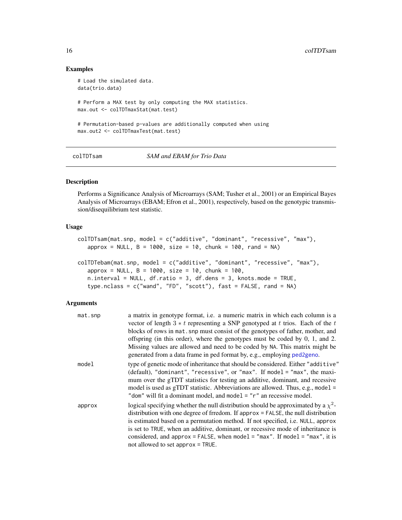### Examples

```
# Load the simulated data.
data(trio.data)
# Perform a MAX test by only computing the MAX statistics.
max.out <- colTDTmaxStat(mat.test)
# Permutation-based p-values are additionally computed when using
max.out2 <- colTDTmaxTest(mat.test)
```
colTDTsam *SAM and EBAM for Trio Data*

#### Description

Performs a Significance Analysis of Microarrays (SAM; Tusher et al., 2001) or an Empirical Bayes Analysis of Microarrays (EBAM; Efron et al., 2001), respectively, based on the genotypic transmission/disequilibrium test statistic.

# Usage

```
colTDTsam(mat.snp, model = c("additive", "dominant", "recessive", "max"),
   approx = NULL, B = 1000, size = 10, chunk = 100, rand = NA)
colTDTebam(mat.snp, model = c("additive", "dominant", "recessive", "max"),
   approx = NULL, B = 1000, size = 10, chunk = 100,n.interval = NULL, df.ratio = 3, df.dens = 3, knots.mode = TRUE,
   type.nclass = c("wand", "FD", "scott"), fast = FALSE, rand = NA)
```

| mat.snp | a matrix in genotype format, i.e. a numeric matrix in which each column is a<br>vector of length $3 * t$ representing a SNP genotyped at t trios. Each of the t                                                                                                                                                                                                                                                   |
|---------|-------------------------------------------------------------------------------------------------------------------------------------------------------------------------------------------------------------------------------------------------------------------------------------------------------------------------------------------------------------------------------------------------------------------|
|         | blocks of rows in mat. snp must consist of the genotypes of father, mother, and                                                                                                                                                                                                                                                                                                                                   |
|         | offspring (in this order), where the genotypes must be coded by $0, 1$ , and $2$ .                                                                                                                                                                                                                                                                                                                                |
|         | Missing values are allowed and need to be coded by NA. This matrix might be                                                                                                                                                                                                                                                                                                                                       |
|         | generated from a data frame in ped format by, e.g., employing ped2geno.                                                                                                                                                                                                                                                                                                                                           |
| model   | type of genetic mode of inheritance that should be considered. Either "additive"<br>(default), "dominant", "recessive", or "max". If model = "max", the maxi-<br>mum over the gTDT statistics for testing an additive, dominant, and recessive<br>model is used as gTDT statistic. Abbreviations are allowed. Thus, e.g., model $=$<br>"dom" will fit a dominant model, and model $=$ " $r$ " an recessive model. |
| approx  | logical specifying whether the null distribution should be approximated by a $\chi^2$ -                                                                                                                                                                                                                                                                                                                           |
|         | distribution with one degree of frredom. If approx = FALSE, the null distribution<br>is estimated based on a permutation method. If not specified, i.e. NULL, approx                                                                                                                                                                                                                                              |
|         | is set to TRUE, when an additive, dominant, or recessive mode of inheritance is                                                                                                                                                                                                                                                                                                                                   |
|         | considered, and approx = FALSE, when model = "max". If model = "max", it is                                                                                                                                                                                                                                                                                                                                       |
|         | not allowed to set approx $=$ TRUE.                                                                                                                                                                                                                                                                                                                                                                               |

<span id="page-15-0"></span>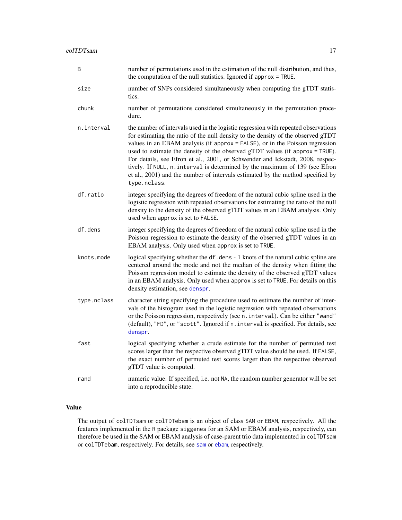| Β           | number of permutations used in the estimation of the null distribution, and thus,<br>the computation of the null statistics. Ignored if approx = TRUE.                                                                                                                                                                                                                                                                                                                                                                                                                                                   |
|-------------|----------------------------------------------------------------------------------------------------------------------------------------------------------------------------------------------------------------------------------------------------------------------------------------------------------------------------------------------------------------------------------------------------------------------------------------------------------------------------------------------------------------------------------------------------------------------------------------------------------|
| size        | number of SNPs considered simultaneously when computing the gTDT statis-<br>tics.                                                                                                                                                                                                                                                                                                                                                                                                                                                                                                                        |
| chunk       | number of permutations considered simultaneously in the permutation proce-<br>dure.                                                                                                                                                                                                                                                                                                                                                                                                                                                                                                                      |
| n.interval  | the number of intervals used in the logistic regression with repeated observations<br>for estimating the ratio of the null density to the density of the observed gTDT<br>values in an EBAM analysis (if approx = FALSE), or in the Poisson regression<br>used to estimate the density of the observed gTDT values (if approx = TRUE).<br>For details, see Efron et al., 2001, or Schwender and Ickstadt, 2008, respec-<br>tively. If NULL, n. interval is determined by the maximum of 139 (see Efron<br>et al., 2001) and the number of intervals estimated by the method specified by<br>type.nclass. |
| df.ratio    | integer specifying the degrees of freedom of the natural cubic spline used in the<br>logistic regression with repeated observations for estimating the ratio of the null<br>density to the density of the observed gTDT values in an EBAM analysis. Only<br>used when approx is set to FALSE.                                                                                                                                                                                                                                                                                                            |
| df.dens     | integer specifying the degrees of freedom of the natural cubic spline used in the<br>Poisson regression to estimate the density of the observed gTDT values in an<br>EBAM analysis. Only used when approx is set to TRUE.                                                                                                                                                                                                                                                                                                                                                                                |
| knots.mode  | logical specifying whether the df.dens - 1 knots of the natural cubic spline are<br>centered around the mode and not the median of the density when fitting the<br>Poisson regression model to estimate the density of the observed gTDT values<br>in an EBAM analysis. Only used when approx is set to TRUE. For details on this<br>density estimation, see denspr.                                                                                                                                                                                                                                     |
| type.nclass | character string specifying the procedure used to estimate the number of inter-<br>vals of the histogram used in the logistic regression with repeated observations<br>or the Poisson regression, respectively (see n. interval). Can be either "wand"<br>(default), "FD", or "scott". Ignored if n. interval is specified. For details, see<br>denspr.                                                                                                                                                                                                                                                  |
| fast        | logical specifying whether a crude estimate for the number of permuted test<br>scores larger than the respective observed gTDT value should be used. If FALSE,<br>the exact number of permuted test scores larger than the respective observed<br>gTDT value is computed.                                                                                                                                                                                                                                                                                                                                |
| rand        | numeric value. If specified, i.e. not NA, the random number generator will be set<br>into a reproducible state.                                                                                                                                                                                                                                                                                                                                                                                                                                                                                          |

# Value

The output of colTDTsam or colTDTebam is an object of class SAM or EBAM, respectively. All the features implemented in the R package siggenes for an SAM or EBAM analysis, respectively, can therefore be used in the SAM or EBAM analysis of case-parent trio data implemented in colTDTsam or colTDTebam, respectively. For details, see [sam](#page-0-0) or [ebam](#page-0-0), respectively.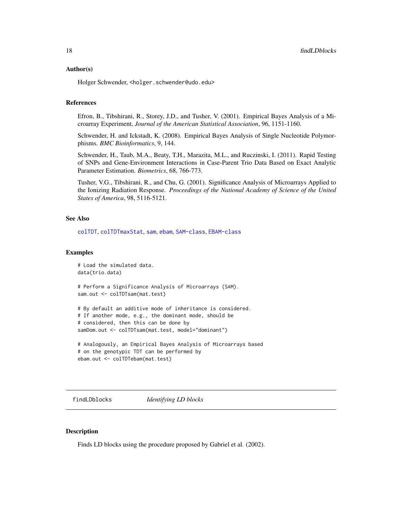#### <span id="page-17-0"></span>Author(s)

Holger Schwender, <holger.schwender@udo.edu>

### References

Efron, B., Tibshirani, R., Storey, J.D., and Tusher, V. (2001). Empirical Bayes Analysis of a Microarray Experiment, *Journal of the American Statistical Association*, 96, 1151-1160.

Schwender, H. and Ickstadt, K. (2008). Empirical Bayes Analysis of Single Nucleotide Polymorphisms. *BMC Bioinformatics*, 9, 144.

Schwender, H., Taub, M.A., Beaty, T.H., Marazita, M.L., and Ruczinski, I. (2011). Rapid Testing of SNPs and Gene-Environment Interactions in Case-Parent Trio Data Based on Exact Analytic Parameter Estimation. *Biometrics*, 68, 766-773.

Tusher, V.G., Tibshirani, R., and Chu, G. (2001). Significance Analysis of Microarrays Applied to the Ionizing Radiation Response. *Proceedings of the National Academy of Science of the United States of America*, 98, 5116-5121.

#### See Also

[colTDT](#page-45-1), [colTDTmaxStat](#page-13-1), [sam](#page-0-0), [ebam](#page-0-0), [SAM-class](#page-0-0), [EBAM-class](#page-0-0)

# Examples

```
# Load the simulated data.
data(trio.data)
# Perform a Significance Analysis of Microarrays (SAM).
sam.out <- colTDTsam(mat.test)
# By default an additive mode of inheritance is considered.
# If another mode, e.g., the dominant mode, should be
# considered, then this can be done by
samDom.out <- colTDTsam(mat.test, model="dominant")
# Analogously, an Empirical Bayes Analysis of Microarrays based
# on the genotypic TDT can be performed by
ebam.out <- colTDTebam(mat.test)
```
<span id="page-17-1"></span>findLDblocks *Identifying LD blocks*

#### **Description**

Finds LD blocks using the procedure proposed by Gabriel et al. (2002).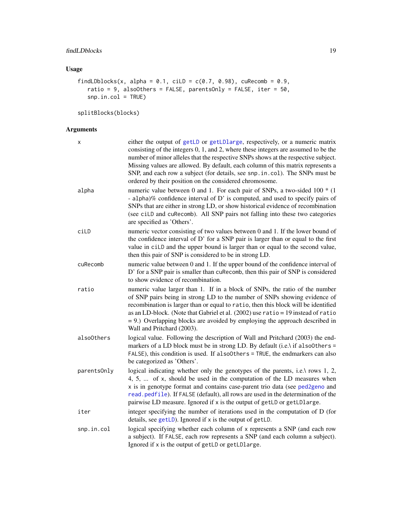# Usage

```
findLDblocks(x, alpha = 0.1, ciLD = c(0.7, 0.98), cuRecomb = 0.9,
   ratio = 9, alsoOthers = FALSE, parentsOnly = FALSE, iter = 50,
   snp.in.col = TRUE)
```
splitBlocks(blocks)

| X           | either the output of getLD or getLDlarge, respectively, or a numeric matrix<br>consisting of the integers 0, 1, and 2, where these integers are assumed to be the<br>number of minor alleles that the respective SNPs shows at the respective subject.<br>Missing values are allowed. By default, each column of this matrix represents a<br>SNP, and each row a subject (for details, see snp. in. col). The SNPs must be<br>ordered by their position on the considered chromosome. |
|-------------|---------------------------------------------------------------------------------------------------------------------------------------------------------------------------------------------------------------------------------------------------------------------------------------------------------------------------------------------------------------------------------------------------------------------------------------------------------------------------------------|
| alpha       | numeric value between 0 and 1. For each pair of SNPs, a two-sided 100 $*$ (1)<br>- alpha)% confidence interval of D' is computed, and used to specify pairs of<br>SNPs that are either in strong LD, or show historical evidence of recombination<br>(see ciLD and cuRecomb). All SNP pairs not falling into these two categories<br>are specified as 'Others'.                                                                                                                       |
| ciLD        | numeric vector consisting of two values between 0 and 1. If the lower bound of<br>the confidence interval of D' for a SNP pair is larger than or equal to the first<br>value in ciLD and the upper bound is larger than or equal to the second value,<br>then this pair of SNP is considered to be in strong LD.                                                                                                                                                                      |
| cuRecomb    | numeric value between 0 and 1. If the upper bound of the confidence interval of<br>D' for a SNP pair is smaller than cuRecomb, then this pair of SNP is considered<br>to show evidence of recombination.                                                                                                                                                                                                                                                                              |
| ratio       | numeric value larger than 1. If in a block of SNPs, the ratio of the number<br>of SNP pairs being in strong LD to the number of SNPs showing evidence of<br>recombination is larger than or equal to ratio, then this block will be identified<br>as an LD-block. (Note that Gabriel et al. (2002) use ratio = 19 instead of ratio<br>$= 9$ .) Overlapping blocks are avoided by employing the approach described in<br>Wall and Pritchard (2003).                                    |
| alsoOthers  | logical value. Following the description of Wall and Pritchard (2003) the end-<br>markers of a LD block must be in strong LD. By default (i.e.) if also0thers =<br>FALSE), this condition is used. If alsoOthers = TRUE, the endmarkers can also<br>be categorized as 'Others'.                                                                                                                                                                                                       |
| parentsOnly | logical indicating whether only the genotypes of the parents, i.e.\ rows 1, 2,<br>4, 5,  of x, should be used in the computation of the LD measures when<br>x is in genotype format and contains case-parent trio data (see ped2geno and<br>read.pedfile). If FALSE (default), all rows are used in the determination of the<br>pairwise LD measure. Ignored if x is the output of getLD or getLDlarge.                                                                               |
| iter        | integer specifying the number of iterations used in the computation of D (for<br>details, see getLD). Ignored if x is the output of getLD.                                                                                                                                                                                                                                                                                                                                            |
| snp.in.col  | logical specifying whether each column of x represents a SNP (and each row<br>a subject). If FALSE, each row represents a SNP (and each column a subject).<br>Ignored if x is the output of getLD or getLDlarge.                                                                                                                                                                                                                                                                      |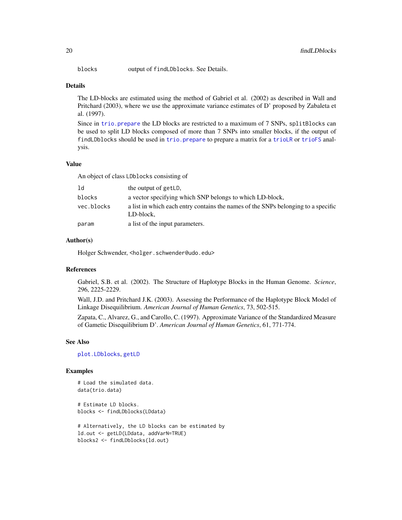blocks output of findLDblocks. See Details.

# Details

The LD-blocks are estimated using the method of Gabriel et al. (2002) as described in Wall and Pritchard (2003), where we use the approximate variance estimates of D' proposed by Zabaleta et al. (1997).

Since in trio. prepare the LD blocks are restricted to a maximum of 7 SNPs, splitBlocks can be used to split LD blocks composed of more than 7 SNPs into smaller blocks, if the output of findLDblocks should be used in [trio.prepare](#page-57-1) to prepare a matrix for a [trioLR](#page-65-1) or [trioFS](#page-62-1) analysis.

### Value

An object of class LDblocks consisting of

| ld         | the output of getLD,                                                                           |
|------------|------------------------------------------------------------------------------------------------|
| blocks     | a vector specifying which SNP belongs to which LD-block.                                       |
| vec.blocks | a list in which each entry contains the names of the SNPs belonging to a specific<br>LD-block. |
| param      | a list of the input parameters.                                                                |

#### Author(s)

Holger Schwender, <holger.schwender@udo.edu>

### References

Gabriel, S.B. et al. (2002). The Structure of Haplotype Blocks in the Human Genome. *Science*, 296, 2225-2229.

Wall, J.D. and Pritchard J.K. (2003). Assessing the Performance of the Haplotype Block Model of Linkage Disequilibrium. *American Journal of Human Genetics*, 73, 502-515.

Zapata, C., Alvarez, G., and Carollo, C. (1997). Approximate Variance of the Standardized Measure of Gametic Disequilibrium D'. *American Journal of Human Genetics*, 61, 771-774.

#### See Also

[plot.LDblocks](#page-27-1), [getLD](#page-20-1)

#### Examples

# Load the simulated data. data(trio.data)

# Estimate LD blocks. blocks <- findLDblocks(LDdata)

```
# Alternatively, the LD blocks can be estimated by
ld.out <- getLD(LDdata, addVarN=TRUE)
blocks2 <- findLDblocks(ld.out)
```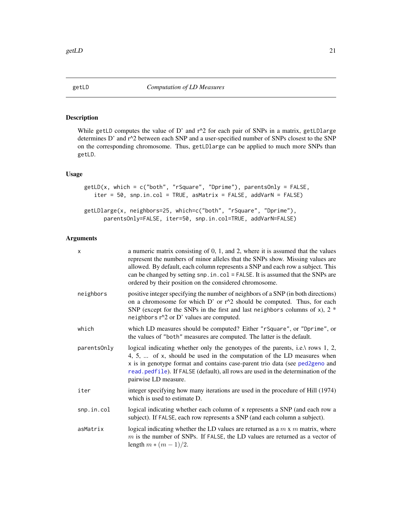<span id="page-20-1"></span><span id="page-20-0"></span>

# <span id="page-20-2"></span>Description

While getLD computes the value of D' and  $r^2$  for each pair of SNPs in a matrix, getLDlarge determines D' and r^2 between each SNP and a user-specified number of SNPs closest to the SNP on the corresponding chromosome. Thus, getLDlarge can be applied to much more SNPs than getLD.

# Usage

```
getLD(x, which = c("both", "rSquare", "Dprime"), parentsOnly = FALSE,
   iter = 50, snp.in.col = TRUE, asMatrix = FALSE, addVarN = FALSE)
getLDlarge(x, neighbors=25, which=c("both", "rSquare", "Dprime"),
     parentsOnly=FALSE, iter=50, snp.in.col=TRUE, addVarN=FALSE)
```

| X           | a numeric matrix consisting of 0, 1, and 2, where it is assumed that the values<br>represent the numbers of minor alleles that the SNPs show. Missing values are<br>allowed. By default, each column represents a SNP and each row a subject. This<br>can be changed by setting snp. in. col = FALSE. It is assumed that the SNPs are<br>ordered by their position on the considered chromosome. |
|-------------|--------------------------------------------------------------------------------------------------------------------------------------------------------------------------------------------------------------------------------------------------------------------------------------------------------------------------------------------------------------------------------------------------|
| neighbors   | positive integer specifying the number of neighbors of a SNP (in both directions)<br>on a chromosome for which D' or $r^2$ should be computed. Thus, for each<br>SNP (except for the SNPs in the first and last neighbors columns of $x$ ), 2 $*$<br>neighbors $r^2$ or D' values are computed.                                                                                                  |
| which       | which LD measures should be computed? Either "rSquare", or "Dprime", or<br>the values of "both" measures are computed. The latter is the default.                                                                                                                                                                                                                                                |
| parentsOnly | logical indicating whether only the genotypes of the parents, i.e. \ rows $1, 2$ ,<br>4, 5,  of x, should be used in the computation of the LD measures when<br>x is in genotype format and contains case-parent trio data (see ped2geno and<br>read.pedfile). If FALSE (default), all rows are used in the determination of the<br>pairwise LD measure.                                         |
| iter        | integer specifying how many iterations are used in the procedure of Hill (1974)<br>which is used to estimate D.                                                                                                                                                                                                                                                                                  |
| snp.in.col  | logical indicating whether each column of x represents a SNP (and each row a<br>subject). If FALSE, each row represents a SNP (and each column a subject).                                                                                                                                                                                                                                       |
| asMatrix    | logical indicating whether the LD values are returned as a $m \times m$ matrix, where<br>$m$ is the number of SNPs. If FALSE, the LD values are returned as a vector of<br>length $m * (m-1)/2$ .                                                                                                                                                                                                |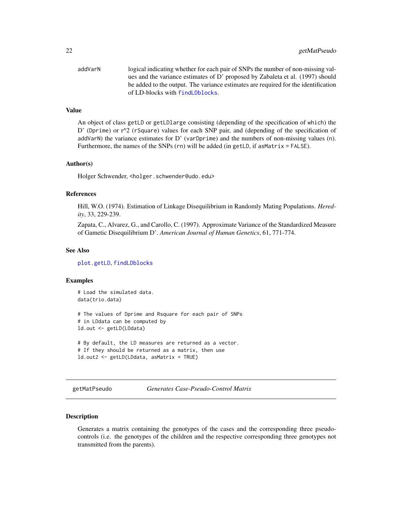<span id="page-21-0"></span>addVarN logical indicating whether for each pair of SNPs the number of non-missing values and the variance estimates of D' proposed by Zabaleta et al. (1997) should be added to the output. The variance estimates are required for the identification of LD-blocks with find Dblocks.

#### Value

An object of class getLD or getLDlarge consisting (depending of the specification of which) the D' (Dprime) or  $r^2$  (rSquare) values for each SNP pair, and (depending of the specification of addVarN) the variance estimates for D' (varDprime) and the numbers of non-missing values (n). Furthermore, the names of the SNPs (rn) will be added (in getLD, if asMatrix = FALSE).

#### Author(s)

Holger Schwender, <holger.schwender@udo.edu>

#### References

Hill, W.O. (1974). Estimation of Linkage Disequilibrium in Randomly Mating Populations. *Heredity*, 33, 229-239.

Zapata, C., Alvarez, G., and Carollo, C. (1997). Approximate Variance of the Standardized Measure of Gametic Disequilibrium D'. *American Journal of Human Genetics*, 61, 771-774.

#### See Also

[plot.getLD](#page-26-1), [findLDblocks](#page-17-1)

#### Examples

# Load the simulated data. data(trio.data)

# The values of Dprime and Rsquare for each pair of SNPs # in LDdata can be computed by ld.out <- getLD(LDdata)

```
# By default, the LD measures are returned as a vector.
# If they should be returned as a matrix, then use
ld.out2 <- getLD(LDdata, asMatrix = TRUE)
```
getMatPseudo *Generates Case-Pseudo-Control Matrix*

# **Description**

Generates a matrix containing the genotypes of the cases and the corresponding three pseudocontrols (i.e. the genotypes of the children and the respective corresponding three genotypes not transmitted from the parents).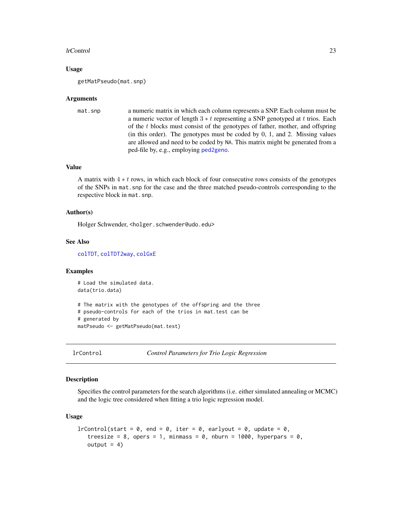#### <span id="page-22-0"></span>lrControl 23

#### Usage

getMatPseudo(mat.snp)

#### Arguments

```
mat. snp a numeric matrix in which each column represents a SNP. Each column must be
                  a numeric vector of length 3 * t representing a SNP genotyped at t trios. Each
                  of the t blocks must consist of the genotypes of father, mother, and offspring
                  (in this order). The genotypes must be coded by 0, 1, and 2. Missing values
                  are allowed and need to be coded by NA. This matrix might be generated from a
                  ped-file by, e.g., employing ped2geno.
```
# Value

A matrix with  $4 * t$  rows, in which each block of four consecutive rows consists of the genotypes of the SNPs in mat.snp for the case and the three matched pseudo-controls corresponding to the respective block in mat.snp.

### Author(s)

Holger Schwender, <holger.schwender@udo.edu>

# See Also

[colTDT](#page-45-1), [colTDT2way](#page-47-1), [colGxE](#page-5-1)

### Examples

```
# Load the simulated data.
data(trio.data)
# The matrix with the genotypes of the offspring and the three
# pseudo-controls for each of the trios in mat.test can be
# generated by
matPseudo <- getMatPseudo(mat.test)
```
lrControl *Control Parameters for Trio Logic Regression*

#### Description

Specifies the control parameters for the search algorithms (i.e. either simulated annealing or MCMC) and the logic tree considered when fitting a trio logic regression model.

#### Usage

```
l rControl(start = 0, end = 0, iter = 0, earlyout = 0, update = 0,
   treesize = 8, opers = 1, minmass = 0, nburn = 1000, hyperpars = 0,
   output = 4)
```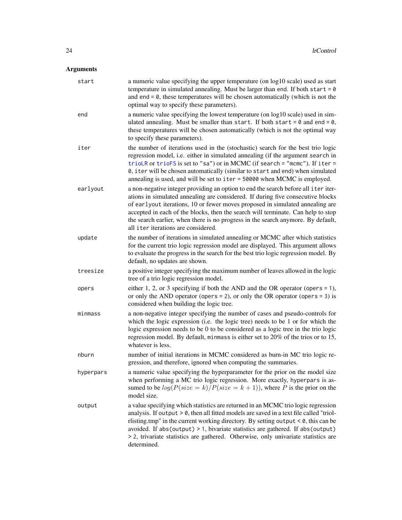| start     | a numeric value specifying the upper temperature (on log10 scale) used as start<br>temperature in simulated annealing. Must be larger than end. If both start = $0$<br>and end $= 0$ , these temperatures will be chosen automatically (which is not the<br>optimal way to specify these parameters).                                                                                                                                                                 |
|-----------|-----------------------------------------------------------------------------------------------------------------------------------------------------------------------------------------------------------------------------------------------------------------------------------------------------------------------------------------------------------------------------------------------------------------------------------------------------------------------|
| end       | a numeric value specifying the lowest temperature (on log10 scale) used in sim-<br>ulated annealing. Must be smaller than start. If both start = $0$ and end = $0$ ,<br>these temperatures will be chosen automatically (which is not the optimal way<br>to specify these parameters).                                                                                                                                                                                |
| iter      | the number of iterations used in the (stochastic) search for the best trio logic<br>regression model, i.e. either in simulated annealing (if the argument search in<br>trioLR or trioFS is set to "sa") or in MCMC (if search = "mcmc"). If iter =<br>0, iter will be chosen automatically (similar to start and end) when simulated<br>annealing is used, and will be set to iter = 50000 when MCMC is employed.                                                     |
| earlyout  | a non-negative integer providing an option to end the search before all iter iter-<br>ations in simulated annealing are considered. If during five consecutive blocks<br>of earlyout iterations, 10 or fewer moves proposed in simulated annealing are<br>accepted in each of the blocks, then the search will terminate. Can help to stop<br>the search earlier, when there is no progress in the search anymore. By default,<br>all iter iterations are considered. |
| update    | the number of iterations in simulated annealing or MCMC after which statistics<br>for the current trio logic regression model are displayed. This argument allows<br>to evaluate the progress in the search for the best trio logic regression model. By<br>default, no updates are shown.                                                                                                                                                                            |
| treesize  | a positive integer specifying the maximum number of leaves allowed in the logic<br>tree of a trio logic regression model.                                                                                                                                                                                                                                                                                                                                             |
| opers     | either 1, 2, or 3 specifying if both the AND and the OR operator (opers $= 1$ ),<br>or only the AND operator (opers = 2), or only the OR operator (opers = 3) is<br>considered when building the logic tree.                                                                                                                                                                                                                                                          |
| minmass   | a non-negative integer specifying the number of cases and pseudo-controls for<br>which the logic expression (i.e. the logic tree) needs to be 1 or for which the<br>logic expression needs to be 0 to be considered as a logic tree in the trio logic<br>regression model. By default, minmass is either set to 20% of the trios or to 15,<br>whatever is less.                                                                                                       |
| nburn     | number of initial iterations in MCMC considered as burn-in MC trio logic re-<br>gression, and therefore, ignored when computing the summaries.                                                                                                                                                                                                                                                                                                                        |
| hyperpars | a numeric value specifying the hyperparameter for the prior on the model size<br>when performing a MC trio logic regression. More exactly, hyperpars is as-<br>sumed to be $log(P(size = k)/P(size = k + 1))$ , where P is the prior on the<br>model size.                                                                                                                                                                                                            |
| output    | a value specifying which statistics are returned in an MCMC trio logic regression<br>analysis. If output > 0, then all fitted models are saved in a text file called "triol-<br>rlisting.tmp" in the current working directory. By setting output $< 0$ , this can be<br>avoided. If abs(output) > 1, bivariate statistics are gathered. If abs(output)<br>> 2, trivariate statistics are gathered. Otherwise, only univariate statistics are<br>determined.          |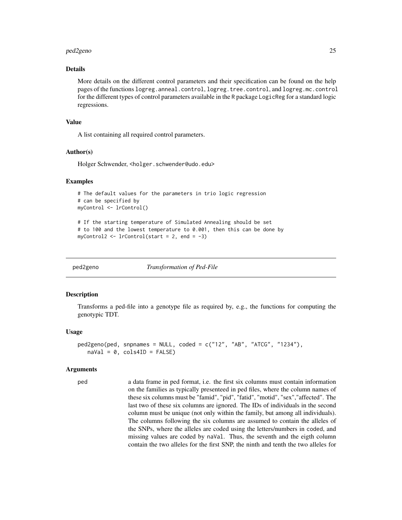#### <span id="page-24-0"></span>ped2geno 25

# Details

More details on the different control parameters and their specification can be found on the help pages of the functions logreg.anneal.control, logreg.tree.control, and logreg.mc.control for the different types of control parameters available in the R package LogicReg for a standard logic regressions.

### Value

A list containing all required control parameters.

#### Author(s)

Holger Schwender, <holger.schwender@udo.edu>

#### Examples

```
# The default values for the parameters in trio logic regression
# can be specified by
myControl <- lrControl()
```

```
# If the starting temperature of Simulated Annealing should be set
# to 100 and the lowest temperature to 0.001, then this can be done by
myControl2 \leftarrow lrControl(start = 2, end = -3)
```
<span id="page-24-1"></span>

ped2geno *Transformation of Ped-File*

#### Description

Transforms a ped-file into a genotype file as required by, e.g., the functions for computing the genotypic TDT.

#### Usage

```
ped2geno(ped, spnames = NULL, coded = c("12", "AB", "ATCG", "1234"),naval = 0, cols4ID = FALSE)
```
### Arguments

ped a data frame in ped format, i.e. the first six columns must contain information on the families as typically presenteed in ped files, where the column names of these six columns must be "famid", "pid", "fatid", "motid", "sex","affected". The last two of these six columns are ignored. The IDs of individuals in the second column must be unique (not only within the family, but among all individuals). The columns following the six columns are assumed to contain the alleles of the SNPs, where the alleles are coded using the letters/numbers in coded, and missing values are coded by naVal. Thus, the seventh and the eigth column contain the two alleles for the first SNP, the ninth and tenth the two alleles for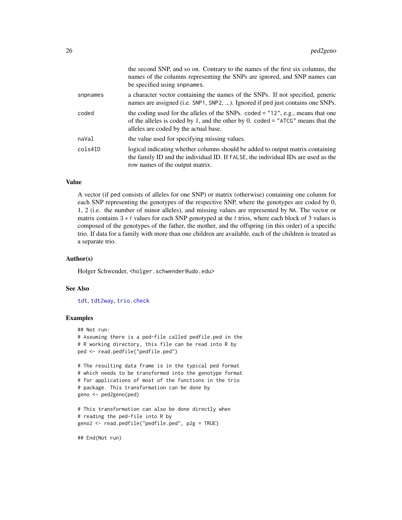|          | the second SNP, and so on. Contrary to the names of the first six columns, the<br>names of the columns representing the SNPs are ignored, and SNP names can<br>be specified using snpnames.                       |
|----------|-------------------------------------------------------------------------------------------------------------------------------------------------------------------------------------------------------------------|
| snpnames | a character vector containing the names of the SNPs. If not specified, generic<br>names are assigned (i.e. SNP1, SNP2, ). Ignored if ped just contains one SNPs.                                                  |
| coded    | the coding used for the alleles of the SNPs. coded $=$ "12", e.g., means that one<br>of the alleles is coded by 1, and the other by 0. coded = " $ATCG$ " means that the<br>alleles are coded by the actual base. |
| naVal    | the value used for specifying missing values.                                                                                                                                                                     |
| cols4ID  | logical indicating whether columns should be added to output matrix containing<br>the family ID and the individual ID. If FALSE, the individual IDs are used as the<br>row names of the output matrix.            |

#### Value

A vector (if ped consists of alleles for one SNP) or matrix (otherwise) containing one column for each SNP representing the genotypes of the respective SNP, where the genotypes are coded by 0, 1, 2 (i.e. the number of minor alleles), and missing values are represented by NA. The vector or matrix contains  $3 * t$  values for each SNP genotyped at the t trios, where each block of 3 values is composed of the genotypes of the father, the mother, and the offspring (in this order) of a specific trio. If data for a family with more than one children are available, each of the children is treated as a separate trio.

# Author(s)

Holger Schwender, <holger.schwender@udo.edu>

# See Also

[tdt](#page-45-2), [tdt2way](#page-47-1), [trio.check](#page-50-1)

# Examples

```
## Not run:
# Assuming there is a ped-file called pedfile.ped in the
# R working directory, this file can be read into R by
ped <- read.pedfile("pedfile.ped")
# The resulting data frame is in the typical ped format
```

```
# which needs to be transformed into the genotype format
# for applications of most of the functions in the trio
# package. This transformation can be done by
geno <- ped2geno(ped)
```

```
# This transformation can also be done directly when
# reading the ped-file into R by
geno2 <- read.pedfile("pedfile.ped", p2g = TRUE)
```
## End(Not run)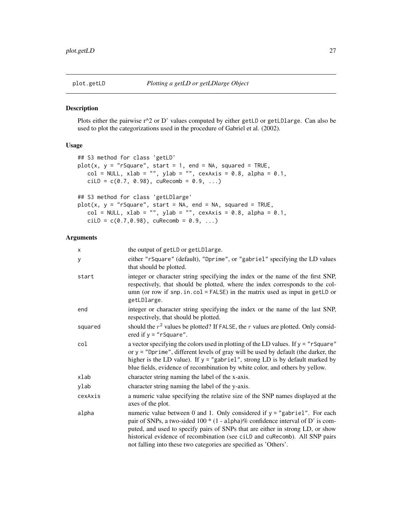<span id="page-26-1"></span><span id="page-26-0"></span>

# Description

Plots either the pairwise r^2 or D' values computed by either getLD or getLDlarge. Can also be used to plot the categorizations used in the procedure of Gabriel et al. (2002).

# Usage

```
## S3 method for class 'getLD'
plot(x, y = "rSquare", start = 1, end = NA, squared = TRUE,col = NULL, xlab = "", ylab = "", cexAxis = 0.8, alpha = 0.1,
   cilD = c(0.7, 0.98), cuRecomb = 0.9, ...## S3 method for class 'getLDlarge'
plot(x, y = "rSquare", start = NA, end = NA, squared = TRUE,col = NULL, xlab = '''', ylab = '''', cexAxis = 0.8, alpha = 0.1,
   cilD = c(0.7, 0.98), cuRecomb = 0.9, ...
```

| x       | the output of getLD or getLDlarge.                                                                                                                                                                                                                                                                                                                                                                           |
|---------|--------------------------------------------------------------------------------------------------------------------------------------------------------------------------------------------------------------------------------------------------------------------------------------------------------------------------------------------------------------------------------------------------------------|
| y       | either "rSquare" (default), "Dprime", or "gabriel" specifying the LD values<br>that should be plotted.                                                                                                                                                                                                                                                                                                       |
| start   | integer or character string specifying the index or the name of the first SNP,<br>respectively, that should be plotted, where the index corresponds to the col-<br>umn (or row if snp.in.col = FALSE) in the matrix used as input in getLD or<br>getLDlarge.                                                                                                                                                 |
| end     | integer or character string specifying the index or the name of the last SNP,<br>respectively, that should be plotted.                                                                                                                                                                                                                                                                                       |
| squared | should the $r^2$ values be plotted? If FALSE, the $r$ values are plotted. Only consid-<br>ered if $y = "rSquare".$                                                                                                                                                                                                                                                                                           |
| col     | a vector specifying the colors used in plotting of the LD values. If $y = r$ square"<br>or $y =$ "Dprime", different levels of gray will be used by default (the darker, the<br>higher is the LD value). If $y =$ "gabriel", strong LD is by default marked by<br>blue fields, evidence of recombination by white color, and others by yellow.                                                               |
| xlab    | character string naming the label of the x-axis.                                                                                                                                                                                                                                                                                                                                                             |
| ylab    | character string naming the label of the y-axis.                                                                                                                                                                                                                                                                                                                                                             |
| cexAxis | a numeric value specifying the relative size of the SNP names displayed at the<br>axes of the plot.                                                                                                                                                                                                                                                                                                          |
| alpha   | numeric value between 0 and 1. Only considered if $y =$ "gabriel". For each<br>pair of SNPs, a two-sided $100 * (1 - \text{alpha})\%$ confidence interval of D' is com-<br>puted, and used to specify pairs of SNPs that are either in strong LD, or show<br>historical evidence of recombination (see ciLD and cuRecomb). All SNP pairs<br>not falling into these two categories are specified as 'Others'. |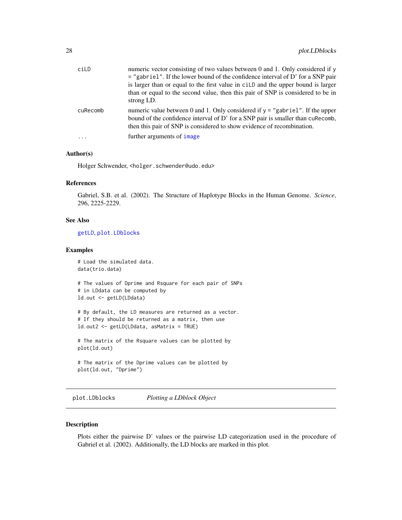<span id="page-27-0"></span>

| ciLD     | numeric vector consisting of two values between 0 and 1. Only considered if y<br>$=$ "gabriel". If the lower bound of the confidence interval of D' for a SNP pair<br>is larger than or equal to the first value in cilD and the upper bound is larger<br>than or equal to the second value, then this pair of SNP is considered to be in<br>strong LD. |
|----------|---------------------------------------------------------------------------------------------------------------------------------------------------------------------------------------------------------------------------------------------------------------------------------------------------------------------------------------------------------|
| cuRecomb | numeric value between 0 and 1. Only considered if $y =$ "gabriel". If the upper<br>bound of the confidence interval of D' for a SNP pair is smaller than cuRecomb,<br>then this pair of SNP is considered to show evidence of recombination.<br>further arguments of <i>image</i>                                                                       |
|          |                                                                                                                                                                                                                                                                                                                                                         |

# Author(s)

Holger Schwender, <holger.schwender@udo.edu>

### References

Gabriel, S.B. et al. (2002). The Structure of Haplotype Blocks in the Human Genome. *Science*, 296, 2225-2229.

# See Also

[getLD](#page-20-1), [plot.LDblocks](#page-27-1)

# Examples

```
# Load the simulated data.
data(trio.data)
# The values of Dprime and Rsquare for each pair of SNPs
# in LDdata can be computed by
ld.out <- getLD(LDdata)
# By default, the LD measures are returned as a vector.
```

```
# If they should be returned as a matrix, then use
ld.out2 <- getLD(LDdata, asMatrix = TRUE)
```
# The matrix of the Rsquare values can be plotted by plot(ld.out)

```
# The matrix of the Dprime values can be plotted by
plot(ld.out, "Dprime")
```
<span id="page-27-1"></span>plot.LDblocks *Plotting a LDblock Object*

### Description

Plots either the pairwise D' values or the pairwise LD categorization used in the procedure of Gabriel et al. (2002). Additionally, the LD blocks are marked in this plot.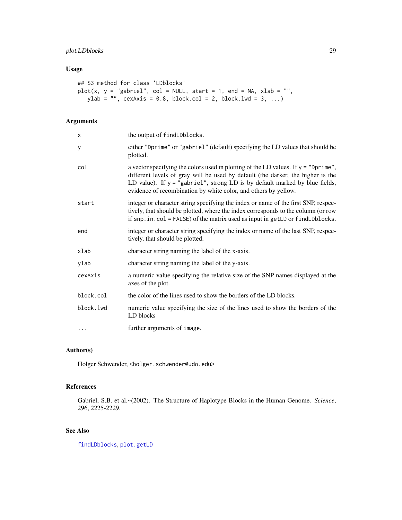# plot.LDblocks 29

# Usage

```
## S3 method for class 'LDblocks'
plot(x, y = "gabriel", col = NULL, start = 1, end = NA, xlab = "",ylab = "", cexAxis = 0.8, block.col = 2, block.lwd = 3, ...)
```
# Arguments

| X         | the output of findLDblocks.                                                                                                                                                                                                                                                                                                 |
|-----------|-----------------------------------------------------------------------------------------------------------------------------------------------------------------------------------------------------------------------------------------------------------------------------------------------------------------------------|
| у         | either "Dprime" or "gabriel" (default) specifying the LD values that should be<br>plotted.                                                                                                                                                                                                                                  |
| col       | a vector specifying the colors used in plotting of the LD values. If $y =$ "Dprime",<br>different levels of gray will be used by default (the darker, the higher is the<br>LD value). If $y =$ "gabriel", strong LD is by default marked by blue fields,<br>evidence of recombination by white color, and others by yellow. |
| start     | integer or character string specifying the index or name of the first SNP, respec-<br>tively, that should be plotted, where the index corresponds to the column (or row<br>if $snp.in.col = FALSE$ of the matrix used as input in getLD or $findLDblocks$ .                                                                 |
| end       | integer or character string specifying the index or name of the last SNP, respec-<br>tively, that should be plotted.                                                                                                                                                                                                        |
| xlab      | character string naming the label of the x-axis.                                                                                                                                                                                                                                                                            |
| ylab      | character string naming the label of the y-axis.                                                                                                                                                                                                                                                                            |
| cexAxis   | a numeric value specifying the relative size of the SNP names displayed at the<br>axes of the plot.                                                                                                                                                                                                                         |
| block.col | the color of the lines used to show the borders of the LD blocks.                                                                                                                                                                                                                                                           |
| block.lwd | numeric value specifying the size of the lines used to show the borders of the<br>LD blocks                                                                                                                                                                                                                                 |
| .         | further arguments of image.                                                                                                                                                                                                                                                                                                 |

# Author(s)

Holger Schwender, <holger.schwender@udo.edu>

# References

Gabriel, S.B. et al.~(2002). The Structure of Haplotype Blocks in the Human Genome. *Science*, 296, 2225-2229.

# See Also

[findLDblocks](#page-17-1), [plot.getLD](#page-26-1)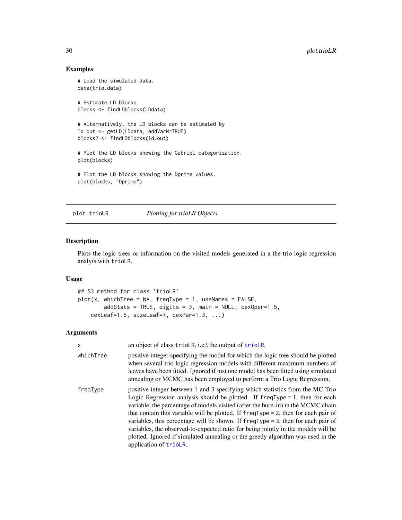# Examples

```
# Load the simulated data.
data(trio.data)
# Estimate LD blocks.
blocks <- findLDblocks(LDdata)
# Alternatively, the LD blocks can be estimated by
ld.out <- getLD(LDdata, addVarN=TRUE)
blocks2 <- findLDblocks(ld.out)
# Plot the LD blocks showing the Gabriel categorization.
plot(blocks)
# Plot the LD blocks showing the Dprime values.
plot(blocks, "Dprime")
```
# plot.trioLR *Plotting for trioLR Objects*

#### Description

Plots the logic trees or information on the visited models generated in a the trio logic regression analyis with trioLR.

#### Usage

```
## S3 method for class 'trioLR'
plot(x, whichTree = NA, freqType = 1, useNames = FALSE,addStats = TRUE, digits = 3, main = NULL, cexOper=1.5,
    cexLeaf=1.5, sizeLeaf=7, cexPar=1.3, ...)
```

| x         | an object of class trioLR, i.e.\ the output of trioLR.                                                                                                                                                                                                                                                                                                                                                                                                                                                                                                                                                                                |
|-----------|---------------------------------------------------------------------------------------------------------------------------------------------------------------------------------------------------------------------------------------------------------------------------------------------------------------------------------------------------------------------------------------------------------------------------------------------------------------------------------------------------------------------------------------------------------------------------------------------------------------------------------------|
| whichTree | positive integer specifying the model for which the logic tree should be plotted<br>when several trio logic regression models with different maximum numbers of<br>leaves have been fitted. Ignored if just one model has been fitted using simulated<br>annealing or MCMC has been employed to perform a Trio Logic Regression.                                                                                                                                                                                                                                                                                                      |
| freqType  | positive integer between 1 and 3 specifying which statistics from the MC Trio<br>Logic Regression analysis should be plotted. If $freqType = 1$ , then for each<br>variable, the percentage of models visited (after the burn-in) in the MCMC chain<br>that contain this variable will be plotted. If $freqType = 2$ , then for each pair of<br>variables, this percentage will be shown. If $freqType = 3$ , then for each pair of<br>variables, the observed-to-expected ratio for being jointly in the models will be<br>plotted. Ignored if simulated annealing or the greedy algorithm was used in the<br>application of trioLR. |

<span id="page-29-0"></span>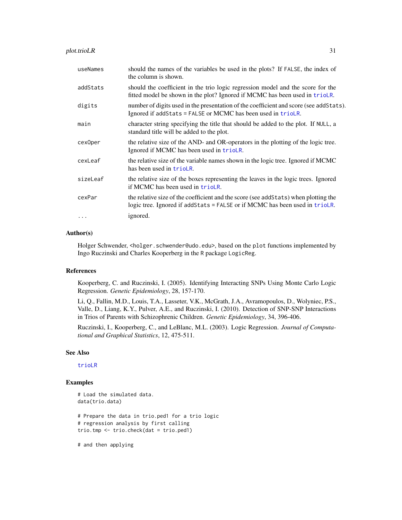| useNames | should the names of the variables be used in the plots? If FALSE, the index of<br>the column is shown.                                                              |
|----------|---------------------------------------------------------------------------------------------------------------------------------------------------------------------|
| addStats | should the coefficient in the trio logic regression model and the score for the<br>fitted model be shown in the plot? Ignored if MCMC has been used in trioLR.      |
| digits   | number of digits used in the presentation of the coefficient and score (see add Stats).<br>Ignored if addStats = FALSE or MCMC has been used in trioLR.             |
| main     | character string specifying the title that should be added to the plot. If NULL, a<br>standard title will be added to the plot.                                     |
| cexOper  | the relative size of the AND- and OR-operators in the plotting of the logic tree.<br>Ignored if MCMC has been used in trioLR.                                       |
| cexLeaf  | the relative size of the variable names shown in the logic tree. Ignored if MCMC<br>has been used in trioLR.                                                        |
| sizeLeaf | the relative size of the boxes representing the leaves in the logic trees. Ignored<br>if MCMC has been used in trioLR.                                              |
| cexPar   | the relative size of the coefficient and the score (see add Stats) when plotting the<br>logic tree. Ignored if addStats = FALSE or if MCMC has been used in trioLR. |
| $\cdots$ | ignored.                                                                                                                                                            |

#### Author(s)

Holger Schwender, <holger.schwender@udo.edu>, based on the plot functions implemented by Ingo Ruczinski and Charles Kooperberg in the R package LogicReg.

# References

Kooperberg, C. and Ruczinski, I. (2005). Identifying Interacting SNPs Using Monte Carlo Logic Regression. *Genetic Epidemiology*, 28, 157-170.

Li, Q., Fallin, M.D., Louis, T.A., Lasseter, V.K., McGrath, J.A., Avramopoulos, D., Wolyniec, P.S., Valle, D., Liang, K.Y., Pulver, A.E., and Ruczinski, I. (2010). Detection of SNP-SNP Interactions in Trios of Parents with Schizophrenic Children. *Genetic Epidemiology*, 34, 396-406.

Ruczinski, I., Kooperberg, C., and LeBlanc, M.L. (2003). Logic Regression. *Journal of Computational and Graphical Statistics*, 12, 475-511.

#### See Also

# [trioLR](#page-65-1)

# Examples

```
# Load the simulated data.
data(trio.data)
# Prepare the data in trio.ped1 for a trio logic
# regression analysis by first calling
trio.tmp <- trio.check(dat = trio.ped1)
```
# and then applying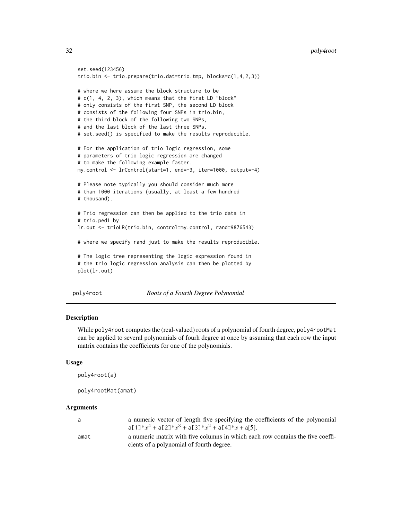```
set.seed(123456)
trio.bin <- trio.prepare(trio.dat=trio.tmp, blocks=c(1,4,2,3))
# where we here assume the block structure to be
# c(1, 4, 2, 3), which means that the first LD "block"
# only consists of the first SNP, the second LD block
# consists of the following four SNPs in trio.bin,
# the third block of the following two SNPs,
# and the last block of the last three SNPs.
# set.seed() is specified to make the results reproducible.
# For the application of trio logic regression, some
# parameters of trio logic regression are changed
# to make the following example faster.
my.control <- lrControl(start=1, end=-3, iter=1000, output=-4)
# Please note typically you should consider much more
# than 1000 iterations (usually, at least a few hundred
# thousand).
# Trio regression can then be applied to the trio data in
# trio.ped1 by
lr.out <- trioLR(trio.bin, control=my.control, rand=9876543)
# where we specify rand just to make the results reproducible.
# The logic tree representing the logic expression found in
# the trio logic regression analysis can then be plotted by
plot(lr.out)
```
poly4root *Roots of a Fourth Degree Polynomial*

# Description

While poly4root computes the (real-valued) roots of a polynomial of fourth degree, poly4rootMat can be applied to several polynomials of fourh degree at once by assuming that each row the input matrix contains the coefficients for one of the polynomials.

#### Usage

```
poly4root(a)
```

```
poly4rootMat(amat)
```

| a    | a numeric vector of length five specifying the coefficients of the polynomial<br>$a[1]*x4 + a[2]*x3 + a[3]*x2 + a[4]*x + a[5].$ |
|------|---------------------------------------------------------------------------------------------------------------------------------|
| amat | a numeric matrix with five columns in which each row contains the five coeffi-<br>cients of a polynomial of fourth degree.      |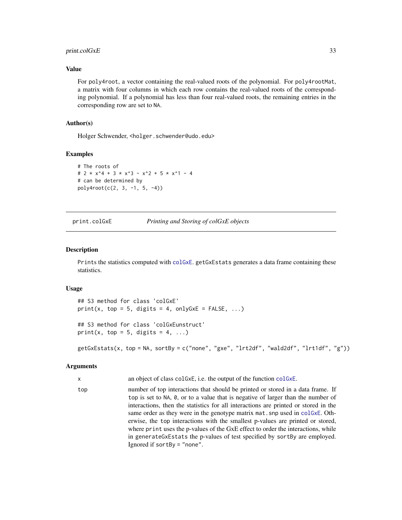#### <span id="page-32-0"></span>print.colGxE 33

# Value

For poly4root, a vector containing the real-valued roots of the polynomial. For poly4rootMat, a matrix with four columns in which each row contains the real-valued roots of the corresponding polynomial. If a polynomial has less than four real-valued roots, the remaining entries in the corresponding row are set to NA.

# Author(s)

Holger Schwender, <holger.schwender@udo.edu>

#### Examples

```
# The roots of
# 2 * x^4 + 3 * x^3 - x^2 + 5 * x^1 - 4
# can be determined by
poly4root(c(2, 3, -1, 5, -4))
```
#### print.colGxE *Printing and Storing of colGxE objects*

#### Description

Prints the statistics computed with [colGxE](#page-5-1). getGxEstats generates a data frame containing these statistics.

#### Usage

## S3 method for class 'colGxE'  $print(x, top = 5, digits = 4, onlyGxE = FALSE, ...)$ ## S3 method for class 'colGxEunstruct' print(x, top = 5, digits = 4, ...)

getGxEstats(x, top = NA, sortBy = c("none", "gxe", "lrt2df", "wald2df", "lrt1df", "g"))

```
x an object of class colGxE, i.e. the output of the function colGxE.
top number of top interactions that should be printed or stored in a data frame. If
                top is set to NA, 0, or to a value that is negative of larger than the number of
                interactions, then the statistics for all interactions are printed or stored in the
                colGxE. Oth-
                erwise, the top interactions with the smallest p-values are printed or stored,
                where print uses the p-values of the GxE effect to order the interactions, while
                in generateGxEstats the p-values of test specified by sortBy are employed.
                Ignored if sortBy = "none".
```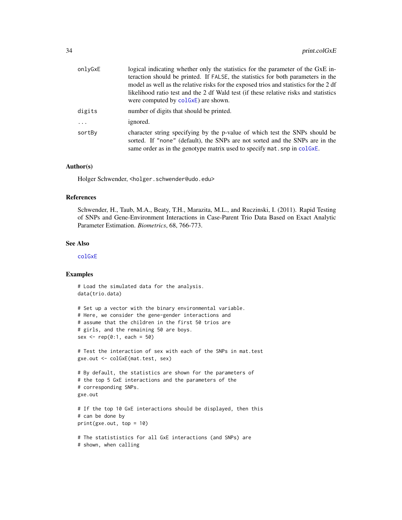| onlyGxE  | logical indicating whether only the statistics for the parameter of the GxE in-<br>teraction should be printed. If FALSE, the statistics for both parameters in the<br>model as well as the relative risks for the exposed trios and statistics for the 2 df<br>likelihood ratio test and the 2 df Wald test (if these relative risks and statistics<br>were computed by colGxE) are shown. |
|----------|---------------------------------------------------------------------------------------------------------------------------------------------------------------------------------------------------------------------------------------------------------------------------------------------------------------------------------------------------------------------------------------------|
| digits   | number of digits that should be printed.                                                                                                                                                                                                                                                                                                                                                    |
| $\cdots$ | ignored.                                                                                                                                                                                                                                                                                                                                                                                    |
| sortBy   | character string specifying by the p-value of which test the SNPs should be<br>sorted. If "none" (default), the SNPs are not sorted and the SNPs are in the<br>same order as in the genotype matrix used to specify mat. snp in colGxE.                                                                                                                                                     |

#### Author(s)

Holger Schwender, <holger.schwender@udo.edu>

#### References

Schwender, H., Taub, M.A., Beaty, T.H., Marazita, M.L., and Ruczinski, I. (2011). Rapid Testing of SNPs and Gene-Environment Interactions in Case-Parent Trio Data Based on Exact Analytic Parameter Estimation. *Biometrics*, 68, 766-773.

#### See Also

[colGxE](#page-5-1)

# Examples

```
# Load the simulated data for the analysis.
data(trio.data)
```

```
# Set up a vector with the binary environmental variable.
# Here, we consider the gene-gender interactions and
# assume that the children in the first 50 trios are
# girls, and the remaining 50 are boys.
sex < - rep(0:1, each = 50)
```
# Test the interaction of sex with each of the SNPs in mat.test gxe.out <- colGxE(mat.test, sex)

```
# By default, the statistics are shown for the parameters of
# the top 5 GxE interactions and the parameters of the
# corresponding SNPs.
gxe.out
```

```
# If the top 10 GxE interactions should be displayed, then this
# can be done by
print(gxe.out, top = 10)
```

```
# The statististics for all GxE interactions (and SNPs) are
# shown, when calling
```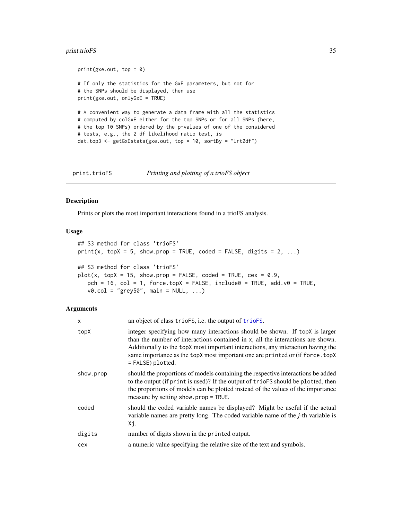# <span id="page-34-0"></span>print.trioFS 35

```
print(gxe.out, top = 0)# If only the statistics for the GxE parameters, but not for
# the SNPs should be displayed, then use
print(gxe.out, onlyGxE = TRUE)
# A convenient way to generate a data frame with all the statistics
# computed by colGxE either for the top SNPs or for all SNPs (here,
# the top 10 SNPs) ordered by the p-values of one of the considered
# tests, e.g., the 2 df likelihood ratio test, is
dat.top3 <- getGxEstats(gxe.out, top = 10, sortBy = "lrt2df")
```
print.trioFS *Printing and plotting of a trioFS object*

#### Description

Prints or plots the most important interactions found in a trioFS analysis.

# Usage

```
## S3 method for class 'trioFS'
print(x, topX = 5, show.prop = TRUE, coded = FALSE, digits = 2, ...)## S3 method for class 'trioFS'
plot(x, topX = 15, show.prop = FALSE, coded = TRUE, cex = 0.9,pch = 16, col = 1, force.topX = FALSE, include0 = TRUE, add.v0 = TRUE,
   v0.col = "grey50", main = NULL, ...)
```

| X         | an object of class trioFS, i.e. the output of trioFS.                                                                                                                                                                                                                                                                                                     |
|-----------|-----------------------------------------------------------------------------------------------------------------------------------------------------------------------------------------------------------------------------------------------------------------------------------------------------------------------------------------------------------|
| topX      | integer specifying how many interactions should be shown. If topX is larger<br>than the number of interactions contained in x, all the interactions are shown.<br>Additionally to the topX most important interactions, any interaction having the<br>same importance as the topX most important one are printed or (if force.topX<br>$=$ FALSE) plotted. |
| show.prop | should the proportions of models containing the respective interactions be added<br>to the output (if print is used)? If the output of trioFS should be plotted, then<br>the proportions of models can be plotted instead of the values of the importance<br>measure by setting show. prop = TRUE.                                                        |
| coded     | should the coded variable names be displayed? Might be useful if the actual<br>variable names are pretty long. The coded variable name of the <i>j</i> -th variable is<br>Xj.                                                                                                                                                                             |
| digits    | number of digits shown in the printed output.                                                                                                                                                                                                                                                                                                             |
| cex       | a numeric value specifying the relative size of the text and symbols.                                                                                                                                                                                                                                                                                     |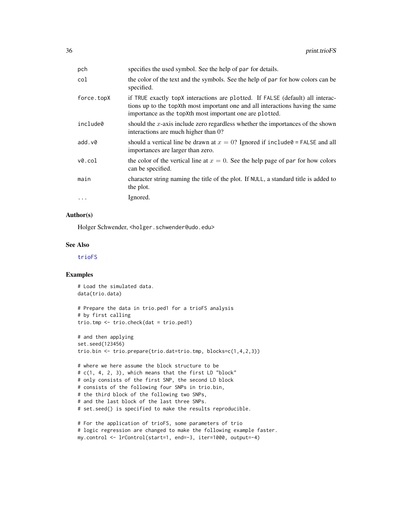| pch        | specifies the used symbol. See the help of par for details.                                                                                                                                                                  |
|------------|------------------------------------------------------------------------------------------------------------------------------------------------------------------------------------------------------------------------------|
| col        | the color of the text and the symbols. See the help of par for how colors can be<br>specified.                                                                                                                               |
| force.topX | if TRUE exactly topX interactions are plotted. If FALSE (default) all interac-<br>tions up to the topXth most important one and all interactions having the same<br>importance as the topXth most important one are plotted. |
| include0   | should the $x$ -axis include zero regardless whether the importances of the shown<br>interactions are much higher than 0?                                                                                                    |
| add.v@     | should a vertical line be drawn at $x = 0$ ? Ignored if include $\theta$ = FALSE and all<br>importances are larger than zero.                                                                                                |
| v0.col     | the color of the vertical line at $x = 0$ . See the help page of par for how colors<br>can be specified.                                                                                                                     |
| main       | character string naming the title of the plot. If NULL, a standard title is added to<br>the plot.                                                                                                                            |
| $\cdots$   | Ignored.                                                                                                                                                                                                                     |

# Author(s)

Holger Schwender, <holger.schwender@udo.edu>

#### See Also

[trioFS](#page-62-1)

### Examples

```
# Load the simulated data.
data(trio.data)
# Prepare the data in trio.ped1 for a trioFS analysis
# by first calling
trio.tmp <- trio.check(dat = trio.ped1)
# and then applying
set.seed(123456)
trio.bin <- trio.prepare(trio.dat=trio.tmp, blocks=c(1,4,2,3))
# where we here assume the block structure to be
# c(1, 4, 2, 3), which means that the first LD "block"
# only consists of the first SNP, the second LD block
# consists of the following four SNPs in trio.bin,
# the third block of the following two SNPs,
# and the last block of the last three SNPs.
# set.seed() is specified to make the results reproducible.
# For the application of trioFS, some parameters of trio
# logic regression are changed to make the following example faster.
```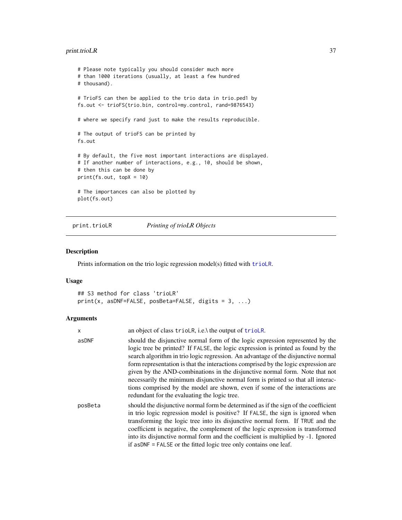# <span id="page-36-0"></span>print.trioLR 37

```
# Please note typically you should consider much more
# than 1000 iterations (usually, at least a few hundred
# thousand).
# TrioFS can then be applied to the trio data in trio.ped1 by
fs.out <- trioFS(trio.bin, control=my.control, rand=9876543)
# where we specify rand just to make the results reproducible.
# The output of trioFS can be printed by
fs.out
# By default, the five most important interactions are displayed.
# If another number of interactions, e.g., 10, should be shown,
# then this can be done by
print(fs.out, topX = 10)
# The importances can also be plotted by
plot(fs.out)
```
print.trioLR *Printing of trioLR Objects*

## Description

Prints information on the trio logic regression model(s) fitted with [trioLR](#page-65-0).

## Usage

```
## S3 method for class 'trioLR'
print(x, asDNF=False, posBeta=False, digits = 3, ...)
```
## Arguments

| x       | an object of class trioLR, i.e.\ the output of trioLR.                                                                                                                                                                                                                                                                                                                                                                                                                                                                                                                                                                                         |
|---------|------------------------------------------------------------------------------------------------------------------------------------------------------------------------------------------------------------------------------------------------------------------------------------------------------------------------------------------------------------------------------------------------------------------------------------------------------------------------------------------------------------------------------------------------------------------------------------------------------------------------------------------------|
| asDNF   | should the disjunctive normal form of the logic expression represented by the<br>logic tree be printed? If FALSE, the logic expression is printed as found by the<br>search algorithm in trio logic regression. An advantage of the disjunctive normal<br>form representation is that the interactions comprised by the logic expression are<br>given by the AND-combinations in the disjunctive normal form. Note that not<br>necessarily the minimum disjunctive normal form is printed so that all interac-<br>tions comprised by the model are shown, even if some of the interactions are<br>redundant for the evaluating the logic tree. |
| posBeta | should the disjunctive normal form be determined as if the sign of the coefficient<br>in trio logic regression model is positive? If FALSE, the sign is ignored when<br>transforming the logic tree into its disjunctive normal form. If TRUE and the<br>coefficient is negative, the complement of the logic expression is transformed<br>into its disjunctive normal form and the coefficient is multiplied by -1. Ignored<br>if as DNF = FALSE or the fitted logic tree only contains one leaf.                                                                                                                                             |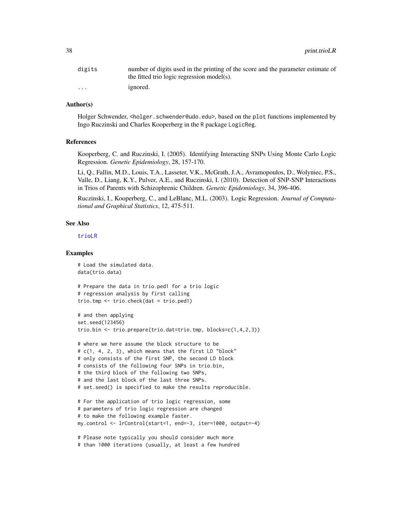| digits               | number of digits used in the printing of the score and the parameter estimate of |
|----------------------|----------------------------------------------------------------------------------|
|                      | the fitted trio logic regression model(s).                                       |
| $\ddot{\phantom{0}}$ | <i>ignored.</i>                                                                  |

# Author(s)

Holger Schwender, <holger.schwender@udo.edu>, based on the plot functions implemented by Ingo Ruczinski and Charles Kooperberg in the R package LogicReg.

### References

Kooperberg, C. and Ruczinski, I. (2005). Identifying Interacting SNPs Using Monte Carlo Logic Regression. *Genetic Epidemiology*, 28, 157-170.

Li, Q., Fallin, M.D., Louis, T.A., Lasseter, V.K., McGrath, J.A., Avramopoulos, D., Wolyniec, P.S., Valle, D., Liang, K.Y., Pulver, A.E., and Ruczinski, I. (2010). Detection of SNP-SNP Interactions in Trios of Parents with Schizophrenic Children. *Genetic Epidemiology*, 34, 396-406.

Ruczinski, I., Kooperberg, C., and LeBlanc, M.L. (2003). Logic Regression. *Journal of Computational and Graphical Statistics*, 12, 475-511.

#### See Also

[trioLR](#page-65-0)

```
# Load the simulated data.
data(trio.data)
# Prepare the data in trio.ped1 for a trio logic
# regression analysis by first calling
trio.tmp <- trio.check(dat = trio.ped1)
# and then applying
set.seed(123456)
trio.bin <- trio.prepare(trio.dat=trio.tmp, blocks=c(1,4,2,3))
# where we here assume the block structure to be
# c(1, 4, 2, 3), which means that the first LD "block"
# only consists of the first SNP, the second LD block
# consists of the following four SNPs in trio.bin,
# the third block of the following two SNPs,
# and the last block of the last three SNPs.
# set.seed() is specified to make the results reproducible.
# For the application of trio logic regression, some
# parameters of trio logic regression are changed
# to make the following example faster.
my.control <- lrControl(start=1, end=-3, iter=1000, output=-4)
# Please note typically you should consider much more
```
<sup>#</sup> than 1000 iterations (usually, at least a few hundred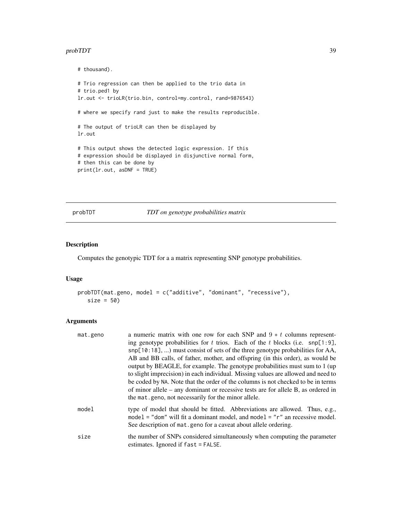#### <span id="page-38-1"></span>probTDT 39

```
# thousand).
# Trio regression can then be applied to the trio data in
# trio.ped1 by
lr.out <- trioLR(trio.bin, control=my.control, rand=9876543)
# where we specify rand just to make the results reproducible.
# The output of trioLR can then be displayed by
lr.out
# This output shows the detected logic expression. If this
# expression should be displayed in disjunctive normal form,
# then this can be done by
print(lr.out, asDNF = TRUE)
```
<span id="page-38-0"></span>probTDT *TDT on genotype probabilities matrix*

## Description

Computes the genotypic TDT for a a matrix representing SNP genotype probabilities.

#### Usage

```
probTDT(mat.geno, model = c("additive", "dominant", "recessive"),
   size = 50)
```
# Arguments

| mat.geno | a numeric matrix with one row for each SNP and $9 * t$ columns represent-<br>ing genotype probabilities for t trios. Each of the t blocks (i.e. $\text{snp}[1:9]$ ,<br>snp[10:18], ) must consist of sets of the three genotype probabilities for AA,<br>AB and BB calls, of father, mother, and offspring (in this order), as would be<br>output by BEAGLE, for example. The genotype probabilities must sum to 1 (up)<br>to slight imprecision) in each individual. Missing values are allowed and need to<br>be coded by NA. Note that the order of the columns is not checked to be in terms<br>of minor allele – any dominant or recessive tests are for allele B, as ordered in |
|----------|---------------------------------------------------------------------------------------------------------------------------------------------------------------------------------------------------------------------------------------------------------------------------------------------------------------------------------------------------------------------------------------------------------------------------------------------------------------------------------------------------------------------------------------------------------------------------------------------------------------------------------------------------------------------------------------|
| model    | the mat, geno, not necessarily for the minor allele.<br>type of model that should be fitted. Abbreviations are allowed. Thus, e.g.,                                                                                                                                                                                                                                                                                                                                                                                                                                                                                                                                                   |
|          | model = "dom" will fit a dominant model, and model = " $r$ " an recessive model.<br>See description of mat. geno for a caveat about allele ordering.                                                                                                                                                                                                                                                                                                                                                                                                                                                                                                                                  |
| size     | the number of SNPs considered simultaneously when computing the parameter<br>estimates. Ignored if $fast = FALSE$ .                                                                                                                                                                                                                                                                                                                                                                                                                                                                                                                                                                   |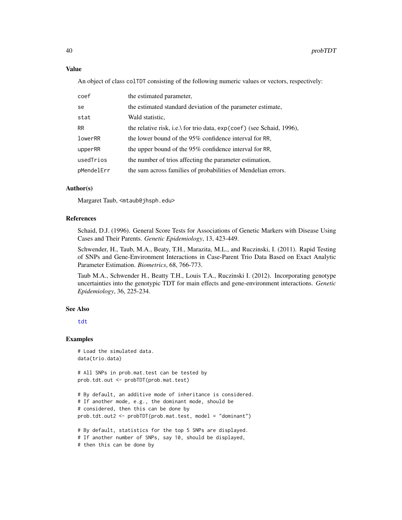## Value

An object of class colTDT consisting of the following numeric values or vectors, respectively:

| coef       | the estimated parameter,                                               |
|------------|------------------------------------------------------------------------|
| se         | the estimated standard deviation of the parameter estimate,            |
| stat       | Wald statistic,                                                        |
| <b>RR</b>  | the relative risk, i.e. for trio data, $exp(coef)$ (see Schaid, 1996), |
| lowerRR    | the lower bound of the 95% confidence interval for RR,                 |
| upperRR    | the upper bound of the $95\%$ confidence interval for RR,              |
| usedTrios  | the number of trios affecting the parameter estimation,                |
| pMendelErr | the sum across families of probabilities of Mendelian errors.          |

# Author(s)

Margaret Taub, <mtaub@jhsph.edu>

## References

Schaid, D.J. (1996). General Score Tests for Associations of Genetic Markers with Disease Using Cases and Their Parents. *Genetic Epidemiology*, 13, 423-449.

Schwender, H., Taub, M.A., Beaty, T.H., Marazita, M.L., and Ruczinski, I. (2011). Rapid Testing of SNPs and Gene-Environment Interactions in Case-Parent Trio Data Based on Exact Analytic Parameter Estimation. *Biometrics*, 68, 766-773.

Taub M.A., Schwender H., Beatty T.H., Louis T.A., Ruczinski I. (2012). Incorporating genotype uncertainties into the genotypic TDT for main effects and gene-environment interactions. *Genetic Epidemiology*, 36, 225-234.

## See Also

[tdt](#page-45-0)

## Examples

```
# Load the simulated data.
data(trio.data)
```
# All SNPs in prob.mat.test can be tested by prob.tdt.out <- probTDT(prob.mat.test)

```
# By default, an additive mode of inheritance is considered.
# If another mode, e.g., the dominant mode, should be
# considered, then this can be done by
prob.tdt.out2 <- probTDT(prob.mat.test, model = "dominant")
# By default, statistics for the top 5 SNPs are displayed.
```

```
# If another number of SNPs, say 10, should be displayed,
```

```
# then this can be done by
```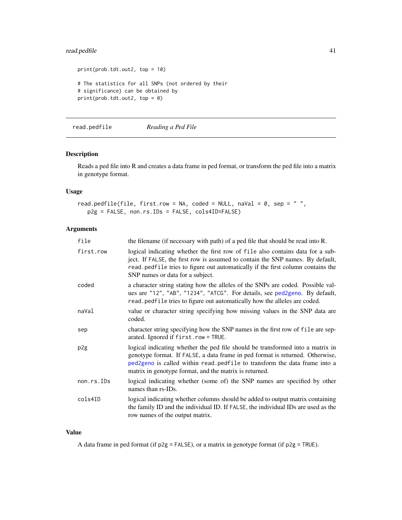# <span id="page-40-1"></span>read.pedfile 41

```
print(prob.tdt.out2, top = 10)
# The statistics for all SNPs (not ordered by their
# significance) can be obtained by
print(prob.tdt.out2, top = 0)
```
<span id="page-40-0"></span>read.pedfile *Reading a Ped File*

## Description

Reads a ped file into R and creates a data frame in ped format, or transform the ped file into a matrix in genotype format.

# Usage

```
read.pedfile(file, first.row = NA, coded = NULL, naVal = 0, sep = " ",
  p2g = FALSE, non.rs.IDs = FALSE, cols4ID=FALSE)
```
# Arguments

| file       | the filename (if necessary with path) of a ped file that should be read into R.                                                                                                                                                                                                                         |
|------------|---------------------------------------------------------------------------------------------------------------------------------------------------------------------------------------------------------------------------------------------------------------------------------------------------------|
| first.row  | logical indicating whether the first row of file also contains data for a sub-<br>ject. If FALSE, the first row is assumed to contain the SNP names. By default,<br>read.pedfile tries to figure out automatically if the first column contains the<br>SNP names or data for a subject.                 |
| coded      | a character string stating how the alleles of the SNPs are coded. Possible val-<br>ues are "12", "AB", "1234", "ATCG". For details, see ped2geno. By default,<br>read. pedfile tries to figure out automatically how the alleles are coded.                                                             |
| naVal      | value or character string specifying how missing values in the SNP data are<br>coded.                                                                                                                                                                                                                   |
| sep        | character string specifying how the SNP names in the first row of file are sep-<br>arated. Ignored if first.row = TRUE.                                                                                                                                                                                 |
| p2g        | logical indicating whether the ped file should be transformed into a matrix in<br>genotype format. If FALSE, a data frame in ped format is returned. Otherwise,<br>ped2geno is called within read. pedfile to transform the data frame into a<br>matrix in genotype format, and the matrix is returned. |
| non.rs.IDs | logical indicating whether (some of) the SNP names are specified by other<br>names than rs-IDs.                                                                                                                                                                                                         |
| cols4ID    | logical indicating whether columns should be added to output matrix containing<br>the family ID and the individual ID. If FALSE, the individual IDs are used as the<br>row names of the output matrix.                                                                                                  |

## Value

A data frame in ped format (if p2g = FALSE), or a matrix in genotype format (if p2g = TRUE).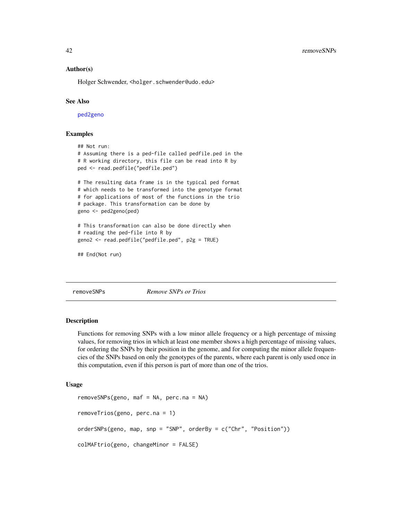## <span id="page-41-0"></span>Author(s)

Holger Schwender, <holger.schwender@udo.edu>

## See Also

[ped2geno](#page-24-0)

# Examples

```
## Not run:
# Assuming there is a ped-file called pedfile.ped in the
# R working directory, this file can be read into R by
ped <- read.pedfile("pedfile.ped")
# The resulting data frame is in the typical ped format
# which needs to be transformed into the genotype format
# for applications of most of the functions in the trio
# package. This transformation can be done by
geno <- ped2geno(ped)
# This transformation can also be done directly when
# reading the ped-file into R by
geno2 <- read.pedfile("pedfile.ped", p2g = TRUE)
## End(Not run)
```
removeSNPs *Remove SNPs or Trios*

### Description

Functions for removing SNPs with a low minor allele frequency or a high percentage of missing values, for removing trios in which at least one member shows a high percentage of missing values, for ordering the SNPs by their position in the genome, and for computing the minor allele frequencies of the SNPs based on only the genotypes of the parents, where each parent is only used once in this computation, even if this person is part of more than one of the trios.

#### Usage

```
removeSNPs(geno, maf = NA, perc.na = NA)
removeTrios(geno, perc.na = 1)
orderSNPs(geno, map, snp = "SNP", orderBy = c("Chr", "Position"))
colMAFtrio(geno, changeMinor = FALSE)
```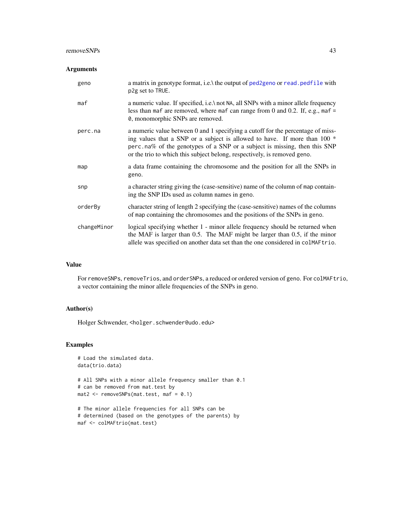#### removeSNPs 43

## Arguments

| geno        | a matrix in genotype format, i.e. the output of ped2geno or read, pedfile with<br>p2g set to TRUE.                                                                                                                                                                                                                      |
|-------------|-------------------------------------------------------------------------------------------------------------------------------------------------------------------------------------------------------------------------------------------------------------------------------------------------------------------------|
| maf         | a numeric value. If specified, i.e.\ not NA, all SNPs with a minor allele frequency<br>less than maf are removed, where maf can range from 0 and 0.2. If, e.g., maf $=$<br>0, monomorphic SNPs are removed.                                                                                                             |
| perc.na     | a numeric value between 0 and 1 specifying a cutoff for the percentage of miss-<br>ing values that a SNP or a subject is allowed to have. If more than $100 *$<br>perc.na% of the genotypes of a SNP or a subject is missing, then this SNP<br>or the trio to which this subject belong, respectively, is removed geno. |
| map         | a data frame containing the chromosome and the position for all the SNPs in<br>geno.                                                                                                                                                                                                                                    |
| snp         | a character string giving the (case-sensitive) name of the column of map contain-<br>ing the SNP IDs used as column names in geno.                                                                                                                                                                                      |
| orderBy     | character string of length 2 specifying the (case-sensitive) names of the columns<br>of map containing the chromosomes and the positions of the SNPs in geno.                                                                                                                                                           |
| changeMinor | logical specifying whether 1 - minor allele frequency should be returned when<br>the MAF is larger than 0.5. The MAF might be larger than 0.5, if the minor<br>allele was specified on another data set than the one considered in colMAFtrio.                                                                          |

# Value

For removeSNPs, removeTrios, and orderSNPs, a reduced or ordered version of geno. For colMAFtrio, a vector containing the minor allele frequencies of the SNPs in geno.

# Author(s)

Holger Schwender, <holger.schwender@udo.edu>

```
# Load the simulated data.
data(trio.data)
# All SNPs with a minor allele frequency smaller than 0.1
# can be removed from mat.test by
mat2 \leftarrow removeSNPs(mat.test, maf = 0.1)
# The minor allele frequencies for all SNPs can be
```

```
# determined (based on the genotypes of the parents) by
maf <- colMAFtrio(mat.test)
```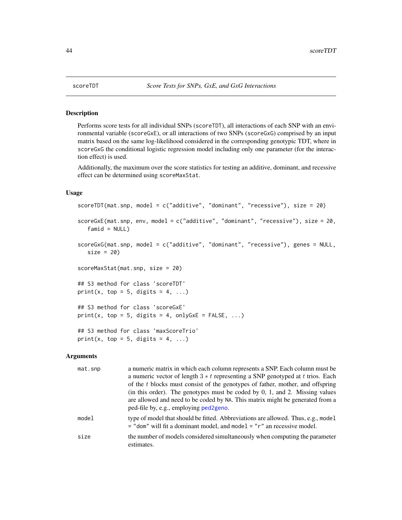<span id="page-43-0"></span>

## Description

Performs score tests for all individual SNPs (scoreTDT), all interactions of each SNP with an environmental variable (scoreGxE), or all interactions of two SNPs (scoreGxG) comprised by an input matrix based on the same log-likelihood considered in the corresponding genotypic TDT, where in scoreGxG the conditional logistic regression model including only one parameter (for the interaction effect) is used.

Additionally, the maximum over the score statistics for testing an additive, dominant, and recessive effect can be determined using scoreMaxStat.

## Usage

```
scoreTDT(mat.snp, model = c("additive", "dominant", "recessive"), size = 20)
scoreGxE(mat.snp, env, model = c("additive", "dominant", "recessive"), size = 20,
   fami d = NULLscoreGxG(mat.snp, model = c("additive", "dominant", "recessive"), genes = NULL,
   size = 20)
scoreMaxStat(mat.snp, size = 20)
## S3 method for class 'scoreTDT'
print(x, top = 5, digits = 4, ...)
## S3 method for class 'scoreGxE'
print(x, top = 5, digits = 4, onlyGxE = FALSE, ...)## S3 method for class 'maxScoreTrio'
print(x, top = 5, digits = 4, ...)
```
## Arguments

| mat.snp | a numeric matrix in which each column represents a SNP. Each column must be<br>a numeric vector of length $3 * t$ representing a SNP genotyped at t trios. Each     |
|---------|---------------------------------------------------------------------------------------------------------------------------------------------------------------------|
|         | of the t blocks must consist of the genotypes of father, mother, and offspring<br>(in this order). The genotypes must be coded by $0, 1$ , and $2$ . Missing values |
|         | are allowed and need to be coded by NA. This matrix might be generated from a<br>ped-file by, e.g., employing ped2geno.                                             |
| model   | type of model that should be fitted. Abbreviations are allowed. Thus, e.g., model<br>$=$ "dom" will fit a dominant model, and model $=$ " $r$ " an recessive model. |
| size    | the number of models considered simultaneously when computing the parameter<br>estimates.                                                                           |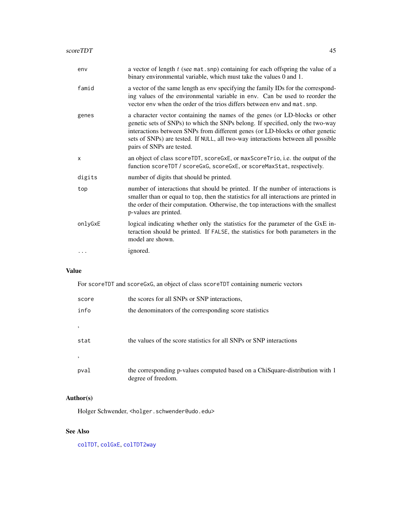| env     | a vector of length $t$ (see mat.snp) containing for each offspring the value of a<br>binary environmental variable, which must take the values 0 and 1.                                                                                                                                                                                                         |
|---------|-----------------------------------------------------------------------------------------------------------------------------------------------------------------------------------------------------------------------------------------------------------------------------------------------------------------------------------------------------------------|
| famid   | a vector of the same length as env specifying the family IDs for the correspond-<br>ing values of the environmental variable in env. Can be used to reorder the<br>vector env when the order of the trios differs between env and mat. snp.                                                                                                                     |
| genes   | a character vector containing the names of the genes (or LD-blocks or other<br>genetic sets of SNPs) to which the SNPs belong. If specified, only the two-way<br>interactions between SNPs from different genes (or LD-blocks or other genetic<br>sets of SNPs) are tested. If NULL, all two-way interactions between all possible<br>pairs of SNPs are tested. |
| X       | an object of class scoreTDT, scoreGxE, or maxScoreTrio, i.e. the output of the<br>function scoreTDT / scoreGxG, scoreGxE, or scoreMaxStat, respectively.                                                                                                                                                                                                        |
| digits  | number of digits that should be printed.                                                                                                                                                                                                                                                                                                                        |
| top     | number of interactions that should be printed. If the number of interactions is<br>smaller than or equal to top, then the statistics for all interactions are printed in<br>the order of their computation. Otherwise, the top interactions with the smallest<br>p-values are printed.                                                                          |
| onlyGxE | logical indicating whether only the statistics for the parameter of the GxE in-<br>teraction should be printed. If FALSE, the statistics for both parameters in the<br>model are shown.                                                                                                                                                                         |
|         | ignored.                                                                                                                                                                                                                                                                                                                                                        |
|         |                                                                                                                                                                                                                                                                                                                                                                 |

# Value

For scoreTDT and scoreGxG, an object of class scoreTDT containing numeric vectors

| score | the scores for all SNPs or SNP interactions,                                                       |
|-------|----------------------------------------------------------------------------------------------------|
| info  | the denominators of the corresponding score statistics                                             |
|       |                                                                                                    |
| stat  | the values of the score statistics for all SNPs or SNP interactions                                |
|       |                                                                                                    |
| pval  | the corresponding p-values computed based on a ChiSquare-distribution with 1<br>degree of freedom. |

# Author(s)

Holger Schwender, <holger.schwender@udo.edu>

# See Also

[colTDT](#page-45-1), [colGxE](#page-5-0), [colTDT2way](#page-47-0)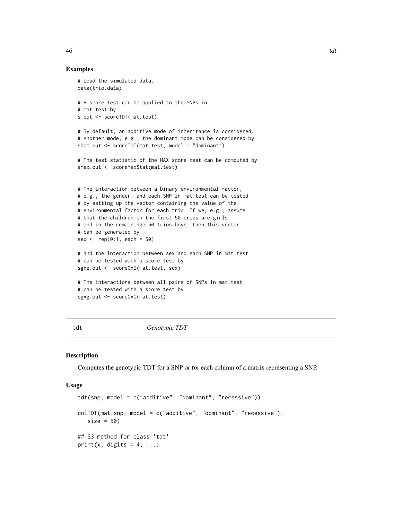## Examples

```
# Load the simulated data.
data(trio.data)
# A score test can be applied to the SNPs in
# mat.test by
s.out <- scoreTDT(mat.test)
# By default, an additive mode of inheritance is considered.
# Another mode, e.g., the dominant mode can be considered by
sDom.out <- scoreTDT(mat.test, model = "dominant")
# The test statistic of the MAX score test can be computed by
sMax.out <- scoreMaxStat(mat.test)
# The interaction between a binary environmental factor,
# e.g., the gender, and each SNP in mat.test can be tested
# by setting up the vector containing the value of the
# environmental factor for each trio. If we, e.g., assume
# that the children in the first 50 trios are girls
# and in the remaininge 50 trios boys, then this vector
# can be generated by
sex \leq rep(0:1, each = 50)
# and the interaction between sex and each SNP in mat.test
# can be tested with a score test by
sgxe.out <- scoreGxE(mat.test, sex)
# The interactions between all pairs of SNPs in mat.test
# can be tested with a score test by
sgxg.out <- scoreGxG(mat.test)
```
<span id="page-45-0"></span>

tdt *Genotypic TDT*

#### <span id="page-45-1"></span>Description

Computes the genotypic TDT for a SNP or for each column of a matrix representing a SNP.

#### Usage

```
tdt(snp, model = c("additive", "dominant", "recessive"))
colTDT(mat.snp, model = c("additive", "dominant", "recessive"),
   size = 50## S3 method for class 'tdt'
print(x, digits = 4, ...)
```
<span id="page-45-2"></span>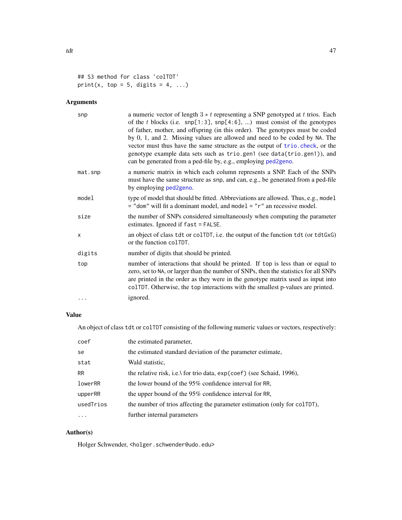# print(x, top = 5, digits = 4, ...)

# Arguments

| snp     | a numeric vector of length $3 * t$ representing a SNP genotyped at t trios. Each<br>of the t blocks (i.e. $\text{snp}[1:3]$ , $\text{snp}[4:6]$ , ) must consist of the genotypes<br>of father, mother, and offspring (in this order). The genotypes must be coded<br>by 0, 1, and 2. Missing values are allowed and need to be coded by NA. The<br>vector must thus have the same structure as the output of trio. check, or the<br>genotype example data sets such as trio.gen1 (see data(trio.gen1)), and<br>can be generated from a ped-file by, e.g., employing ped2geno. |
|---------|--------------------------------------------------------------------------------------------------------------------------------------------------------------------------------------------------------------------------------------------------------------------------------------------------------------------------------------------------------------------------------------------------------------------------------------------------------------------------------------------------------------------------------------------------------------------------------|
| mat.snp | a numeric matrix in which each column represents a SNP. Each of the SNPs<br>must have the same structure as snp, and can, e.g., be generated from a ped-file<br>by employing ped2geno.                                                                                                                                                                                                                                                                                                                                                                                         |
| model   | type of model that should be fitted. Abbreviations are allowed. Thus, e.g., model<br>$=$ "dom" will fit a dominant model, and model $=$ " $r$ " an recessive model.                                                                                                                                                                                                                                                                                                                                                                                                            |
| size    | the number of SNPs considered simultaneously when computing the parameter<br>estimates. Ignored if fast = FALSE.                                                                                                                                                                                                                                                                                                                                                                                                                                                               |
| X       | an object of class tdt or colTDT, i.e. the output of the function tdt (or tdtGxG)<br>or the function colTDT.                                                                                                                                                                                                                                                                                                                                                                                                                                                                   |
| digits  | number of digits that should be printed.                                                                                                                                                                                                                                                                                                                                                                                                                                                                                                                                       |
| top     | number of interactions that should be printed. If top is less than or equal to<br>zero, set to NA, or larger than the number of SNPs, then the statistics for all SNPs<br>are printed in the order as they were in the genotype matrix used as input into<br>colTDT. Otherwise, the top interactions with the smallest p-values are printed.                                                                                                                                                                                                                                   |
| .       | ignored.                                                                                                                                                                                                                                                                                                                                                                                                                                                                                                                                                                       |

# Value

An object of class tdt or colTDT consisting of the following numeric values or vectors, respectively:

| coef      | the estimated parameter,                                                  |
|-----------|---------------------------------------------------------------------------|
| se        | the estimated standard deviation of the parameter estimate,               |
| stat      | Wald statistic,                                                           |
| <b>RR</b> | the relative risk, i.e.\ for trio data, exp(coef) (see Schaid, 1996),     |
| lowerRR   | the lower bound of the 95% confidence interval for RR,                    |
| upperRR   | the upper bound of the 95% confidence interval for RR,                    |
| usedTrios | the number of trios affecting the parameter estimation (only for colTDT), |
| $\cdots$  | further internal parameters                                               |

# Author(s)

Holger Schwender, <holger.schwender@udo.edu>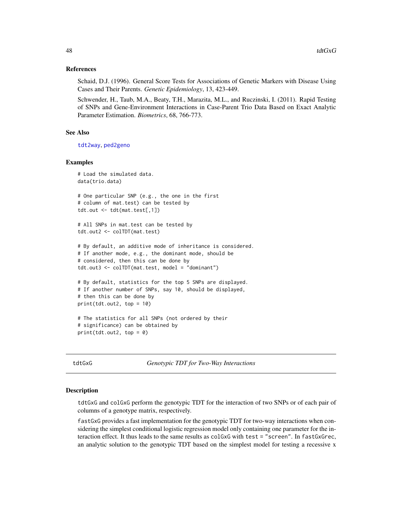## <span id="page-47-1"></span>References

Schaid, D.J. (1996). General Score Tests for Associations of Genetic Markers with Disease Using Cases and Their Parents. *Genetic Epidemiology*, 13, 423-449.

Schwender, H., Taub, M.A., Beaty, T.H., Marazita, M.L., and Ruczinski, I. (2011). Rapid Testing of SNPs and Gene-Environment Interactions in Case-Parent Trio Data Based on Exact Analytic Parameter Estimation. *Biometrics*, 68, 766-773.

## See Also

[tdt2way](#page-47-0), [ped2geno](#page-24-0)

## Examples

```
# Load the simulated data.
data(trio.data)
# One particular SNP (e.g., the one in the first
# column of mat.test) can be tested by
tdt.out <- tdt(mat.test[,1])
# All SNPs in mat.test can be tested by
tdt.out2 <- colTDT(mat.test)
# By default, an additive mode of inheritance is considered.
# If another mode, e.g., the dominant mode, should be
# considered, then this can be done by
tdt.out3 <- colTDT(mat.test, model = "dominant")
# By default, statistics for the top 5 SNPs are displayed.
# If another number of SNPs, say 10, should be displayed,
# then this can be done by
print(tdt.out2, top = 10)
# The statistics for all SNPs (not ordered by their
# significance) can be obtained by
print(tdt.out2, top = 0)
```
tdtGxG *Genotypic TDT for Two-Way Interactions*

#### <span id="page-47-0"></span>Description

tdtGxG and colGxG perform the genotypic TDT for the interaction of two SNPs or of each pair of columns of a genotype matrix, respectively.

fastGxG provides a fast implementation for the genotypic TDT for two-way interactions when considering the simplest conditional logistic regression model only containing one parameter for the interaction effect. It thus leads to the same results as colGxG with test = "screen". In fastGxGrec, an analytic solution to the genotypic TDT based on the simplest model for testing a recessive x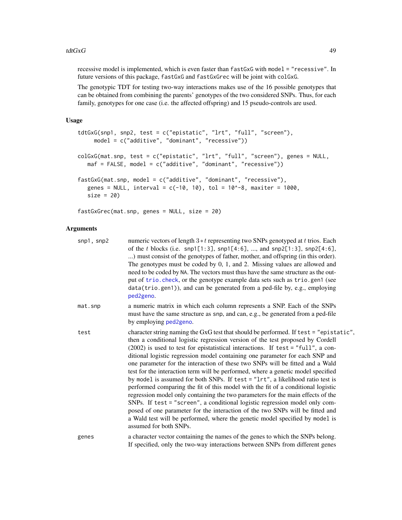#### tdt $GxG$  and  $49$

recessive model is implemented, which is even faster than fastGxG with model = "recessive". In future versions of this package, fastGxG and fastGxGrec will be joint with colGxG.

The genotypic TDT for testing two-way interactions makes use of the 16 possible genotypes that can be obtained from combining the parents' genotypes of the two considered SNPs. Thus, for each family, genotypes for one case (i.e. the affected offspring) and 15 pseudo-controls are used.

## Usage

```
tdtGxG(snp1, snp2, test = c("epistatic", "lrt", "full", "screen"),
     model = c("additive", "dominant", "recessive"))
colGxG(mat.snp, test = c("epistatic", "lrt", "full", "screen"), genes = NULL,
   maf = FALSE, model = c("additive", "dominant", "recessive"))
fastGxG(mat.snp, model = c("additive", "dominant", "recessive"),
   genes = NULL, interval = c(-10, 10), tol = 10^{\circ}-8, maxiter = 1000,
  size = 20
```
fastGxGrec(mat.snp, genes = NULL, size = 20)

## **Arguments**

| snp1, snp2 | numeric vectors of length $3*t$ representing two SNPs genotyped at t trios. Each<br>of the t blocks (i.e. snp1[1:3], snp1[4:6], , and snp2[1:3], snp2[4:6],<br>) must consist of the genotypes of father, mother, and offspring (in this order).<br>The genotypes must be coded by $0, 1$ , and $2$ . Missing values are allowed and<br>need to be coded by NA. The vectors must thus have the same structure as the out-<br>put of trio. check, or the genotype example data sets such as trio. gen1 (see<br>data(trio.gen1)), and can be generated from a ped-file by, e.g., employing<br>ped2geno.                                                                                                                                                                                                                                                                                                                                                                                                                                                 |
|------------|-------------------------------------------------------------------------------------------------------------------------------------------------------------------------------------------------------------------------------------------------------------------------------------------------------------------------------------------------------------------------------------------------------------------------------------------------------------------------------------------------------------------------------------------------------------------------------------------------------------------------------------------------------------------------------------------------------------------------------------------------------------------------------------------------------------------------------------------------------------------------------------------------------------------------------------------------------------------------------------------------------------------------------------------------------|
| mat.snp    | a numeric matrix in which each column represents a SNP. Each of the SNPs<br>must have the same structure as snp, and can, e.g., be generated from a ped-file<br>by employing ped2geno.                                                                                                                                                                                                                                                                                                                                                                                                                                                                                                                                                                                                                                                                                                                                                                                                                                                                |
| test       | character string naming the GxG test that should be performed. If test = "epistatic",<br>then a conditional logistic regression version of the test proposed by Cordell<br>$(2002)$ is used to test for epistatistical interactions. If test = "full", a con-<br>ditional logistic regression model containing one parameter for each SNP and<br>one parameter for the interaction of these two SNPs will be fitted and a Wald<br>test for the interaction term will be performed, where a genetic model specified<br>by model is assumed for both SNPs. If test = "1rt", a likelihood ratio test is<br>performed comparing the fit of this model with the fit of a conditional logistic<br>regression model only containing the two parameters for the main effects of the<br>SNPs. If test = "screen", a conditional logistic regression model only com-<br>posed of one parameter for the interaction of the two SNPs will be fitted and<br>a Wald test will be performed, where the genetic model specified by model is<br>assumed for both SNPs. |
| genes      | a character vector containing the names of the genes to which the SNPs belong.<br>If specified, only the two-way interactions between SNPs from different genes                                                                                                                                                                                                                                                                                                                                                                                                                                                                                                                                                                                                                                                                                                                                                                                                                                                                                       |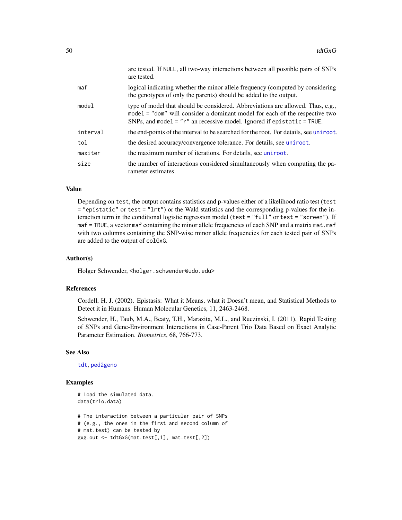|          | are tested. If NULL, all two-way interactions between all possible pairs of SNPs<br>are tested.                                                                                                                                            |
|----------|--------------------------------------------------------------------------------------------------------------------------------------------------------------------------------------------------------------------------------------------|
| maf      | logical indicating whether the minor allele frequency (computed by considering<br>the genotypes of only the parents) should be added to the output.                                                                                        |
| model    | type of model that should be considered. Abbreviations are allowed. Thus, e.g.,<br>model = "dom" will consider a dominant model for each of the respective two<br>SNPs, and model = $"r"$ an recessive model. Ignored if epistatic = TRUE. |
| interval | the end-points of the interval to be searched for the root. For details, see uniroot.                                                                                                                                                      |
| tol      | the desired accuracy/convergence tolerance. For details, see uniroot.                                                                                                                                                                      |
| maxiter  | the maximum number of iterations. For details, see uniroot.                                                                                                                                                                                |
| size     | the number of interactions considered simultaneously when computing the pa-<br>rameter estimates.                                                                                                                                          |

# Value

Depending on test, the output contains statistics and p-values either of a likelihood ratio test (test = "epistatic" or test = "lrt") or the Wald statistics and the corresponding p-values for the interaction term in the conditional logistic regression model (test = "full" or test = "screen"). If maf = TRUE, a vector maf containing the minor allele frequencies of each SNP and a matrix mat.maf with two columns containing the SNP-wise minor allele frequencies for each tested pair of SNPs are added to the output of colGxG.

## Author(s)

Holger Schwender, <holger.schwender@udo.edu>

## References

Cordell, H. J. (2002). Epistasis: What it Means, what it Doesn't mean, and Statistical Methods to Detect it in Humans. Human Molecular Genetics, 11, 2463-2468.

Schwender, H., Taub, M.A., Beaty, T.H., Marazita, M.L., and Ruczinski, I. (2011). Rapid Testing of SNPs and Gene-Environment Interactions in Case-Parent Trio Data Based on Exact Analytic Parameter Estimation. *Biometrics*, 68, 766-773.

## See Also

[tdt](#page-45-0), [ped2geno](#page-24-0)

```
# Load the simulated data.
data(trio.data)
# The interaction between a particular pair of SNPs
# (e.g., the ones in the first and second column of
# mat.test) can be tested by
gxg.out <- tdtGxG(mat.test[,1], mat.test[,2])
```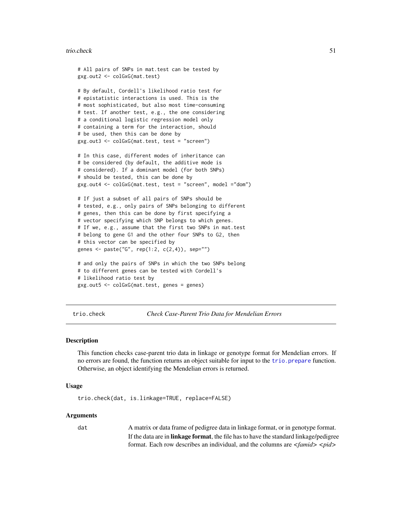#### <span id="page-50-1"></span>trio.check 51

```
# All pairs of SNPs in mat.test can be tested by
gxg.out2 <- colGxG(mat.test)
# By default, Cordell's likelihood ratio test for
# epistatistic interactions is used. This is the
# most sophisticated, but also most time-consuming
# test. If another test, e.g., the one considering
# a conditional logistic regression model only
# containing a term for the interaction, should
# be used, then this can be done by
gxg.out3 <- colGxG(mat.test, test = "screen")
# In this case, different modes of inheritance can
# be considered (by default, the additive mode is
# considered). If a dominant model (for both SNPs)
# should be tested, this can be done by
gxg.out4 <- colGxG(mat.test, test = "screen", model ="dom")
# If just a subset of all pairs of SNPs should be
# tested, e.g., only pairs of SNPs belonging to different
# genes, then this can be done by first specifying a
# vector specifying which SNP belongs to which genes.
# If we, e.g., assume that the first two SNPs in mat.test
# belong to gene G1 and the other four SNPs to G2, then
# this vector can be specified by
genes <- paste("G", rep(1:2, c(2,4)), sep="")
# and only the pairs of SNPs in which the two SNPs belong
# to different genes can be tested with Cordell's
# likelihood ratio test by
gxg.out5 <- colGxG(mat.test, genes = genes)
```
<span id="page-50-0"></span>trio.check *Check Case-Parent Trio Data for Mendelian Errors*

## **Description**

This function checks case-parent trio data in linkage or genotype format for Mendelian errors. If no errors are found, the function returns an object suitable for input to the [trio.prepare](#page-57-0) function. Otherwise, an object identifying the Mendelian errors is returned.

#### Usage

```
trio.check(dat, is.linkage=TRUE, replace=FALSE)
```
## Arguments

dat A matrix or data frame of pedigree data in linkage format, or in genotype format. If the data are in linkage format, the file has to have the standard linkage/pedigree format. Each row describes an individual, and the columns are *<famid> <pid>*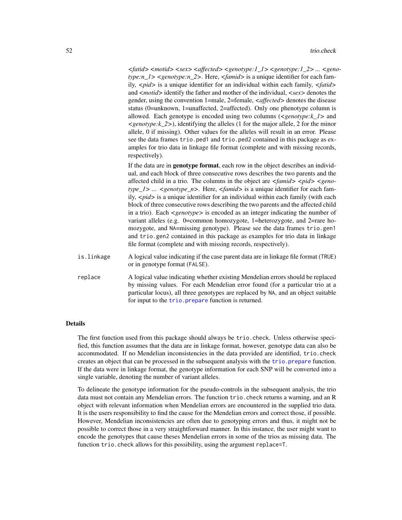*<fatid> <motid> <sex> <affected> <genotype:1\_1> <genotype:1\_2> ... <genotype:n\_1> <genotype:n\_2>*. Here, *<famid>* is a unique identifier for each family, *<pid>* is a unique identifier for an individual within each family, *<fatid>* and *<motid>* identify the father and mother of the individual, *<sex>* denotes the gender, using the convention 1=male, 2=female, *<affected>* denotes the disease status (0=unknown, 1=unaffected, 2=affected). Only one phenotype column is allowed. Each genotype is encoded using two columns (*<genotype:k\_1>* and *<genotype:k\_2>*), identifying the alleles (1 for the major allele, 2 for the minor allele, 0 if missing). Other values for the alleles will result in an error. Please see the data frames trio.ped1 and trio.ped2 contained in this package as examples for trio data in linkage file format (complete and with missing records, respectively).

If the data are in genotype format, each row in the object describes an individual, and each block of three consecutive rows describes the two parents and the affected child in a trio. The columns in the object are  $\langle$  famid>  $\langle$  pid>  $\langle$  geno*type\_1> ... <genotype\_n>*. Here, *<famid>* is a unique identifier for each family, *<pid>* is a unique identifier for an individual within each family (with each block of three consecutive rows describing the two parents and the affected child in a trio). Each *<genotype>* is encoded as an integer indicating the number of variant alleles (e.g. 0=common homozygote, 1=heterozygote, and 2=rare homozygote, and NA=missing genotype). Please see the data frames trio.gen1 and trio.gen2 contained in this package as examples for trio data in linkage file format (complete and with missing records, respectively).

- is.linkage A logical value indicating if the case parent data are in linkage file format (TRUE) or in genotype format (FALSE).
- replace A logical value indicating whether existing Mendelian errors should be replaced by missing values. For each Mendelian error found (for a particular trio at a particular locus), all three genotypes are replaced by NA, and an object suitable for input to the trio. prepare function is returned.

# Details

The first function used from this package should always be trio.check. Unless otherwise specified, this function assumes that the data are in linkage format, however, genotype data can also be accommodated. If no Mendelian inconsistencies in the data provided are identified, trio.check creates an object that can be processed in the subsequent analysis with the [trio.prepare](#page-57-0) function. If the data were in linkage format, the genotype information for each SNP will be converted into a single variable, denoting the number of variant alleles.

To delineate the genotype information for the pseudo-controls in the subsequent analysis, the trio data must not contain any Mendelian errors. The function trio.check returns a warning, and an R object with relevant information when Mendelian errors are encountered in the supplied trio data. It is the users responsibility to find the cause for the Mendelian errors and correct those, if possible. However, Mendelian inconsistencies are often due to genotyping errors and thus, it might not be possible to correct those in a very straightforward manner. In this instance, the user might want to encode the genotypes that cause theses Mendelian errors in some of the trios as missing data. The function trio.check allows for this possibility, using the argument replace=T.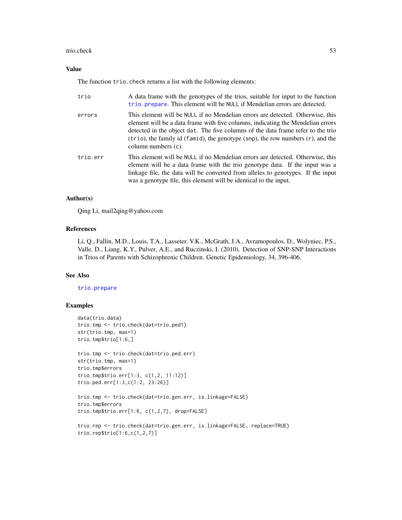## trio.check 53

## Value

The function trio.check returns a list with the following elements:

| trio     | A data frame with the genotypes of the trios, suitable for input to the function<br>trio. prepare. This element will be NULL if Mendelian errors are detected.                                                                                                                                                                                                        |
|----------|-----------------------------------------------------------------------------------------------------------------------------------------------------------------------------------------------------------------------------------------------------------------------------------------------------------------------------------------------------------------------|
| errors   | This element will be NULL if no Mendelian errors are detected. Otherwise, this<br>element will be a data frame with five columns, indicating the Mendelian errors<br>detected in the object dat. The five columns of the data frame refer to the trio<br>$(trio)$ , the family id (famid), the genotype (snp), the row numbers $(r)$ , and the<br>column numbers (c). |
| trio.err | This element will be NULL if no Mendelian errors are detected. Otherwise, this<br>element will be a data frame with the trio genotype data. If the input was a<br>linkage file, the data will be converted from alleles to genotypes. If the input<br>was a genotype file, this element will be identical to the input.                                               |

# Author(s)

Qing Li, mail2qing@yahoo.com

# References

Li, Q., Fallin, M.D., Louis, T.A., Lasseter, V.K., McGrath, J.A., Avramopoulos, D., Wolyniec, P.S., Valle, D., Liang, K.Y., Pulver, A.E., and Ruczinski, I. (2010). Detection of SNP-SNP Interactions in Trios of Parents with Schizophrenic Children. Genetic Epidemiology, 34, 396-406.

# See Also

# [trio.prepare](#page-57-0)

```
data(trio.data)
trio.tmp <- trio.check(dat=trio.ped1)
str(trio.tmp, max=1)
trio.tmp$trio[1:6,]
trio.tmp <- trio.check(dat=trio.ped.err)
str(trio.tmp, max=1)
trio.tmp$errors
trio.tmp$trio.err[1:3, c(1,2, 11:12)]
trio.ped.err[1:3,c(1:2, 23:26)]
trio.tmp <- trio.check(dat=trio.gen.err, is.linkage=FALSE)
trio.tmp$errors
trio.tmp$trio.err[1:6, c(1,2,7), drop=FALSE]
trio.rep <- trio.check(dat=trio.gen.err, is.linkage=FALSE, replace=TRUE)
trio.rep$trio[1:6,c(1,2,7)]
```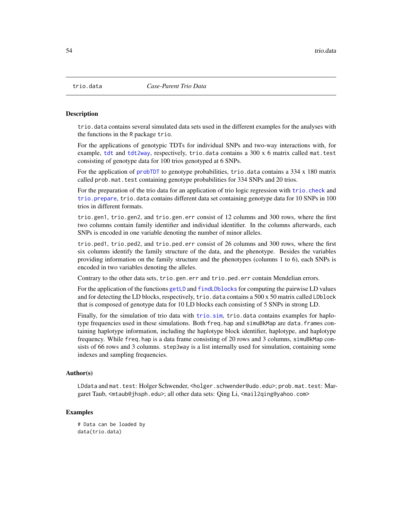<span id="page-53-0"></span>

#### **Description**

trio.data contains several simulated data sets used in the different examples for the analyses with the functions in the R package trio.

For the applications of genotypic TDTs for individual SNPs and two-way interactions with, for example, [tdt](#page-45-0) and [tdt2way](#page-47-0), respectively, trio.data contains a 300 x 6 matrix called mat.test consisting of genotype data for 100 trios genotyped at 6 SNPs.

For the application of [probTDT](#page-38-0) to genotype probabilities, trio.data contains a 334 x 180 matrix called prob.mat.test containing genotype probabilities for 334 SNPs and 20 trios.

For the preparation of the trio data for an application of trio logic regression with [trio.check](#page-50-0) and [trio.prepare](#page-57-0), trio.data contains different data set containing genotype data for 10 SNPs in 100 trios in different formats.

trio.gen1, trio.gen2, and trio.gen.err consist of 12 columns and 300 rows, where the first two columns contain family identifier and individual identifier. In the columns afterwards, each SNPs is encoded in one variable denoting the number of minor alleles.

trio.ped1, trio.ped2, and trio.ped.err consist of 26 columns and 300 rows, where the first six columns identify the family structure of the data, and the phenotype. Besides the variables providing information on the family structure and the phenotypes (columns 1 to 6), each SNPs is encoded in two variables denoting the alleles.

Contrary to the other data sets, trio.gen.err and trio.ped.err contain Mendelian errors.

For the application of the functions [getLD](#page-20-0) and [findLDblocks](#page-17-0) for computing the pairwise LD values and for detecting the LD blocks, respectively, trio.data contains a 500 x 50 matrix called LDblock that is composed of genotype data for 10 LD blocks each consisting of 5 SNPs in strong LD.

Finally, for the simulation of trio data with [trio.sim](#page-59-0), trio.data contains examples for haplotype frequencies used in these simulations. Both freq.hap and simuBkMap are data.frames containing haplotype information, including the haplotype block identifier, haplotype, and haplotype frequency. While freq.hap is a data frame consisting of 20 rows and 3 columns, simuBkMap consists of 66 rows and 3 columns. step3way is a list internally used for simulation, containing some indexes and sampling frequencies.

## Author(s)

LDdata and mat.test: Holger Schwender, <holger.schwender@udo.edu>; prob.mat.test: Margaret Taub, <mtaub@jhsph.edu>; all other data sets: Qing Li, <mail2qing@yahoo.com>

## Examples

# Data can be loaded by data(trio.data)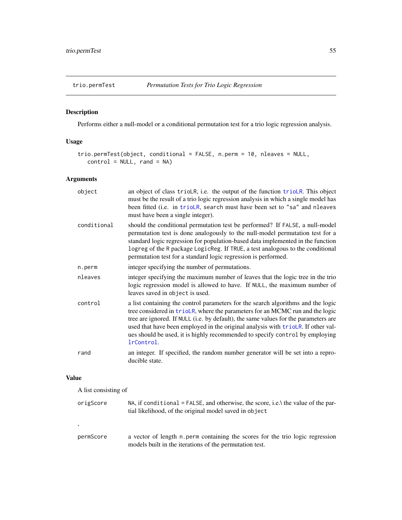<span id="page-54-1"></span><span id="page-54-0"></span>

# Description

Performs either a null-model or a conditional permutation test for a trio logic regression analysis.

# Usage

```
trio.permTest(object, conditional = FALSE, n.perm = 10, nleaves = NULL,
   control = NULL, rand = NA)
```
# Arguments

| object      | an object of class trioLR, i.e. the output of the function trioLR. This object<br>must be the result of a trio logic regression analysis in which a single model has<br>been fitted (i.e. in trioLR, search must have been set to "sa" and nleaves<br>must have been a single integer).                                                                                                                                                    |
|-------------|--------------------------------------------------------------------------------------------------------------------------------------------------------------------------------------------------------------------------------------------------------------------------------------------------------------------------------------------------------------------------------------------------------------------------------------------|
| conditional | should the conditional permutation test be performed? If FALSE, a null-model<br>permutation test is done analogously to the null-model permutation test for a<br>standard logic regression for population-based data implemented in the function<br>logreg of the R package LogicReg. If TRUE, a test analogous to the conditional<br>permutation test for a standard logic regression is performed.                                       |
| n.perm      | integer specifying the number of permutations.                                                                                                                                                                                                                                                                                                                                                                                             |
| nleaves     | integer specifying the maximum number of leaves that the logic tree in the trio<br>logic regression model is allowed to have. If NULL, the maximum number of<br>leaves saved in object is used.                                                                                                                                                                                                                                            |
| control     | a list containing the control parameters for the search algorithms and the logic<br>tree considered in trioLR, where the parameters for an MCMC run and the logic<br>tree are ignored. If NULL (i.e. by default), the same values for the parameters are<br>used that have been employed in the original analysis with trioLR. If other val-<br>ues should be used, it is highly recommended to specify control by employing<br>lrControl. |
| rand        | an integer. If specified, the random number generator will be set into a repro-<br>ducible state.                                                                                                                                                                                                                                                                                                                                          |
|             |                                                                                                                                                                                                                                                                                                                                                                                                                                            |

# Value

A list consisting of

| origScore | NA, if conditional = FALSE, and otherwise, the score, i.e. the value of the par-<br>tial likelihood, of the original model saved in object |
|-----------|--------------------------------------------------------------------------------------------------------------------------------------------|
| $\cdot$   |                                                                                                                                            |
| permScore | a vector of length n perm containing the scores for the trio logic regression<br>models built in the iterations of the permutation test.   |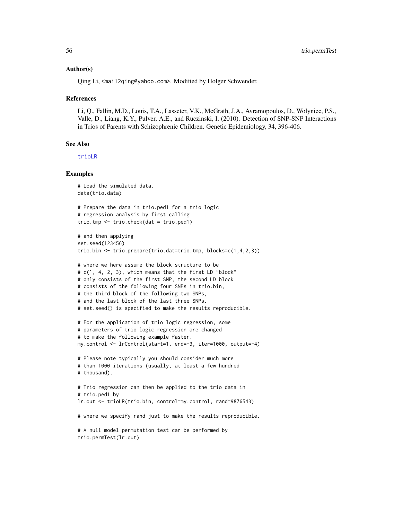## Author(s)

Qing Li, <mail2qing@yahoo.com>. Modified by Holger Schwender.

#### References

Li, Q., Fallin, M.D., Louis, T.A., Lasseter, V.K., McGrath, J.A., Avramopoulos, D., Wolyniec, P.S., Valle, D., Liang, K.Y., Pulver, A.E., and Ruczinski, I. (2010). Detection of SNP-SNP Interactions in Trios of Parents with Schizophrenic Children. Genetic Epidemiology, 34, 396-406.

## See Also

[trioLR](#page-65-0)

```
# Load the simulated data.
data(trio.data)
# Prepare the data in trio.ped1 for a trio logic
# regression analysis by first calling
trio.tmp <- trio.check(dat = trio.ped1)
# and then applying
set.seed(123456)
trio.bin <- trio.prepare(trio.dat=trio.tmp, blocks=c(1,4,2,3))
# where we here assume the block structure to be
# c(1, 4, 2, 3), which means that the first LD "block"
# only consists of the first SNP, the second LD block
# consists of the following four SNPs in trio.bin,
# the third block of the following two SNPs,
# and the last block of the last three SNPs.
# set.seed() is specified to make the results reproducible.
# For the application of trio logic regression, some
# parameters of trio logic regression are changed
# to make the following example faster.
my.control <- lrControl(start=1, end=-3, iter=1000, output=-4)
# Please note typically you should consider much more
# than 1000 iterations (usually, at least a few hundred
# thousand).
# Trio regression can then be applied to the trio data in
# trio.ped1 by
lr.out <- trioLR(trio.bin, control=my.control, rand=9876543)
# where we specify rand just to make the results reproducible.
# A null model permutation test can be performed by
trio.permTest(lr.out)
```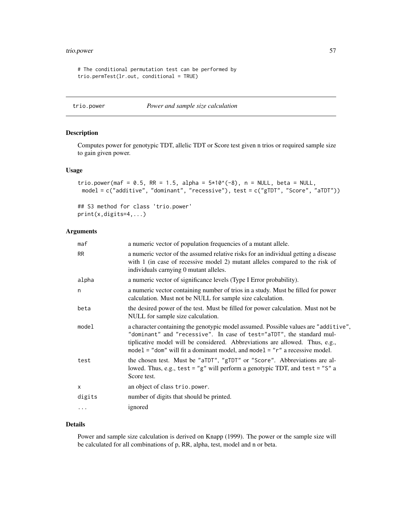# <span id="page-56-0"></span>trio.power 57

```
# The conditional permutation test can be performed by
trio.permTest(lr.out, conditional = TRUE)
```

```
trio.power Power and sample size calculation
```
# Description

Computes power for genotypic TDT, allelic TDT or Score test given n trios or required sample size to gain given power.

## Usage

```
trio.power(maf = 0.5, RR = 1.5, alpha = 5*10^(-8), n = NULL, beta = NULL,
 model = c("additive", "dominant", "recessive"), test = c("gTDT", "Score", "aTDT"))
```

```
## S3 method for class 'trio.power'
print(x,digits=4,...)
```
# Arguments

| maf       | a numeric vector of population frequencies of a mutant allele.                                                                                                                                                                                                                                                                  |
|-----------|---------------------------------------------------------------------------------------------------------------------------------------------------------------------------------------------------------------------------------------------------------------------------------------------------------------------------------|
| <b>RR</b> | a numeric vector of the assumed relative risks for an individual getting a disease<br>with 1 (in case of recessive model 2) mutant alleles compared to the risk of<br>individuals carnying 0 mutant alleles.                                                                                                                    |
| alpha     | a numeric vector of significance levels (Type I Error probability).                                                                                                                                                                                                                                                             |
| n         | a numeric vector containing number of trios in a study. Must be filled for power<br>calculation. Must not be NULL for sample size calculation.                                                                                                                                                                                  |
| beta      | the desired power of the test. Must be filled for power calculation. Must not be<br>NULL for sample size calculation.                                                                                                                                                                                                           |
| model     | a character containing the genotypic model assumed. Possible values are "additive",<br>"dominant" and "recessive". In case of test="aTDT", the standard mul-<br>tiplicative model will be considered. Abbreviations are allowed. Thus, e.g.,<br>model = "dom" will fit a dominant model, and model = " $r$ " a recessive model. |
| test      | the chosen test. Must be "aTDT", "gTDT" or "Score". Abbreviations are al-<br>lowed. Thus, e.g., test = "g" will perform a genotypic TDT, and test = "S" a<br>Score test.                                                                                                                                                        |
| X         | an object of class trio.power.                                                                                                                                                                                                                                                                                                  |
| digits    | number of digits that should be printed.                                                                                                                                                                                                                                                                                        |
|           | ignored                                                                                                                                                                                                                                                                                                                         |
|           |                                                                                                                                                                                                                                                                                                                                 |

#### Details

Power and sample size calculation is derived on Knapp (1999). The power or the sample size will be calculated for all combinations of p, RR, alpha, test, model and n or beta.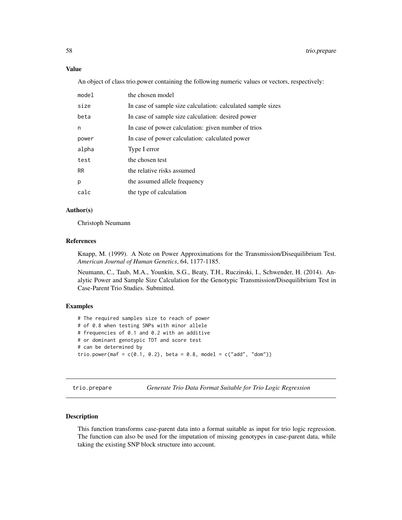## <span id="page-57-1"></span>Value

An object of class trio.power containing the following numeric values or vectors, respectively:

| model     | the chosen model                                            |
|-----------|-------------------------------------------------------------|
| size      | In case of sample size calculation: calculated sample sizes |
| beta      | In case of sample size calculation: desired power           |
| n         | In case of power calculation: given number of trios         |
| power     | In case of power calculation: calculated power              |
| alpha     | Type I error                                                |
| test      | the chosen test                                             |
| <b>RR</b> | the relative risks assumed                                  |
| p         | the assumed allele frequency                                |
| calc      | the type of calculation                                     |

# Author(s)

Christoph Neumann

## References

Knapp, M. (1999). A Note on Power Approximations for the Transmission/Disequilibrium Test. *American Journal of Human Genetics*, 64, 1177-1185.

Neumann, C., Taub, M.A., Younkin, S.G., Beaty, T.H., Ruczinski, I., Schwender, H. (2014). Analytic Power and Sample Size Calculation for the Genotypic Transmission/Disequilibrium Test in Case-Parent Trio Studies. Submitted.

## Examples

# The required samples size to reach of power # of 0.8 when testing SNPs with minor allele # frequencies of 0.1 and 0.2 with an additive # or dominant genotypic TDT and score test # can be determined by trio.power(maf =  $c(0.1, 0.2)$ , beta = 0.8, model =  $c("add", "dom"))$ 

<span id="page-57-0"></span>trio.prepare *Generate Trio Data Format Suitable for Trio Logic Regression*

## Description

This function transforms case-parent data into a format suitable as input for trio logic regression. The function can also be used for the imputation of missing genotypes in case-parent data, while taking the existing SNP block structure into account.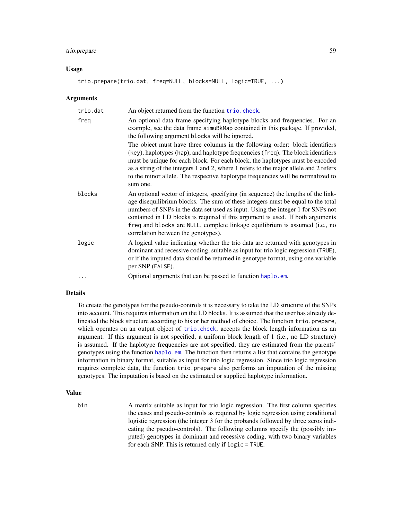# trio.prepare 59

## Usage

trio.prepare(trio.dat, freq=NULL, blocks=NULL, logic=TRUE, ...)

## Arguments

| trio.dat | An object returned from the function trio. check.                                                                                                                                                                                                                                                                                                                                                                                                               |
|----------|-----------------------------------------------------------------------------------------------------------------------------------------------------------------------------------------------------------------------------------------------------------------------------------------------------------------------------------------------------------------------------------------------------------------------------------------------------------------|
| freq     | An optional data frame specifying haplotype blocks and frequencies. For an<br>example, see the data frame simuBkMap contained in this package. If provided,<br>the following argument blocks will be ignored.                                                                                                                                                                                                                                                   |
|          | The object must have three columns in the following order: block identifiers<br>(key), haplotypes (hap), and haplotype frequencies (freq). The block identifiers<br>must be unique for each block. For each block, the haplotypes must be encoded<br>as a string of the integers 1 and 2, where 1 refers to the major allele and 2 refers<br>to the minor allele. The respective haplotype frequencies will be normalized to<br>sum one.                        |
| blocks   | An optional vector of integers, specifying (in sequence) the lengths of the link-<br>age disequilibrium blocks. The sum of these integers must be equal to the total<br>numbers of SNPs in the data set used as input. Using the integer 1 for SNPs not<br>contained in LD blocks is required if this argument is used. If both arguments<br>freq and blocks are NULL, complete linkage equilibrium is assumed (i.e., no<br>correlation between the genotypes). |
| logic    | A logical value indicating whether the trio data are returned with genotypes in<br>dominant and recessive coding, suitable as input for trio logic regression (TRUE),<br>or if the imputed data should be returned in genotype format, using one variable<br>per SNP (FALSE).                                                                                                                                                                                   |
|          | Optional arguments that can be passed to function haplo.em.                                                                                                                                                                                                                                                                                                                                                                                                     |

## Details

To create the genotypes for the pseudo-controls it is necessary to take the LD structure of the SNPs into account. This requires information on the LD blocks. It is assumed that the user has already delineated the block structure according to his or her method of choice. The function trio.prepare, which operates on an output object of [trio.check](#page-50-0), accepts the block length information as an argument. If this argument is not specified, a uniform block length of 1 (i.e., no LD structure) is assumed. If the haplotype frequencies are not specified, they are estimated from the parents' genotypes using the function [haplo.em](#page-0-0). The function then returns a list that contains the genotype information in binary format, suitable as input for trio logic regression. Since trio logic regression requires complete data, the function trio.prepare also performs an imputation of the missing genotypes. The imputation is based on the estimated or supplied haplotype information.

## Value

bin A matrix suitable as input for trio logic regression. The first column specifies the cases and pseudo-controls as required by logic regression using conditional logistic regression (the integer 3 for the probands followed by three zeros indicating the pseudo-controls). The following columns specify the (possibly imputed) genotypes in dominant and recessive coding, with two binary variables for each SNP. This is returned only if logic = TRUE.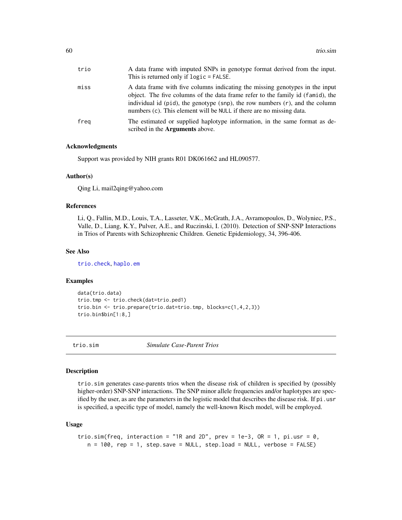<span id="page-59-1"></span>

| trio | A data frame with imputed SNPs in genotype format derived from the input.<br>This is returned only if $logic$ = FALSE.                                                                                                                                                                                                    |
|------|---------------------------------------------------------------------------------------------------------------------------------------------------------------------------------------------------------------------------------------------------------------------------------------------------------------------------|
| miss | A data frame with five columns indicating the missing genotypes in the input<br>object. The five columns of the data frame refer to the family id (famid), the<br>individual id (pid), the genotype (snp), the row numbers $(r)$ , and the column<br>numbers (c). This element will be NULL if there are no missing data. |
| freg | The estimated or supplied haplotype information, in the same format as de-<br>scribed in the <b>Arguments</b> above.                                                                                                                                                                                                      |

## Acknowledgments

Support was provided by NIH grants R01 DK061662 and HL090577.

## Author(s)

Qing Li, mail2qing@yahoo.com

## References

Li, Q., Fallin, M.D., Louis, T.A., Lasseter, V.K., McGrath, J.A., Avramopoulos, D., Wolyniec, P.S., Valle, D., Liang, K.Y., Pulver, A.E., and Ruczinski, I. (2010). Detection of SNP-SNP Interactions in Trios of Parents with Schizophrenic Children. Genetic Epidemiology, 34, 396-406.

## See Also

[trio.check](#page-50-0), [haplo.em](#page-0-0)

## Examples

```
data(trio.data)
trio.tmp <- trio.check(dat=trio.ped1)
trio.bin <- trio.prepare(trio.dat=trio.tmp, blocks=c(1,4,2,3))
trio.bin$bin[1:8,]
```
<span id="page-59-0"></span>

trio.sim *Simulate Case-Parent Trios*

## Description

trio.sim generates case-parents trios when the disease risk of children is specified by (possibly higher-order) SNP-SNP interactions. The SNP minor allele frequencies and/or haplotypes are specified by the user, as are the parameters in the logistic model that describes the disease risk. If pi.usr is specified, a specific type of model, namely the well-known Risch model, will be employed.

#### Usage

```
trio.sim(freq, interaction = "1R and 2D", prev = 1e-3, OR = 1, pi.usr = \theta,
  n = 100, rep = 1, step.save = NULL, step.load = NULL, verbose = FALSE)
```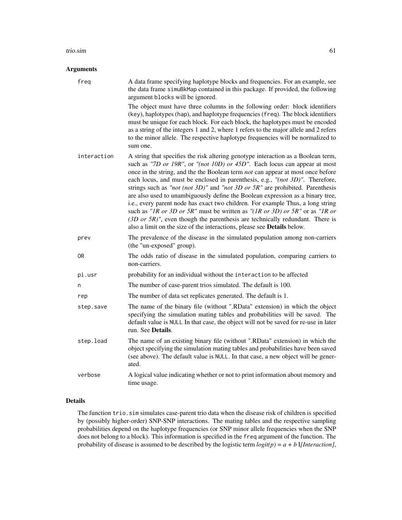#### trio.sim 61

## Arguments

| freq        | A data frame specifying haplotype blocks and frequencies. For an example, see<br>the data frame simuBkMap contained in this package. If provided, the following<br>argument blocks will be ignored.                                                                                                                                                                                                                                                                                                                                                                                                                                                                                                                                                                                                                                                   |
|-------------|-------------------------------------------------------------------------------------------------------------------------------------------------------------------------------------------------------------------------------------------------------------------------------------------------------------------------------------------------------------------------------------------------------------------------------------------------------------------------------------------------------------------------------------------------------------------------------------------------------------------------------------------------------------------------------------------------------------------------------------------------------------------------------------------------------------------------------------------------------|
|             | The object must have three columns in the following order: block identifiers<br>(key), haplotypes (hap), and haplotype frequencies (freq). The block identifiers<br>must be unique for each block. For each block, the haplotypes must be encoded<br>as a string of the integers 1 and 2, where 1 refers to the major allele and 2 refers<br>to the minor allele. The respective haplotype frequencies will be normalized to<br>sum one.                                                                                                                                                                                                                                                                                                                                                                                                              |
| interaction | A string that specifies the risk altering genotype interaction as a Boolean term,<br>such as "7D or 19R", or "(not 10D) or 45D". Each locus can appear at most<br>once in the string, and the the Boolean term <i>not</i> can appear at most once before<br>each locus, and must be enclosed in parenthesis, e.g., "(not 3D)". Therefore,<br>strings such as "not (not 3D)" and "not 3D or 5R" are prohibited. Parenthesis<br>are also used to unambiguously define the Boolean expression as a binary tree,<br>i.e., every parent node has exact two children. For example Thus, a long string<br>such as "IR or 3D or 5R" must be written as "(1R or 3D) or 5R" or as "1R or<br>$(3D \text{ or } 5R)$ ", even though the parenthesis are technically redundant. There is<br>also a limit on the size of the interactions, please see Details below. |
| prev        | The prevalence of the disease in the simulated population among non-carriers<br>(the "un-exposed" group).                                                                                                                                                                                                                                                                                                                                                                                                                                                                                                                                                                                                                                                                                                                                             |
| 0R          | The odds ratio of disease in the simulated population, comparing carriers to<br>non-carriers.                                                                                                                                                                                                                                                                                                                                                                                                                                                                                                                                                                                                                                                                                                                                                         |
| pi.usr      | probability for an individual without the interaction to be affected                                                                                                                                                                                                                                                                                                                                                                                                                                                                                                                                                                                                                                                                                                                                                                                  |
| n           | The number of case-parent trios simulated. The default is 100.                                                                                                                                                                                                                                                                                                                                                                                                                                                                                                                                                                                                                                                                                                                                                                                        |
| rep         | The number of data set replicates generated. The default is 1.                                                                                                                                                                                                                                                                                                                                                                                                                                                                                                                                                                                                                                                                                                                                                                                        |
| step.save   | The name of the binary file (without ".RData" extension) in which the object<br>specifying the simulation mating tables and probabilities will be saved. The<br>default value is NULL In that case, the object will not be saved for re-use in later<br>run. See Details.                                                                                                                                                                                                                                                                                                                                                                                                                                                                                                                                                                             |
| step.load   | The name of an existing binary file (without ".RData" extension) in which the<br>object specifying the simulation mating tables and probabilities have been saved<br>(see above). The default value is NULL. In that case, a new object will be gener-<br>ated.                                                                                                                                                                                                                                                                                                                                                                                                                                                                                                                                                                                       |
| verbose     | A logical value indicating whether or not to print information about memory and<br>time usage.                                                                                                                                                                                                                                                                                                                                                                                                                                                                                                                                                                                                                                                                                                                                                        |

# Details

The function trio.sim simulates case-parent trio data when the disease risk of children is specified by (possibly higher-order) SNP-SNP interactions. The mating tables and the respective sampling probabilities depend on the haplotype frequencies (or SNP minor allele frequencies when the SNP does not belong to a block). This information is specified in the freq argument of the function. The probability of disease is assumed to be described by the logistic term *logit(p) = a + b* I*[Interaction]*,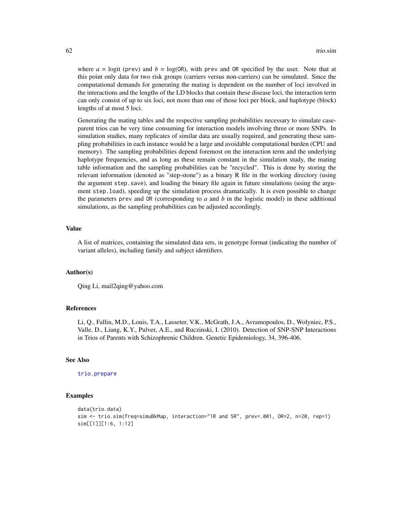where  $a = \text{logit}$  (prev) and  $b = \text{log}(\text{OR})$ , with prev and OR specified by the user. Note that at this point only data for two risk groups (carriers versus non-carriers) can be simulated. Since the computational demands for generating the mating is dependent on the number of loci involved in the interactions and the lengths of the LD blocks that contain these disease loci, the interaction term can only consist of up to six loci, not more than one of those loci per block, and haplotype (block) lengths of at most 5 loci.

Generating the mating tables and the respective sampling probabilities necessary to simulate caseparent trios can be very time consuming for interaction models involving three or more SNPs. In simulation studies, many replicates of similar data are usually required, and generating these sampling probabilities in each instance would be a large and avoidable computational burden (CPU and memory). The sampling probabilities depend foremost on the interaction term and the underlying haplotype frequencies, and as long as these remain constant in the simulation study, the mating table information and the sampling probabilities can be "recycled". This is done by storing the relevant information (denoted as "step-stone") as a binary R file in the working directory (using the argument step.save), and loading the binary file again in future simulations (using the argument step.load), speeding up the simulation process dramatically. It is even possible to change the parameters prev and OR (corresponding to *a* and *b* in the logistic model) in these additional simulations, as the sampling probabilities can be adjusted accordingly.

## Value

A list of matrices, containing the simulated data sets, in genotype format (indicating the number of variant alleles), including family and subject identifiers.

## Author(s)

Qing Li, mail2qing@yahoo.com

#### References

Li, Q., Fallin, M.D., Louis, T.A., Lasseter, V.K., McGrath, J.A., Avramopoulos, D., Wolyniec, P.S., Valle, D., Liang, K.Y., Pulver, A.E., and Ruczinski, I. (2010). Detection of SNP-SNP Interactions in Trios of Parents with Schizophrenic Children. Genetic Epidemiology, 34, 396-406.

## See Also

#### [trio.prepare](#page-57-0)

```
data(trio.data)
sim <- trio.sim(freq=simuBkMap, interaction="1R and 5R", prev=.001, OR=2, n=20, rep=1)
sim[[1]][1:6, 1:12]
```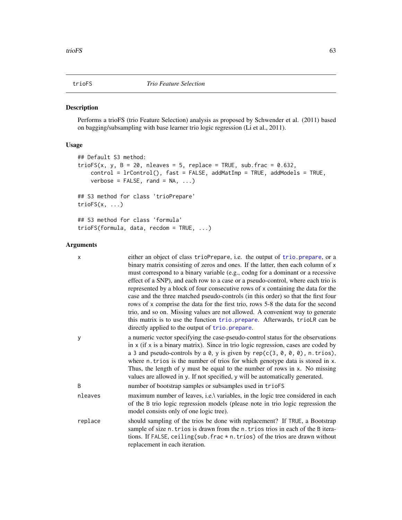<span id="page-62-0"></span>

# Description

Performs a trioFS (trio Feature Selection) analysis as proposed by Schwender et al. (2011) based on bagging/subsampling with base learner trio logic regression (Li et al., 2011).

# Usage

```
## Default S3 method:
trioFS(x, y, B = 20, nleaves = 5, replace = TRUE, sub.frac = 0.632,
    control = lrControl(), fast = FALSE, addMatImp = TRUE, addModels = TRUE,
    verbose = FALSE, rand = NA, ...)## S3 method for class 'trioPrepare'
trioFS(x, ...)
## S3 method for class 'formula'
trioFS(formula, data, recdom = TRUE, ...)
```
## Arguments

| $\times$ | either an object of class trioPrepare, i.e. the output of trio. prepare, or a<br>binary matrix consisting of zeros and ones. If the latter, then each column of x<br>must correspond to a binary variable (e.g., codng for a dominant or a recessive<br>effect of a SNP), and each row to a case or a pseudo-control, where each trio is<br>represented by a block of four consecutive rows of x containing the data for the<br>case and the three matched pseudo-controls (in this order) so that the first four<br>rows of x comprise the data for the first trio, rows 5-8 the data for the second<br>trio, and so on. Missing values are not allowed. A convenient way to generate<br>this matrix is to use the function trio. prepare. Afterwards, triolR can be<br>directly applied to the output of trio. prepare. |
|----------|---------------------------------------------------------------------------------------------------------------------------------------------------------------------------------------------------------------------------------------------------------------------------------------------------------------------------------------------------------------------------------------------------------------------------------------------------------------------------------------------------------------------------------------------------------------------------------------------------------------------------------------------------------------------------------------------------------------------------------------------------------------------------------------------------------------------------|
| У        | a numeric vector specifying the case-pseudo-control status for the observations<br>in $x$ (if $x$ is a binary matrix). Since in trio logic regression, cases are coded by<br>a 3 and pseudo-controls by a 0, y is given by $rep(c(3, 0, 0, 0), n. trios)$ ,<br>where n. trios is the number of trios for which genotype data is stored in x.<br>Thus, the length of y must be equal to the number of rows in x. No missing<br>values are allowed in y. If not specified, y will be automatically generated.                                                                                                                                                                                                                                                                                                               |
| B        | number of bootstrap samples or subsamples used in trioFS                                                                                                                                                                                                                                                                                                                                                                                                                                                                                                                                                                                                                                                                                                                                                                  |
| nleaves  | maximum number of leaves, i.e.\ variables, in the logic tree considered in each<br>of the B trio logic regression models (please note in trio logic regression the<br>model consists only of one logic tree).                                                                                                                                                                                                                                                                                                                                                                                                                                                                                                                                                                                                             |
| replace  | should sampling of the trios be done with replacement? If TRUE, a Bootstrap<br>sample of size n. trios is drawn from the n. trios trios in each of the B itera-<br>tions. If FALSE, ceiling (sub. frac $*$ n. trios) of the trios are drawn without<br>replacement in each iteration.                                                                                                                                                                                                                                                                                                                                                                                                                                                                                                                                     |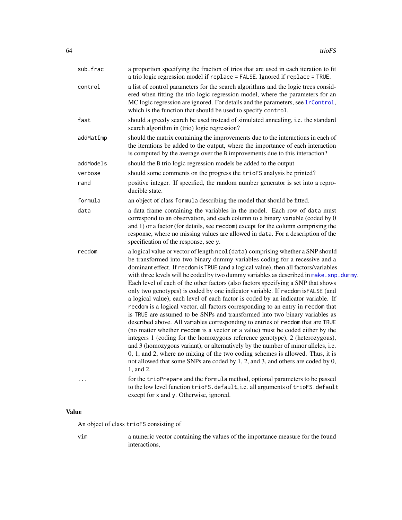| sub.frac  | a proportion specifying the fraction of trios that are used in each iteration to fit<br>a trio logic regression model if replace = FALSE. Ignored if replace = TRUE.                                                                                                                                                                                                                                                                                                                                                                                                                                                                                                                                                                                                                                                                                                                                                                                                                                                                                                                                                                                                                                                                                                                                         |
|-----------|--------------------------------------------------------------------------------------------------------------------------------------------------------------------------------------------------------------------------------------------------------------------------------------------------------------------------------------------------------------------------------------------------------------------------------------------------------------------------------------------------------------------------------------------------------------------------------------------------------------------------------------------------------------------------------------------------------------------------------------------------------------------------------------------------------------------------------------------------------------------------------------------------------------------------------------------------------------------------------------------------------------------------------------------------------------------------------------------------------------------------------------------------------------------------------------------------------------------------------------------------------------------------------------------------------------|
| control   | a list of control parameters for the search algorithms and the logic trees consid-<br>ered when fitting the trio logic regression model, where the parameters for an<br>MC logic regression are ignored. For details and the parameters, see lrControl,<br>which is the function that should be used to specify control.                                                                                                                                                                                                                                                                                                                                                                                                                                                                                                                                                                                                                                                                                                                                                                                                                                                                                                                                                                                     |
| fast      | should a greedy search be used instead of simulated annealing, i.e. the standard<br>search algorithm in (trio) logic regression?                                                                                                                                                                                                                                                                                                                                                                                                                                                                                                                                                                                                                                                                                                                                                                                                                                                                                                                                                                                                                                                                                                                                                                             |
| addMatImp | should the matrix containing the improvements due to the interactions in each of<br>the iterations be added to the output, where the importance of each interaction<br>is computed by the average over the B improvements due to this interaction?                                                                                                                                                                                                                                                                                                                                                                                                                                                                                                                                                                                                                                                                                                                                                                                                                                                                                                                                                                                                                                                           |
| addModels | should the B trio logic regression models be added to the output                                                                                                                                                                                                                                                                                                                                                                                                                                                                                                                                                                                                                                                                                                                                                                                                                                                                                                                                                                                                                                                                                                                                                                                                                                             |
| verbose   | should some comments on the progress the trioFS analysis be printed?                                                                                                                                                                                                                                                                                                                                                                                                                                                                                                                                                                                                                                                                                                                                                                                                                                                                                                                                                                                                                                                                                                                                                                                                                                         |
| rand      | positive integer. If specified, the random number generator is set into a repro-<br>ducible state.                                                                                                                                                                                                                                                                                                                                                                                                                                                                                                                                                                                                                                                                                                                                                                                                                                                                                                                                                                                                                                                                                                                                                                                                           |
| formula   | an object of class formula describing the model that should be fitted.                                                                                                                                                                                                                                                                                                                                                                                                                                                                                                                                                                                                                                                                                                                                                                                                                                                                                                                                                                                                                                                                                                                                                                                                                                       |
| data      | a data frame containing the variables in the model. Each row of data must<br>correspond to an observation, and each column to a binary variable (coded by 0<br>and 1) or a factor (for details, see recdom) except for the column comprising the<br>response, where no missing values are allowed in data. For a description of the<br>specification of the response, see y.                                                                                                                                                                                                                                                                                                                                                                                                                                                                                                                                                                                                                                                                                                                                                                                                                                                                                                                                 |
| recdom    | a logical value or vector of length ncol (data) comprising whether a SNP should<br>be transformed into two binary dummy variables coding for a recessive and a<br>dominant effect. If recdom is TRUE (and a logical value), then all factors/variables<br>with three levels will be coded by two dummy variables as described in make. snp. dummy.<br>Each level of each of the other factors (also factors specifying a SNP that shows<br>only two genotypes) is coded by one indicator variable. If recdom isFALSE (and<br>a logical value), each level of each factor is coded by an indicator variable. If<br>recdom is a logical vector, all factors corresponding to an entry in recdom that<br>is TRUE are assumed to be SNPs and transformed into two binary variables as<br>described above. All variables corresponding to entries of recdom that are TRUE<br>(no matter whether recdom is a vector or a value) must be coded either by the<br>integers 1 (coding for the homozygous reference genotype), 2 (heterozygous),<br>and 3 (homozygous variant), or alternatively by the number of minor alleles, i.e.<br>0, 1, and 2, where no mixing of the two coding schemes is allowed. Thus, it is<br>not allowed that some SNPs are coded by 1, 2, and 3, and others are coded by 0,<br>1, and 2. |
| $\cdots$  | for the trioPrepare and the formula method, optional parameters to be passed<br>to the low level function trioFS.default, i.e. all arguments of trioFS.default<br>except for x and y. Otherwise, ignored.                                                                                                                                                                                                                                                                                                                                                                                                                                                                                                                                                                                                                                                                                                                                                                                                                                                                                                                                                                                                                                                                                                    |

# Value

An object of class trioFS consisting of

vim a numeric vector containing the values of the importance measure for the found interactions,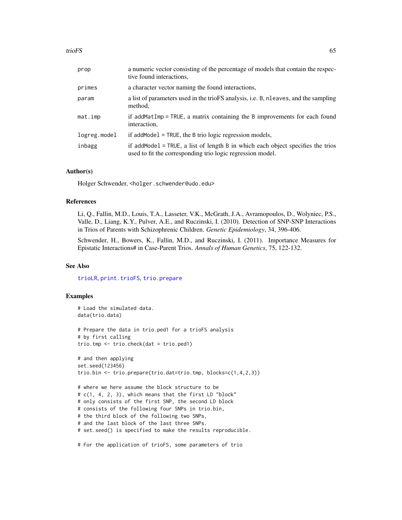| prop         | a numeric vector consisting of the percentage of models that contain the respec-<br>tive found interactions.                                  |
|--------------|-----------------------------------------------------------------------------------------------------------------------------------------------|
| primes       | a character vector naming the found interactions,                                                                                             |
| param        | a list of parameters used in the trioFS analysis, i.e. B, nleaves, and the sampling<br>method,                                                |
| mat.imp      | if addMatImp = TRUE, a matrix containing the B improvements for each found<br>interaction,                                                    |
| logreg.model | if addMode1 = $TRUE$ , the B trio logic regression models,                                                                                    |
| inbagg       | if addModel = TRUE, a list of length B in which each object specifies the trios<br>used to fit the corresponding trio logic regression model. |

#### Author(s)

Holger Schwender, <holger.schwender@udo.edu>

## References

Li, Q., Fallin, M.D., Louis, T.A., Lasseter, V.K., McGrath, J.A., Avramopoulos, D., Wolyniec, P.S., Valle, D., Liang, K.Y., Pulver, A.E., and Ruczinski, I. (2010). Detection of SNP-SNP Interactions in Trios of Parents with Schizophrenic Children. *Genetic Epidemiology*, 34, 396-406.

Schwender, H., Bowers, K., Fallin, M.D., and Ruczinski, I. (2011). Importance Measures for Epistatic Interactions# in Case-Parent Trios. *Annals of Human Genetics*, 75, 122-132.

## See Also

[trioLR](#page-65-0), [print.trioFS](#page-34-0), [trio.prepare](#page-57-0)

```
# Load the simulated data.
data(trio.data)
# Prepare the data in trio.ped1 for a trioFS analysis
# by first calling
trio.tmp <- trio.check(dat = trio.ped1)
# and then applying
set.seed(123456)
trio.bin <- trio.prepare(trio.dat=trio.tmp, blocks=c(1,4,2,3))
# where we here assume the block structure to be
# c(1, 4, 2, 3), which means that the first LD "block"
# only consists of the first SNP, the second LD block
# consists of the following four SNPs in trio.bin,
# the third block of the following two SNPs,
# and the last block of the last three SNPs.
# set.seed() is specified to make the results reproducible.
# For the application of trioFS, some parameters of trio
```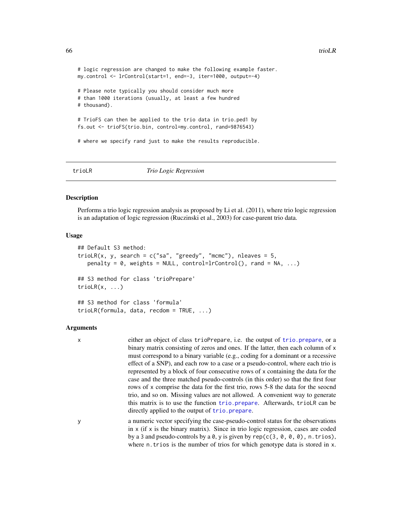```
# logic regression are changed to make the following example faster.
my.control <- lrControl(start=1, end=-3, iter=1000, output=-4)
# Please note typically you should consider much more
# than 1000 iterations (usually, at least a few hundred
# thousand).
# TrioFS can then be applied to the trio data in trio.ped1 by
fs.out <- trioFS(trio.bin, control=my.control, rand=9876543)
# where we specify rand just to make the results reproducible.
```
<span id="page-65-0"></span>

#### trioLR *Trio Logic Regression*

#### Description

Performs a trio logic regression analysis as proposed by Li et al. (2011), where trio logic regression is an adaptation of logic regression (Ruczinski et al., 2003) for case-parent trio data.

#### Usage

```
## Default S3 method:
trioLR(x, y, search = c("sa", "greedy", "mcmc"), nleaves = 5,penalty = 0, weights = NULL, control=lrControl(), rand = NA, ...)
## S3 method for class 'trioPrepare'
trioLR(x, \ldots)## S3 method for class 'formula'
trioLR(formula, data, recdom = TRUE, ...)
```
#### Arguments

x either an object of class trioPrepare, i.e. the output of [trio.prepare](#page-57-0), or a binary matrix consisting of zeros and ones. If the latter, then each column of x must correspond to a binary variable (e.g., coding for a dominant or a recessive effect of a SNP), and each row to a case or a pseudo-control, where each trio is represented by a block of four consecutive rows of x containing the data for the case and the three matched pseudo-controls (in this order) so that the first four rows of x comprise the data for the first trio, rows 5-8 the data for the seocnd trio, and so on. Missing values are not allowed. A convenient way to generate this matrix is to use the function [trio.prepare](#page-57-0). Afterwards, trioLR can be directly applied to the output of [trio.prepare](#page-57-0).

y a numeric vector specifying the case-pseudo-control status for the observations in x (if x is the binary matrix). Since in trio logic regression, cases are coded by a 3 and pseudo-controls by a 0, y is given by  $rep(c(3, 0, 0, 0), n. trios)$ , where n.trios is the number of trios for which genotype data is stored in x.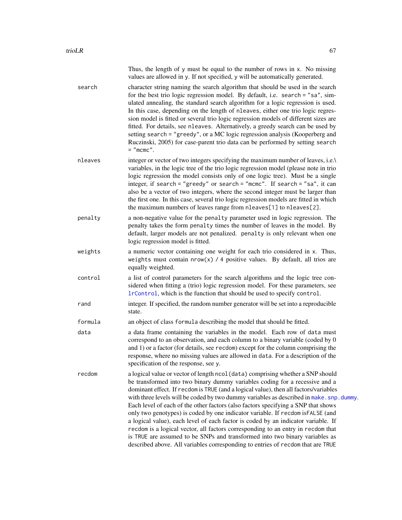|         | Thus, the length of y must be equal to the number of rows in x. No missing<br>values are allowed in y. If not specified, y will be automatically generated.                                                                                                                                                                                                                                                                                                                                                                                                                                                                                                                                                                                                                                                                                                           |
|---------|-----------------------------------------------------------------------------------------------------------------------------------------------------------------------------------------------------------------------------------------------------------------------------------------------------------------------------------------------------------------------------------------------------------------------------------------------------------------------------------------------------------------------------------------------------------------------------------------------------------------------------------------------------------------------------------------------------------------------------------------------------------------------------------------------------------------------------------------------------------------------|
| search  | character string naming the search algorithm that should be used in the search<br>for the best trio logic regression model. By default, i.e. search = "sa", sim-<br>ulated annealing, the standard search algorithm for a logic regression is used.<br>In this case, depending on the length of nleaves, either one trio logic regres-<br>sion model is fitted or several trio logic regression models of different sizes are<br>fitted. For details, see nleaves. Alternatively, a greedy search can be used by<br>setting search = "greedy", or a MC logic regression analysis (Kooperberg and<br>Ruczinski, 2005) for case-parent trio data can be performed by setting search<br>$=$ "mcmc".                                                                                                                                                                      |
| nleaves | integer or vector of two integers specifying the maximum number of leaves, i.e.\<br>variables, in the logic tree of the trio logic regression model (please note in trio<br>logic regression the model consists only of one logic tree). Must be a single<br>integer, if search = "greedy" or search = "mcmc". If search = "sa", it can<br>also be a vector of two integers, where the second integer must be larger than<br>the first one. In this case, several trio logic regression models are fitted in which<br>the maximum numbers of leaves range from nleaves[1] to nleaves[2].                                                                                                                                                                                                                                                                              |
| penalty | a non-negative value for the penalty parameter used in logic regression. The<br>penalty takes the form penalty times the number of leaves in the model. By<br>default, larger models are not penalized. penalty is only relevant when one<br>logic regression model is fitted.                                                                                                                                                                                                                                                                                                                                                                                                                                                                                                                                                                                        |
| weights | a numeric vector containing one weight for each trio considered in x. Thus,<br>weights must contain $nrow(x)$ / 4 positive values. By default, all trios are<br>equally weighted.                                                                                                                                                                                                                                                                                                                                                                                                                                                                                                                                                                                                                                                                                     |
| control | a list of control parameters for the search algorithms and the logic tree con-<br>sidered when fitting a (trio) logic regression model. For these parameters, see<br>IrControl, which is the function that should be used to specify control.                                                                                                                                                                                                                                                                                                                                                                                                                                                                                                                                                                                                                         |
| rand    | integer. If specified, the random number generator will be set into a reproducible<br>state.                                                                                                                                                                                                                                                                                                                                                                                                                                                                                                                                                                                                                                                                                                                                                                          |
| formula | an object of class formula describing the model that should be fitted.                                                                                                                                                                                                                                                                                                                                                                                                                                                                                                                                                                                                                                                                                                                                                                                                |
| data    | a data frame containing the variables in the model. Each row of data must<br>correspond to an observation, and each column to a binary variable (coded by 0<br>and 1) or a factor (for details, see recdom) except for the column comprising the<br>response, where no missing values are allowed in data. For a description of the<br>specification of the response, see y.                                                                                                                                                                                                                                                                                                                                                                                                                                                                                          |
| recdom  | a logical value or vector of length ncol (data) comprising whether a SNP should<br>be transformed into two binary dummy variables coding for a recessive and a<br>dominant effect. If recdom is TRUE (and a logical value), then all factors/variables<br>with three levels will be coded by two dummy variables as described in make. snp. dummy.<br>Each level of each of the other factors (also factors specifying a SNP that shows<br>only two genotypes) is coded by one indicator variable. If recdom is FALSE (and<br>a logical value), each level of each factor is coded by an indicator variable. If<br>recdom is a logical vector, all factors corresponding to an entry in recdom that<br>is TRUE are assumed to be SNPs and transformed into two binary variables as<br>described above. All variables corresponding to entries of recdom that are TRUE |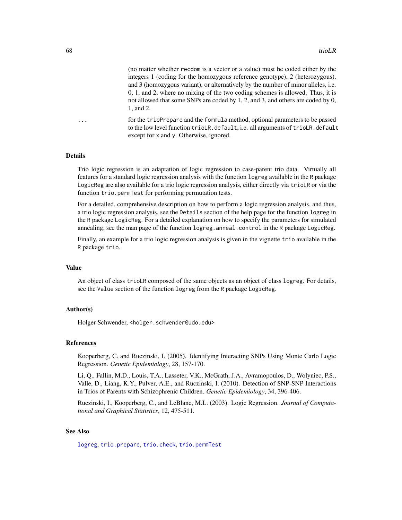(no matter whether recdom is a vector or a value) must be coded either by the integers 1 (coding for the homozygous reference genotype), 2 (heterozygous), and 3 (homozygous variant), or alternatively by the number of minor alleles, i.e. 0, 1, and 2, where no mixing of the two coding schemes is allowed. Thus, it is not allowed that some SNPs are coded by 1, 2, and 3, and others are coded by 0, 1, and 2.

... for the trioPrepare and the formula method, optional parameters to be passed to the low level function trioLR.default, i.e. all arguments of trioLR.default except for x and y. Otherwise, ignored.

## Details

Trio logic regression is an adaptation of logic regression to case-parent trio data. Virtually all features for a standard logic regression analysis with the function logreg available in the R package LogicReg are also available for a trio logic regression analysis, either directly via trioLR or via the function trio.permTest for performing permutation tests.

For a detailed, comprehensive description on how to perform a logic regression analysis, and thus, a trio logic regression analysis, see the Details section of the help page for the function logreg in the R package LogicReg. For a detailed explanation on how to specify the parameters for simulated annealing, see the man page of the function logreg.anneal.control in the R package LogicReg.

Finally, an example for a trio logic regression analysis is given in the vignette trio available in the R package trio.

# Value

An object of class trioLR composed of the same objects as an object of class logreg. For details, see the Value section of the function logreg from the R package LogicReg.

# Author(s)

Holger Schwender, <holger.schwender@udo.edu>

#### References

Kooperberg, C. and Ruczinski, I. (2005). Identifying Interacting SNPs Using Monte Carlo Logic Regression. *Genetic Epidemiology*, 28, 157-170.

Li, Q., Fallin, M.D., Louis, T.A., Lasseter, V.K., McGrath, J.A., Avramopoulos, D., Wolyniec, P.S., Valle, D., Liang, K.Y., Pulver, A.E., and Ruczinski, I. (2010). Detection of SNP-SNP Interactions in Trios of Parents with Schizophrenic Children. *Genetic Epidemiology*, 34, 396-406.

Ruczinski, I., Kooperberg, C., and LeBlanc, M.L. (2003). Logic Regression. *Journal of Computational and Graphical Statistics*, 12, 475-511.

## See Also

[logreg](#page-0-0), [trio.prepare](#page-57-0), [trio.check](#page-50-0), [trio.permTest](#page-54-0)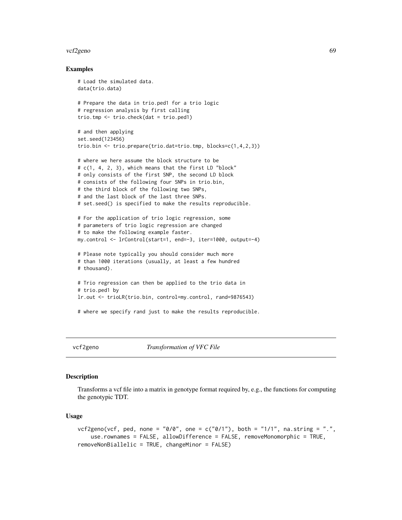#### <span id="page-68-0"></span>vcf2geno 69

## Examples

```
# Load the simulated data.
data(trio.data)
# Prepare the data in trio.ped1 for a trio logic
# regression analysis by first calling
trio.tmp <- trio.check(dat = trio.ped1)
# and then applying
set.seed(123456)
trio.bin <- trio.prepare(trio.dat=trio.tmp, blocks=c(1,4,2,3))
# where we here assume the block structure to be
# c(1, 4, 2, 3), which means that the first LD "block"
# only consists of the first SNP, the second LD block
# consists of the following four SNPs in trio.bin,
# the third block of the following two SNPs,
# and the last block of the last three SNPs.
# set.seed() is specified to make the results reproducible.
# For the application of trio logic regression, some
# parameters of trio logic regression are changed
# to make the following example faster.
my.control <- lrControl(start=1, end=-3, iter=1000, output=-4)
# Please note typically you should consider much more
# than 1000 iterations (usually, at least a few hundred
# thousand).
# Trio regression can then be applied to the trio data in
# trio.ped1 by
lr.out <- trioLR(trio.bin, control=my.control, rand=9876543)
# where we specify rand just to make the results reproducible.
```
vcf2geno *Transformation of VFC File*

## **Description**

Transforms a vcf file into a matrix in genotype format required by, e.g., the functions for computing the genotypic TDT.

#### Usage

```
vcf2geno(vcf, ped, none = "0/0", one = c("0/1"), both = "1/1", na-string = ".",use.rownames = FALSE, allowDifference = FALSE, removeMonomorphic = TRUE,
removeNonBiallelic = TRUE, changeMinor = FALSE)
```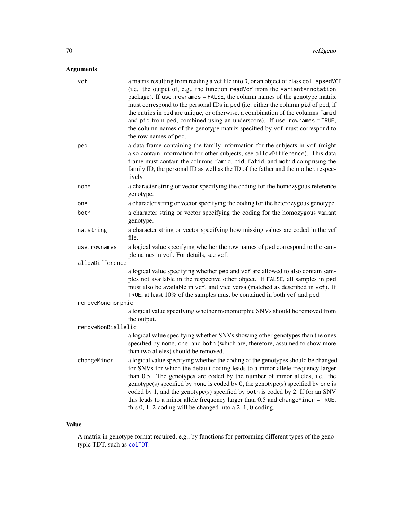# Arguments

| vcf                | a matrix resulting from reading a vcf file into R, or an object of class collapsedVCF<br>(i.e. the output of, e.g., the function readVcf from the VariantAnnotation<br>package). If use . rownames = FALSE, the column names of the genotype matrix<br>must correspond to the personal IDs in ped (i.e. either the column pid of ped, if<br>the entries in pid are unique, or otherwise, a combination of the columns famid<br>and pid from ped, combined using an underscore). If use . rownames = TRUE,<br>the column names of the genotype matrix specified by vcf must correspond to<br>the row names of ped. |
|--------------------|-------------------------------------------------------------------------------------------------------------------------------------------------------------------------------------------------------------------------------------------------------------------------------------------------------------------------------------------------------------------------------------------------------------------------------------------------------------------------------------------------------------------------------------------------------------------------------------------------------------------|
| ped                | a data frame containing the family information for the subjects in vcf (might<br>also contain information for other subjects, see allowDifference). This data<br>frame must contain the columns famid, pid, fatid, and motid comprising the<br>family ID, the personal ID as well as the ID of the father and the mother, respec-<br>tively.                                                                                                                                                                                                                                                                      |
| none               | a character string or vector specifying the coding for the homozygous reference<br>genotype.                                                                                                                                                                                                                                                                                                                                                                                                                                                                                                                      |
| one                | a character string or vector specifying the coding for the heterozygous genotype.                                                                                                                                                                                                                                                                                                                                                                                                                                                                                                                                 |
| both               | a character string or vector specifying the coding for the homozygous variant<br>genotype.                                                                                                                                                                                                                                                                                                                                                                                                                                                                                                                        |
| na.string          | a character string or vector specifying how missing values are coded in the vcf<br>file.                                                                                                                                                                                                                                                                                                                                                                                                                                                                                                                          |
| use.rownames       | a logical value specifying whether the row names of ped correspond to the sam-<br>ple names in vcf. For details, see vcf.                                                                                                                                                                                                                                                                                                                                                                                                                                                                                         |
| allowDifference    |                                                                                                                                                                                                                                                                                                                                                                                                                                                                                                                                                                                                                   |
|                    | a logical value specifying whether ped and vcf are allowed to also contain sam-<br>ples not available in the respective other object. If FALSE, all samples in ped<br>must also be available in vcf, and vice versa (matched as described in vcf). If<br>TRUE, at least 10% of the samples must be contained in both vcf and ped.                                                                                                                                                                                                                                                                                 |
| removeMonomorphic  |                                                                                                                                                                                                                                                                                                                                                                                                                                                                                                                                                                                                                   |
|                    | a logical value specifying whether monomorphic SNVs should be removed from<br>the output.                                                                                                                                                                                                                                                                                                                                                                                                                                                                                                                         |
| removeNonBiallelic |                                                                                                                                                                                                                                                                                                                                                                                                                                                                                                                                                                                                                   |
|                    | a logical value specifying whether SNVs showing other genotypes than the ones<br>specified by none, one, and both (which are, therefore, assumed to show more<br>than two alleles) should be removed.                                                                                                                                                                                                                                                                                                                                                                                                             |
| changeMinor        | a logical value specifying whether the coding of the genotypes should be changed<br>for SNVs for which the default coding leads to a minor allele frequency larger<br>than 0.5. The genotypes are coded by the number of minor alleles, i.e. the<br>genotype(s) specified by none is coded by 0, the genotype(s) specified by one is<br>coded by 1, and the genotype(s) specified by both is coded by 2. If for an SNV<br>this leads to a minor allele frequency larger than 0.5 and changeMinor = TRUE,<br>this $0, 1, 2$ -coding will be changed into a $2, 1, 0$ -coding.                                      |

# Value

A matrix in genotype format required, e.g., by functions for performing different types of the genotypic TDT, such as [colTDT](#page-45-1).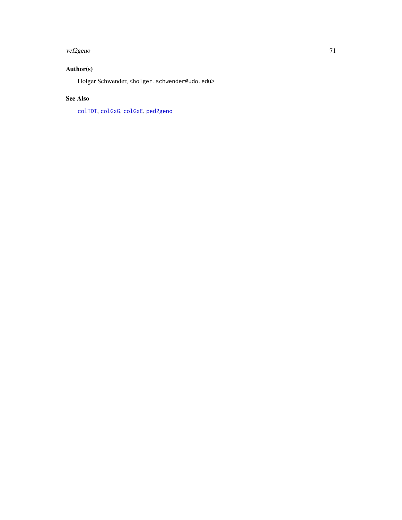#### vcf2geno 71

# Author(s)

Holger Schwender, <holger.schwender@udo.edu>

# See Also

[colTDT](#page-45-1), [colGxG](#page-47-0), [colGxE](#page-5-0), [ped2geno](#page-24-0)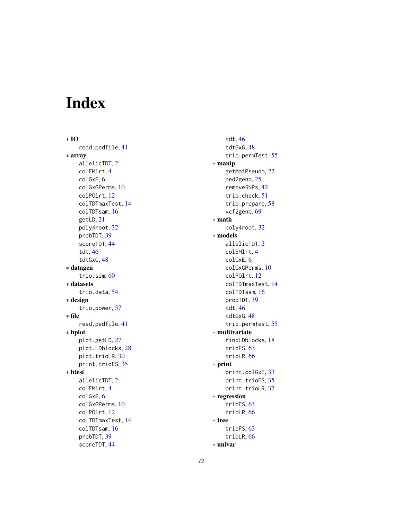# Index

∗ IO read.pedfile , [41](#page-40-1) ∗ array allelicTDT , [2](#page-1-0) colEMlrt , [4](#page-3-0) colGxE , [6](#page-5-1) colGxGPerms , [10](#page-9-0) colPOlrt , [12](#page-11-0) colTDTmaxTest , [14](#page-13-0) colTDTsam , [16](#page-15-0) getLD , [21](#page-20-1) poly4root , [32](#page-31-0) probTDT , [39](#page-38-1) scoreTDT , [44](#page-43-0) tdt , [46](#page-45-2) tdtGxG , [48](#page-47-1) ∗ datagen trio.sim, [60](#page-59-1) ∗ datasets trio.data , [54](#page-53-0) ∗ design trio.power , [57](#page-56-0) ∗ file read.pedfile , [41](#page-40-1) ∗ hplot plot.getLD , [27](#page-26-0) plot.LDblocks , [28](#page-27-0) plot.trioLR, [30](#page-29-0) print.trioFS, [35](#page-34-1) ∗ htest allelicTDT , [2](#page-1-0) colEMlrt , [4](#page-3-0) colGxE , [6](#page-5-1) colGxGPerms , [10](#page-9-0) colPOlrt , [12](#page-11-0) colTDTmaxTest , [14](#page-13-0) colTDTsam , [16](#page-15-0) probTDT , [39](#page-38-1) scoreTDT , [44](#page-43-0)

tdt , [46](#page-45-2) tdtGxG , [48](#page-47-1) trio.permTest , [55](#page-54-1) ∗ manip getMatPseudo , [22](#page-21-0) ped2geno, [25](#page-24-1) removeSNPs , [42](#page-41-0) trio.check , [51](#page-50-1) trio.prepare, [58](#page-57-1) vcf2geno, [69](#page-68-0) ∗ math poly4root , [32](#page-31-0) ∗ models allelicTDT , [2](#page-1-0) colEMlrt , [4](#page-3-0) colGxE , [6](#page-5-1) colGxGPerms , [10](#page-9-0) colPOlrt , [12](#page-11-0) colTDTmaxTest , [14](#page-13-0) colTDTsam , [16](#page-15-0) probTDT , [39](#page-38-1) tdt , [46](#page-45-2) tdtGxG , [48](#page-47-1) trio.permTest , [55](#page-54-1) ∗ multivariate findLDblocks , [18](#page-17-1) trioFS, [63](#page-62-0) trioLR, [66](#page-65-1) ∗ print print.colGxE , [33](#page-32-0) print.trioFS, [35](#page-34-1) print.trioLR, [37](#page-36-0) ∗ regression trioFS, [63](#page-62-0) trioLR, [66](#page-65-1) ∗ tree trioFS, [63](#page-62-0) trioLR, [66](#page-65-1) ∗ univar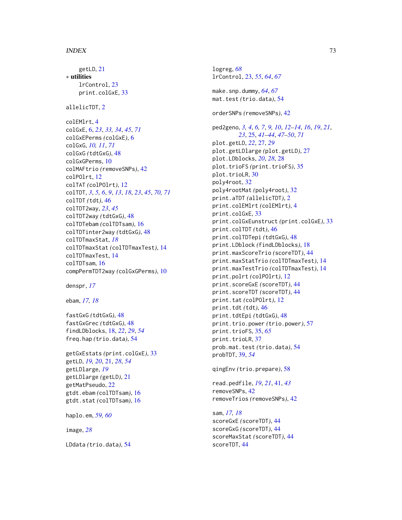getLD, [21](#page-20-0) ∗ utilities lrControl, [23](#page-22-0) print.colGxE, [33](#page-32-0) allelicTDT, [2](#page-1-0) colEMlrt, [4](#page-3-0) colGxE, [6,](#page-5-0) *[23](#page-22-0)*, *[33,](#page-32-0) [34](#page-33-0)*, *[45](#page-44-0)*, *[71](#page-70-0)* colGxEPerms *(*colGxE*)*, [6](#page-5-0) colGxG, *[10,](#page-9-0) [11](#page-10-0)*, *[71](#page-70-0)* colGxG *(*tdtGxG*)*, [48](#page-47-0) colGxGPerms, [10](#page-9-0) colMAFtrio *(*removeSNPs*)*, [42](#page-41-0) colPOlrt, [12](#page-11-0) colTAT *(*colPOlrt*)*, [12](#page-11-0) colTDT, *[3](#page-2-0)*, *[5,](#page-4-0) [6](#page-5-0)*, *[9](#page-8-0)*, *[13](#page-12-0)*, *[18](#page-17-0)*, *[23](#page-22-0)*, *[45](#page-44-0)*, *[70,](#page-69-0) [71](#page-70-0)* colTDT *(*tdt*)*, [46](#page-45-0) colTDT2way, *[23](#page-22-0)*, *[45](#page-44-0)* colTDT2way *(*tdtGxG*)*, [48](#page-47-0) colTDTebam *(*colTDTsam*)*, [16](#page-15-0) colTDTinter2way *(*tdtGxG*)*, [48](#page-47-0) colTDTmaxStat, *[18](#page-17-0)* colTDTmaxStat *(*colTDTmaxTest*)*, [14](#page-13-0) colTDTmaxTest, [14](#page-13-0) colTDTsam, [16](#page-15-0) compPermTDT2way *(*colGxGPerms*)*, [10](#page-9-0)

```
denspr, 17
```
ebam, *[17,](#page-16-0) [18](#page-17-0)*

fastGxG *(*tdtGxG*)*, [48](#page-47-0) fastGxGrec *(*tdtGxG*)*, [48](#page-47-0) findLDblocks, [18,](#page-17-0) *[22](#page-21-0)*, *[29](#page-28-0)*, *[54](#page-53-0)* freq.hap *(*trio.data*)*, [54](#page-53-0)

getGxEstats *(*print.colGxE*)*, [33](#page-32-0) getLD, *[19,](#page-18-0) [20](#page-19-0)*, [21,](#page-20-0) *[28](#page-27-0)*, *[54](#page-53-0)* getLDlarge, *[19](#page-18-0)* getLDlarge *(*getLD*)*, [21](#page-20-0) getMatPseudo, [22](#page-21-0) gtdt.ebam *(*colTDTsam*)*, [16](#page-15-0) gtdt.stat *(*colTDTsam*)*, [16](#page-15-0)

haplo.em, *[59,](#page-58-0) [60](#page-59-0)*

image, *[28](#page-27-0)*

LDdata *(*trio.data*)*, [54](#page-53-0)

logreg, *[68](#page-67-0)* lrControl, [23,](#page-22-0) *[55](#page-54-0)*, *[64](#page-63-0)*, *[67](#page-66-0)* make.snp.dummy, *[64](#page-63-0)*, *[67](#page-66-0)* mat.test *(*trio.data*)*, [54](#page-53-0) orderSNPs *(*removeSNPs*)*, [42](#page-41-0) ped2geno, *[3,](#page-2-0) [4](#page-3-0)*, *[6,](#page-5-0) [7](#page-6-0)*, *[9,](#page-8-0) [10](#page-9-0)*, *[12](#page-11-0)[–14](#page-13-0)*, *[16](#page-15-0)*, *[19](#page-18-0)*, *[21](#page-20-0)*, *[23](#page-22-0)*, [25,](#page-24-0) *[41](#page-40-0)[–44](#page-43-0)*, *[47](#page-46-0)[–50](#page-49-0)*, *[71](#page-70-0)* plot.getLD, *[22](#page-21-0)*, [27,](#page-26-0) *[29](#page-28-0)* plot.getLDlarge *(*plot.getLD*)*, [27](#page-26-0) plot.LDblocks, *[20](#page-19-0)*, *[28](#page-27-0)*, [28](#page-27-0) plot.trioFS *(*print.trioFS*)*, [35](#page-34-0) plot.trioLR, [30](#page-29-0) poly4root, [32](#page-31-0) poly4rootMat *(*poly4root*)*, [32](#page-31-0) print.aTDT *(*allelicTDT*)*, [2](#page-1-0) print.colEMlrt *(*colEMlrt*)*, [4](#page-3-0) print.colGxE, [33](#page-32-0) print.colGxEunstruct *(*print.colGxE*)*, [33](#page-32-0) print.colTDT *(*tdt*)*, [46](#page-45-0) print.colTDTepi *(*tdtGxG*)*, [48](#page-47-0) print.LDblock *(*findLDblocks*)*, [18](#page-17-0) print.maxScoreTrio *(*scoreTDT*)*, [44](#page-43-0) print.maxStatTrio *(*colTDTmaxTest*)*, [14](#page-13-0) print.maxTestTrio *(*colTDTmaxTest*)*, [14](#page-13-0) print.polrt *(*colPOlrt*)*, [12](#page-11-0) print.scoreGxE *(*scoreTDT*)*, [44](#page-43-0) print.scoreTDT *(*scoreTDT*)*, [44](#page-43-0) print.tat *(*colPOlrt*)*, [12](#page-11-0) print.tdt *(*tdt*)*, [46](#page-45-0) print.tdtEpi *(*tdtGxG*)*, [48](#page-47-0) print.trio.power *(*trio.power*)*, [57](#page-56-0) print.trioFS, [35,](#page-34-0) *[65](#page-64-0)* print.trioLR, [37](#page-36-0) prob.mat.test *(*trio.data*)*, [54](#page-53-0) probTDT, [39,](#page-38-0) *[54](#page-53-0)*

qingEnv *(*trio.prepare*)*, [58](#page-57-0)

read.pedfile, *[19](#page-18-0)*, *[21](#page-20-0)*, [41,](#page-40-0) *[43](#page-42-0)* removeSNPs, [42](#page-41-0) removeTrios *(*removeSNPs*)*, [42](#page-41-0)

sam, *[17,](#page-16-0) [18](#page-17-0)* scoreGxE *(*scoreTDT*)*, [44](#page-43-0) scoreGxG *(*scoreTDT*)*, [44](#page-43-0) scoreMaxStat *(*scoreTDT*)*, [44](#page-43-0) scoreTDT, [44](#page-43-0)